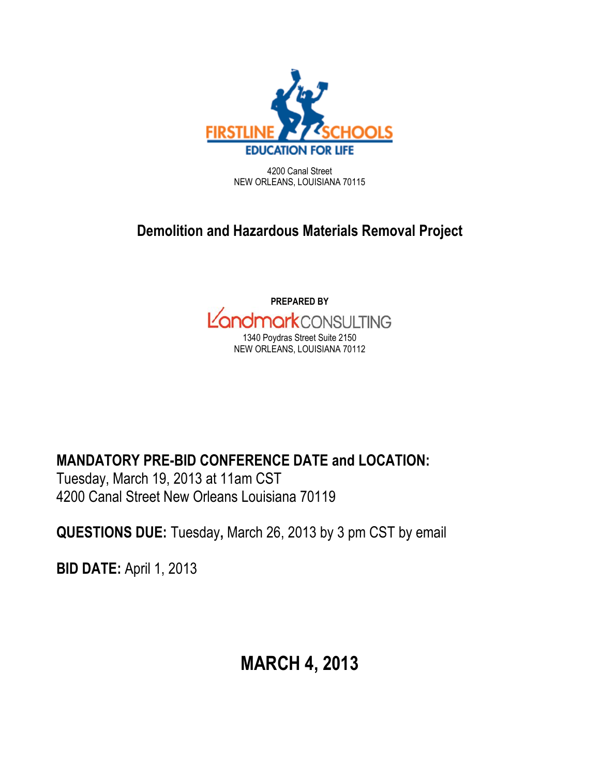

4200 Canal Street NEW ORLEANS, LOUISIANA 70115

# **Demolition and Hazardous Materials Removal Project**



**MANDATORY PRE-BID CONFERENCE DATE and LOCATION:**

Tuesday, March 19, 2013 at 11am CST 4200 Canal Street New Orleans Louisiana 70119

**QUESTIONS DUE:** Tuesday**,** March 26, 2013 by 3 pm CST by email

**BID DATE:** April 1, 2013

# **MARCH 4, 2013**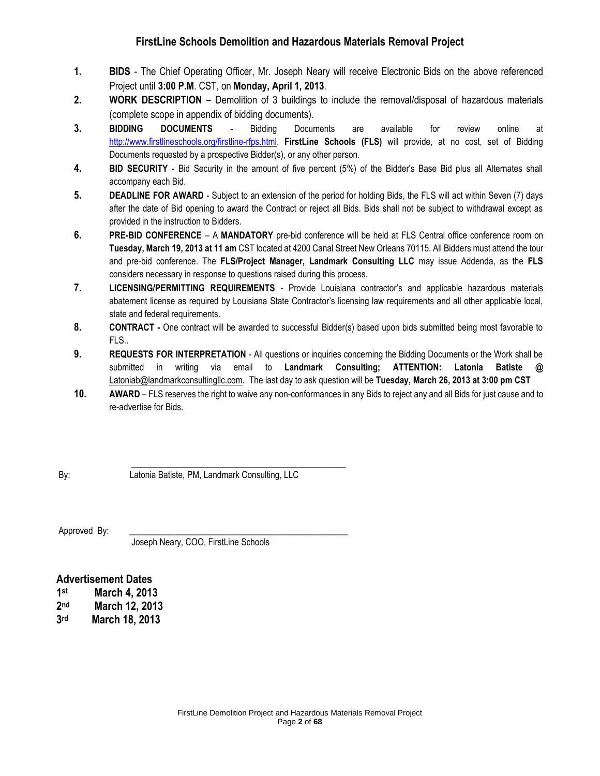# **FirstLine Schools Demolition and Hazardous Materials Removal Project**

- **1. BIDS**  The Chief Operating Officer, Mr. Joseph Neary will receive Electronic Bids on the above referenced Project until **3:00 P.M**. CST, on **Monday, April 1, 2013**.
- **2. WORK DESCRIPTION**  Demolition of 3 buildings to include the removal/disposal of hazardous materials (complete scope in appendix of bidding documents).
- **3. BIDDING DOCUMENTS**  Bidding Documents are available for review online at [http://www.firstlineschools.org/firstline-rfps.html.](http://www.firstlineschools.org/firstline-rfps.html) **FirstLine Schools (FLS)** will provide, at no cost, set of Bidding Documents requested by a prospective Bidder(s), or any other person.
- **4. BID SECURITY**  Bid Security in the amount of five percent (5%) of the Bidder's Base Bid plus all Alternates shall accompany each Bid.
- **5. DEADLINE FOR AWARD**  Subject to an extension of the period for holding Bids, the FLS will act within Seven (7) days after the date of Bid opening to award the Contract or reject all Bids. Bids shall not be subject to withdrawal except as provided in the instruction to Bidders.
- **6. PRE-BID CONFERENCE**  A **MANDATORY** pre-bid conference will be held at FLS Central office conference room on **Tuesday, March 19, 2013 at 11 am** CST located at 4200 Canal Street New Orleans 70115. All Bidders must attend the tour and pre-bid conference. The **FLS/Project Manager, Landmark Consulting LLC** may issue Addenda, as the **FLS** considers necessary in response to questions raised during this process.
- **7. LICENSING/PERMITTING REQUIREMENTS**  Provide Louisiana contractor's and applicable hazardous materials abatement license as required by Louisiana State Contractor's licensing law requirements and all other applicable local, state and federal requirements.
- **8. CONTRACT -** One contract will be awarded to successful Bidder(s) based upon bids submitted being most favorable to FLS..
- **9. REQUESTS FOR INTERPRETATION**  All questions or inquiries concerning the Bidding Documents or the Work shall be submitted in writing via email to **Landmark Consulting; ATTENTION: Latonia Batiste @**  [Latoniab@landmarkconsultingllc.com.](mailto:Latoniab@landmarkconsultingllc.com) The last day to ask question will be **Tuesday, March 26, 2013 at 3:00 pm CST**
- **10. AWARD** FLS reserves the right to waive any non-conformances in any Bids to reject any and all Bids for just cause and to re-advertise for Bids.

 $\frac{1}{2}$  , and the set of the set of the set of the set of the set of the set of the set of the set of the set of the set of the set of the set of the set of the set of the set of the set of the set of the set of the set By: Latonia Batiste, PM, Landmark Consulting, LLC

Approved By:

Joseph Neary, COO, FirstLine Schools

# **Advertisement Dates**

**1 st March 4, 2013**

**2 nd March 12, 2013**

**3 rd March 18, 2013**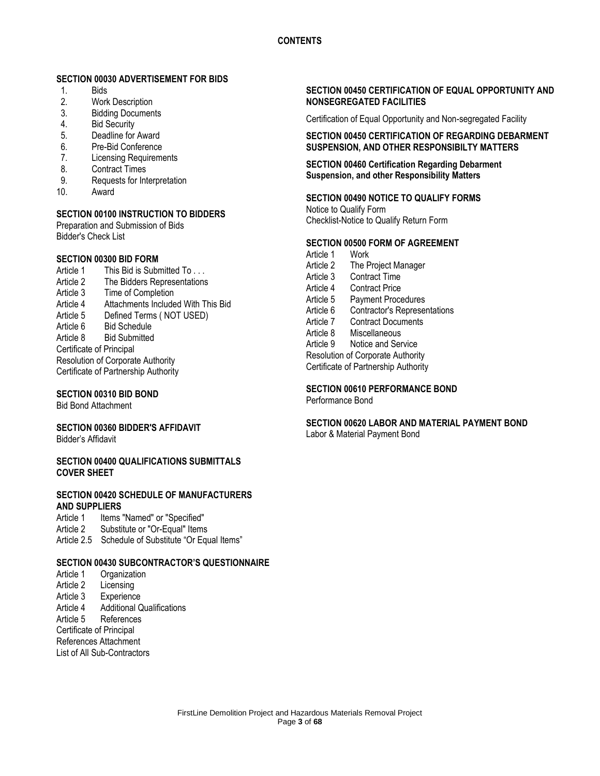# **SECTION 00030 ADVERTISEMENT FOR BIDS**

- 1. Bids
- 2. Work Description<br>3. Bidding Documen
- **Bidding Documents**
- 4. Bid Security
- 5. Deadline for Award
- 6. Pre-Bid Conference
- 7. Licensing Requirements
- 8. Contract Times<br>9. Requests for Int
- Requests for Interpretation
- 10. Award

# **SECTION 00100 INSTRUCTION TO BIDDERS**

Preparation and Submission of Bids Bidder's Check List

# **SECTION 00300 BID FORM**

Article 1 This Bid is Submitted To . . . Article 2 The Bidders Representations Article 3 Time of Completion Article 4 Attachments Included With This Bid Article 5 Defined Terms ( NOT USED) Article 6 Bid Schedule Article 8 Bid Submitted Certificate of Principal Resolution of Corporate Authority Certificate of Partnership Authority

# **SECTION 00310 BID BOND**

Bid Bond Attachment

# **SECTION 00360 BIDDER'S AFFIDAVIT**

Bidder's Affidavit

#### **SECTION 00400 QUALIFICATIONS SUBMITTALS COVER SHEET**

# **SECTION 00420 SCHEDULE OF MANUFACTURERS AND SUPPLIERS**

- Article 1 Items "Named" or "Specified"
- Article 2 Substitute or "Or-Equal" Items
- Article 2.5 Schedule of Substitute "Or Equal Items"

# **SECTION 00430 SUBCONTRACTOR'S QUESTIONNAIRE**

- Article 1 Organization
- Article 2 Licensing
- Article 3 Experience
- Article 4 Additional Qualifications

Article 5 References

Certificate of Principal

References Attachment

List of All Sub-Contractors

## **SECTION 00450 CERTIFICATION OF EQUAL OPPORTUNITY AND NONSEGREGATED FACILITIES**

Certification of Equal Opportunity and Non-segregated Facility

**SECTION 00450 CERTIFICATION OF REGARDING DEBARMENT SUSPENSION, AND OTHER RESPONSIBILTY MATTERS**

## **SECTION 00460 Certification Regarding Debarment Suspension, and other Responsibility Matters**

# **SECTION 00490 NOTICE TO QUALIFY FORMS**

Notice to Qualify Form Checklist-Notice to Qualify Return Form

## **SECTION 00500 FORM OF AGREEMENT**

Article 1 Work<br>Article 2 The P The Project Manager Article 3 Contract Time Article 4 Contract Price Article 5 Payment Procedures Article 6 Contractor's Representations Article 7 Contract Documents Article 8 Miscellaneous Article 9 Notice and Service Resolution of Corporate Authority Certificate of Partnership Authority

**SECTION 00610 PERFORMANCE BOND**

Performance Bond

# **SECTION 00620 LABOR AND MATERIAL PAYMENT BOND**

Labor & Material Payment Bond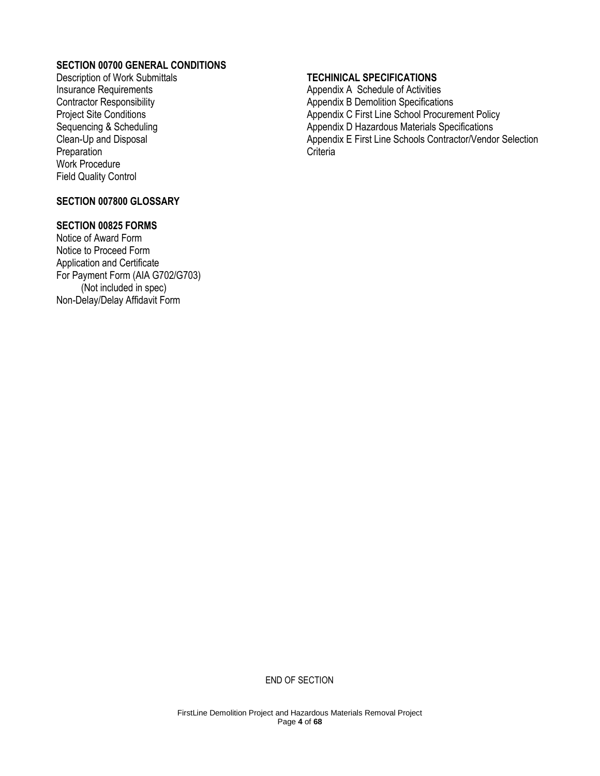# **SECTION 00700 GENERAL CONDITIONS**

Description of Work Submittals Insurance Requirements Contractor Responsibility Project Site Conditions Sequencing & Scheduling Clean-Up and Disposal **Preparation** Work Procedure Field Quality Control

# **SECTION 007800 GLOSSARY**

# **SECTION 00825 FORMS**

Notice of Award Form Notice to Proceed Form Application and Certificate For Payment Form (AIA G702/G703) (Not included in spec) Non-Delay/Delay Affidavit Form

# **TECHINICAL SPECIFICATIONS**

Appendix A Schedule of Activities Appendix B Demolition Specifications Appendix C First Line School Procurement Policy Appendix D Hazardous Materials Specifications Appendix E First Line Schools Contractor/Vendor Selection **Criteria** 

END OF SECTION

FirstLine Demolition Project and Hazardous Materials Removal Project Page **4** of **68**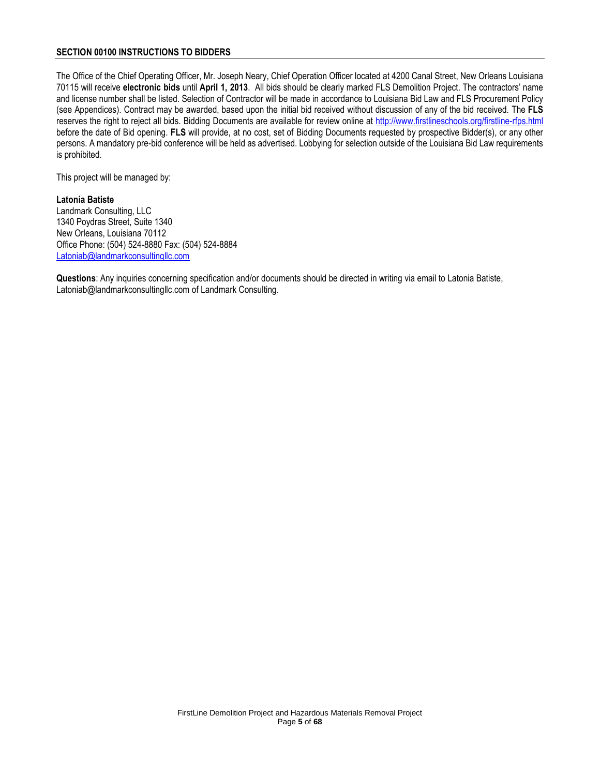## **SECTION 00100 INSTRUCTIONS TO BIDDERS**

The Office of the Chief Operating Officer, Mr. Joseph Neary, Chief Operation Officer located at 4200 Canal Street, New Orleans Louisiana 70115 will receive **electronic bids** until **April 1, 2013**. All bids should be clearly marked FLS Demolition Project. The contractors' name and license number shall be listed. Selection of Contractor will be made in accordance to Louisiana Bid Law and FLS Procurement Policy (see Appendices). Contract may be awarded, based upon the initial bid received without discussion of any of the bid received. The **FLS** reserves the right to reject all bids. Bidding Documents are available for review online at<http://www.firstlineschools.org/firstline-rfps.html> before the date of Bid opening. **FLS** will provide, at no cost, set of Bidding Documents requested by prospective Bidder(s), or any other persons. A mandatory pre-bid conference will be held as advertised. Lobbying for selection outside of the Louisiana Bid Law requirements is prohibited.

This project will be managed by:

# **Latonia Batiste**

Landmark Consulting, LLC 1340 Poydras Street, Suite 1340 New Orleans, Louisiana 70112 Office Phone: (504) 524-8880 Fax: (504) 524-8884 [Latoniab@landmarkconsultingllc.com](mailto:Latoniab@landmarkconsultingllc.com)

**Questions**: Any inquiries concerning specification and/or documents should be directed in writing via email to Latonia Batiste, [Latoniab@landmarkconsultingllc.com](mailto:michaelb@landmarkconsultingllc.com) of Landmark Consulting.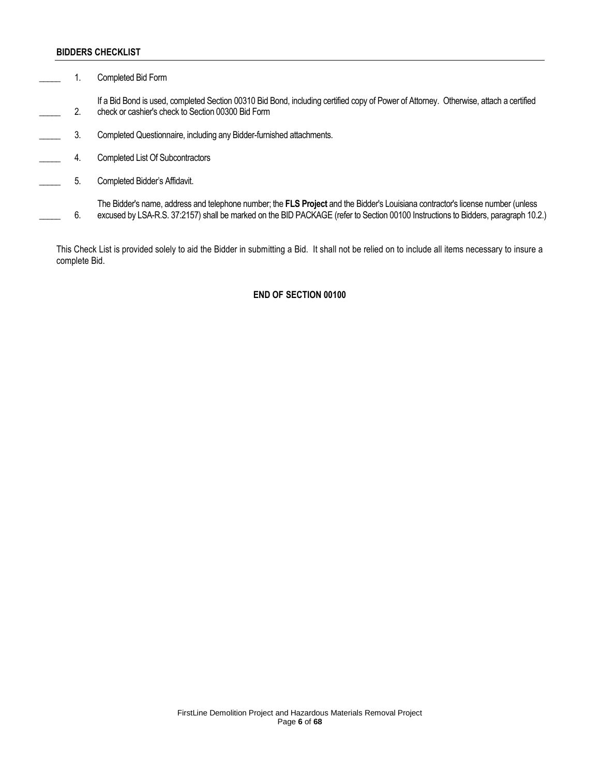#### **BIDDERS CHECKLIST**

1. Completed Bid Form

\_\_\_\_\_ 2. If a Bid Bond is used, completed Section 00310 Bid Bond, including certified copy of Power of Attorney. Otherwise, attach a certified check or cashier's check to Section 00300 Bid Form

- 3. Completed Questionnaire, including any Bidder-furnished attachments.
- **4.** Completed List Of Subcontractors
- **EXECUTE:** 5. Completed Bidder's Affidavit.

\_\_\_\_\_ 6. The Bidder's name, address and telephone number; the **FLS Project** and the Bidder's Louisiana contractor's license number (unless excused by LSA-R.S. 37:2157) shall be marked on the BID PACKAGE (refer to Section 00100 Instructions to Bidders, paragraph 10.2.)

This Check List is provided solely to aid the Bidder in submitting a Bid. It shall not be relied on to include all items necessary to insure a complete Bid.

#### **END OF SECTION 00100**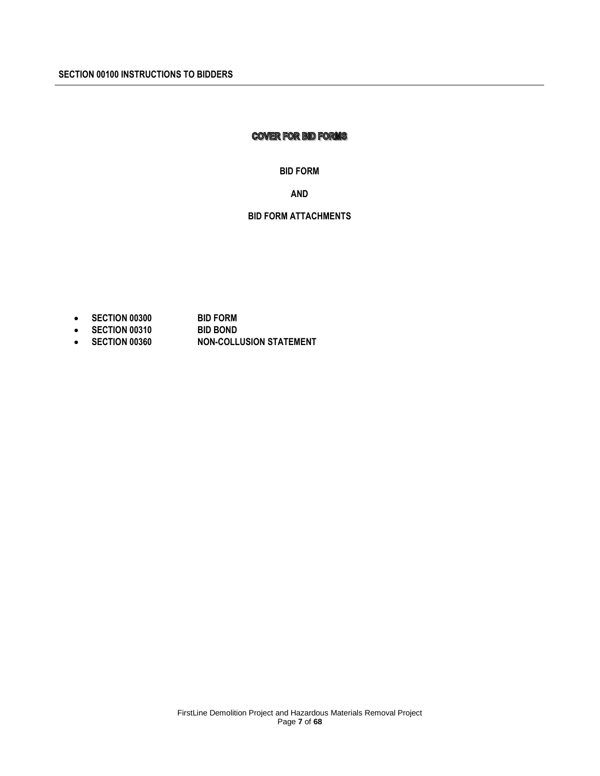# **COVER FOR BID FORMS**

#### **BID FORM**

**AND**

# **BID FORM ATTACHMENTS**

- 
- **SECTION 00300 BID FORM • SECTION 00310**
- **SECTION 00360 NON-COLLUSION STATEMENT**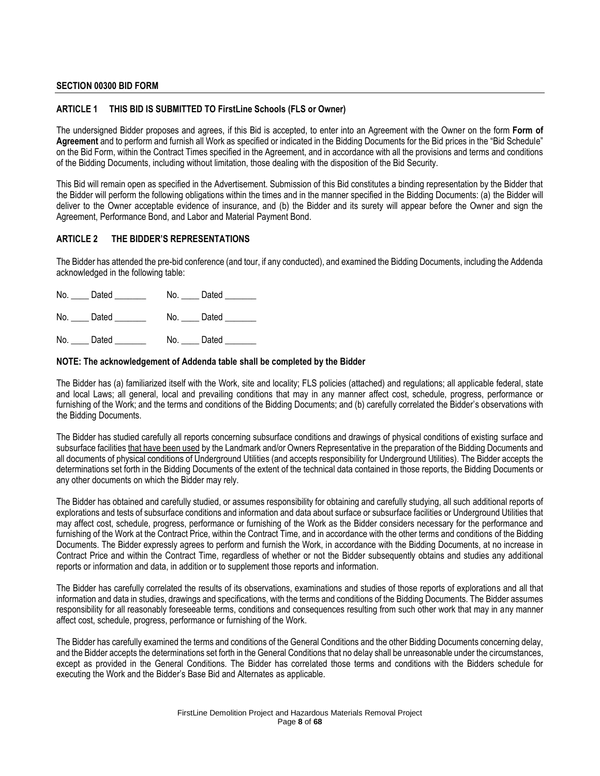#### **SECTION 00300 BID FORM**

#### **ARTICLE 1 THIS BID IS SUBMITTED TO FirstLine Schools (FLS or Owner)**

The undersigned Bidder proposes and agrees, if this Bid is accepted, to enter into an Agreement with the Owner on the form **Form of Agreement** and to perform and furnish all Work as specified or indicated in the Bidding Documents for the Bid prices in the "Bid Schedule" on the Bid Form, within the Contract Times specified in the Agreement, and in accordance with all the provisions and terms and conditions of the Bidding Documents, including without limitation, those dealing with the disposition of the Bid Security.

This Bid will remain open as specified in the Advertisement. Submission of this Bid constitutes a binding representation by the Bidder that the Bidder will perform the following obligations within the times and in the manner specified in the Bidding Documents: (a) the Bidder will deliver to the Owner acceptable evidence of insurance, and (b) the Bidder and its surety will appear before the Owner and sign the Agreement, Performance Bond, and Labor and Material Payment Bond.

## **ARTICLE 2 THE BIDDER'S REPRESENTATIONS**

The Bidder has attended the pre-bid conference (and tour, if any conducted), and examined the Bidding Documents, including the Addenda acknowledged in the following table:

| No. | Dated | Dated<br>No. |  |
|-----|-------|--------------|--|
| No. | Dated | Dated<br>No. |  |
| No. | Dated | Dated<br>No. |  |

#### **NOTE: The acknowledgement of Addenda table shall be completed by the Bidder**

The Bidder has (a) familiarized itself with the Work, site and locality; FLS policies (attached) and regulations; all applicable federal, state and local Laws; all general, local and prevailing conditions that may in any manner affect cost, schedule, progress, performance or furnishing of the Work; and the terms and conditions of the Bidding Documents; and (b) carefully correlated the Bidder's observations with the Bidding Documents.

The Bidder has studied carefully all reports concerning subsurface conditions and drawings of physical conditions of existing surface and subsurface facilities that have been used by the Landmark and/or Owners Representative in the preparation of the Bidding Documents and all documents of physical conditions of Underground Utilities (and accepts responsibility for Underground Utilities). The Bidder accepts the determinations set forth in the Bidding Documents of the extent of the technical data contained in those reports, the Bidding Documents or any other documents on which the Bidder may rely.

The Bidder has obtained and carefully studied, or assumes responsibility for obtaining and carefully studying, all such additional reports of explorations and tests of subsurface conditions and information and data about surface or subsurface facilities or Underground Utilities that may affect cost, schedule, progress, performance or furnishing of the Work as the Bidder considers necessary for the performance and furnishing of the Work at the Contract Price, within the Contract Time, and in accordance with the other terms and conditions of the Bidding Documents. The Bidder expressly agrees to perform and furnish the Work, in accordance with the Bidding Documents, at no increase in Contract Price and within the Contract Time, regardless of whether or not the Bidder subsequently obtains and studies any additional reports or information and data, in addition or to supplement those reports and information.

The Bidder has carefully correlated the results of its observations, examinations and studies of those reports of explorations and all that information and data in studies, drawings and specifications, with the terms and conditions of the Bidding Documents. The Bidder assumes responsibility for all reasonably foreseeable terms, conditions and consequences resulting from such other work that may in any manner affect cost, schedule, progress, performance or furnishing of the Work.

The Bidder has carefully examined the terms and conditions of the General Conditions and the other Bidding Documents concerning delay, and the Bidder accepts the determinations set forth in the General Conditions that no delay shall be unreasonable under the circumstances, except as provided in the General Conditions. The Bidder has correlated those terms and conditions with the Bidders schedule for executing the Work and the Bidder's Base Bid and Alternates as applicable.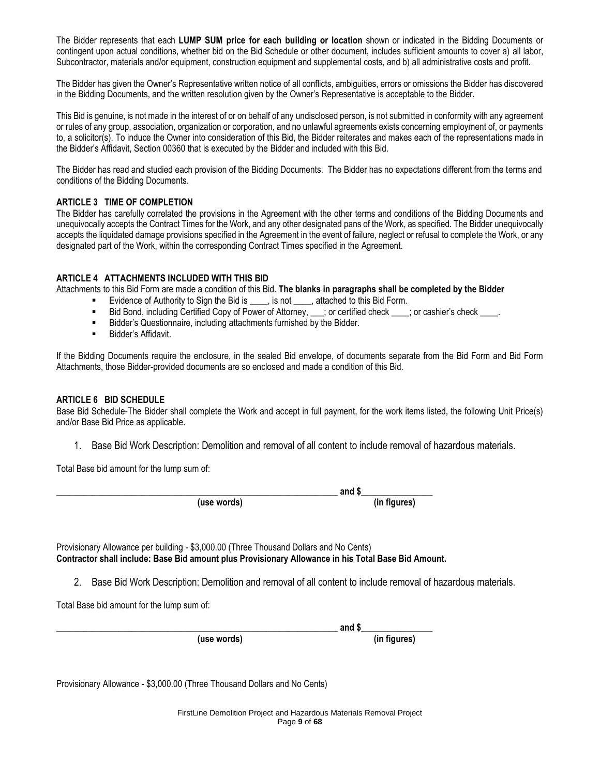The Bidder represents that each **LUMP SUM price for each building or location** shown or indicated in the Bidding Documents or contingent upon actual conditions, whether bid on the Bid Schedule or other document, includes sufficient amounts to cover a) all labor, Subcontractor, materials and/or equipment, construction equipment and supplemental costs, and b) all administrative costs and profit.

The Bidder has given the Owner's Representative written notice of all conflicts, ambiguities, errors or omissions the Bidder has discovered in the Bidding Documents, and the written resolution given by the Owner's Representative is acceptable to the Bidder.

This Bid is genuine, is not made in the interest of or on behalf of any undisclosed person, is not submitted in conformity with any agreement or rules of any group, association, organization or corporation, and no unlawful agreements exists concerning employment of, or payments to, a solicitor(s). To induce the Owner into consideration of this Bid, the Bidder reiterates and makes each of the representations made in the Bidder's Affidavit, Section 00360 that is executed by the Bidder and included with this Bid.

The Bidder has read and studied each provision of the Bidding Documents. The Bidder has no expectations different from the terms and conditions of the Bidding Documents.

# **ARTICLE 3 TIME OF COMPLETION**

The Bidder has carefully correlated the provisions in the Agreement with the other terms and conditions of the Bidding Documents and unequivocally accepts the Contract Times for the Work, and any other designated pans of the Work, as specified. The Bidder unequivocally accepts the liquidated damage provisions specified in the Agreement in the event of failure, neglect or refusal to complete the Work, or any designated part of the Work, within the corresponding Contract Times specified in the Agreement.

# **ARTICLE 4 ATTACHMENTS INCLUDED WITH THIS BID**

Attachments to this Bid Form are made a condition of this Bid. **The blanks in paragraphs shall be completed by the Bidder**

- **Evidence of Authority to Sign the Bid is \_\_\_\_, is not \_\_\_\_, attached to this Bid Form.**
- Bid Bond, including Certified Copy of Power of Attorney, \_\_\_; or certified check \_\_\_\_; or cashier's check \_\_\_\_.<br>■ Bidder's Questionnaire including attachments furnished by the Bidder.
- **Bidder's Questionnaire, including attachments furnished by the Bidder.**<br> **Bidder's Affidavit**
- Bidder's Affidavit.

If the Bidding Documents require the enclosure, in the sealed Bid envelope, of documents separate from the Bid Form and Bid Form Attachments, those Bidder-provided documents are so enclosed and made a condition of this Bid.

## **ARTICLE 6 BID SCHEDULE**

Base Bid Schedule-The Bidder shall complete the Work and accept in full payment, for the work items listed, the following Unit Price(s) and/or Base Bid Price as applicable.

1. Base Bid Work Description: Demolition and removal of all content to include removal of hazardous materials.

Total Base bid amount for the lump sum of:

**(use words) (in figures)**

**\_\_\_\_\_\_\_\_\_\_\_\_\_\_\_\_\_\_\_\_\_\_\_\_\_\_\_\_\_\_\_\_\_\_\_\_\_\_\_\_\_\_\_\_\_\_\_\_\_\_\_\_\_\_\_\_\_\_\_\_\_\_\_ and \$\_\_\_\_\_\_\_\_\_\_\_\_\_\_\_\_**

Provisionary Allowance per building - \$3,000.00 (Three Thousand Dollars and No Cents) **Contractor shall include: Base Bid amount plus Provisionary Allowance in his Total Base Bid Amount.**

2. Base Bid Work Description: Demolition and removal of all content to include removal of hazardous materials.

Total Base bid amount for the lump sum of:

**\_\_\_\_\_\_\_\_\_\_\_\_\_\_\_\_\_\_\_\_\_\_\_\_\_\_\_\_\_\_\_\_\_\_\_\_\_\_\_\_\_\_\_\_\_\_\_\_\_\_\_\_\_\_\_\_\_\_\_\_\_\_\_ and \$\_\_\_\_\_\_\_\_\_\_\_\_\_\_\_\_ (use words) (in figures)**

Provisionary Allowance - \$3,000.00 (Three Thousand Dollars and No Cents)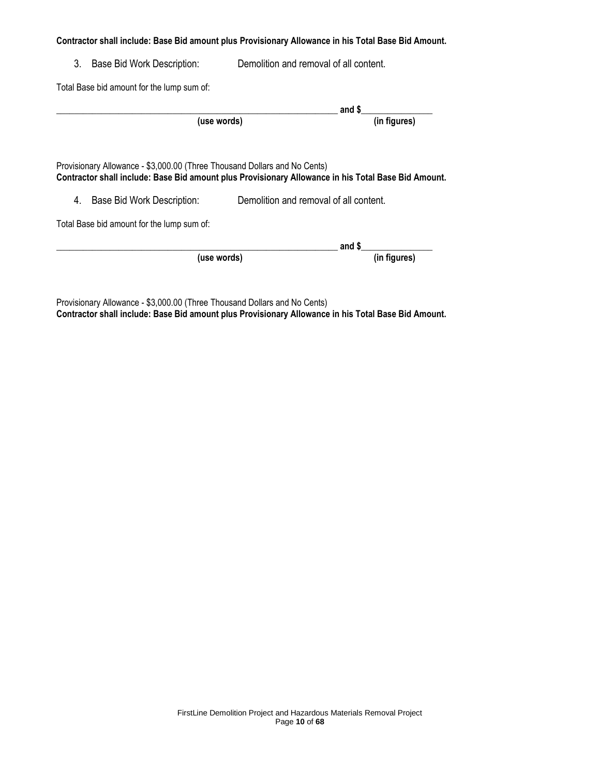## **Contractor shall include: Base Bid amount plus Provisionary Allowance in his Total Base Bid Amount.**

3. Base Bid Work Description: Demolition and removal of all content.

Total Base bid amount for the lump sum of:

|                                                                                                                                                                                  |                                        | and \$       |
|----------------------------------------------------------------------------------------------------------------------------------------------------------------------------------|----------------------------------------|--------------|
|                                                                                                                                                                                  | (use words)                            | (in figures) |
|                                                                                                                                                                                  |                                        |              |
| Provisionary Allowance - \$3,000.00 (Three Thousand Dollars and No Cents)<br>Contractor shall include: Base Bid amount plus Provisionary Allowance in his Total Base Bid Amount. |                                        |              |
| 4.<br>Base Bid Work Description:                                                                                                                                                 | Demolition and removal of all content. |              |
| Total Base bid amount for the lump sum of:                                                                                                                                       |                                        |              |
|                                                                                                                                                                                  |                                        | and \$       |
|                                                                                                                                                                                  | (use words)                            | (in figures) |

Provisionary Allowance - \$3,000.00 (Three Thousand Dollars and No Cents) **Contractor shall include: Base Bid amount plus Provisionary Allowance in his Total Base Bid Amount.**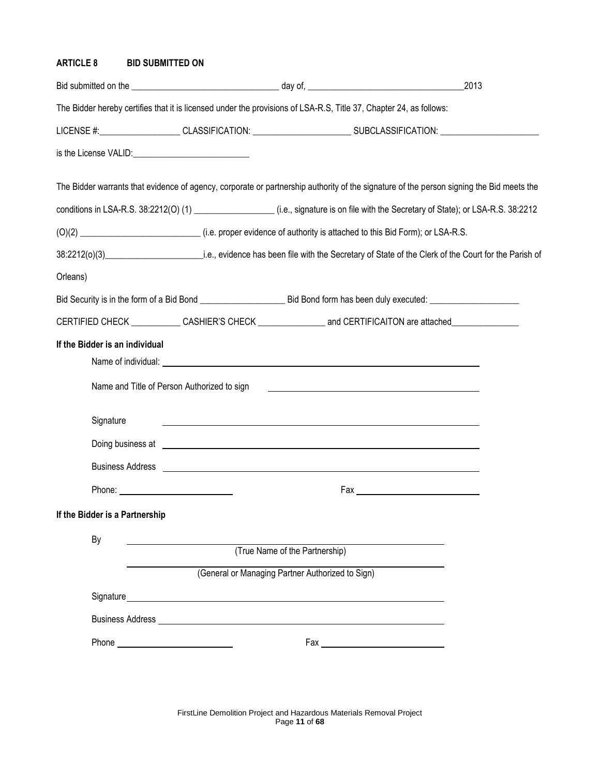# **ARTICLE 8 BID SUBMITTED ON**

|                                |                                                                                                                                                                                                                                |                                                  |                                                                                                                                          | 2013 |
|--------------------------------|--------------------------------------------------------------------------------------------------------------------------------------------------------------------------------------------------------------------------------|--------------------------------------------------|------------------------------------------------------------------------------------------------------------------------------------------|------|
|                                |                                                                                                                                                                                                                                |                                                  | The Bidder hereby certifies that it is licensed under the provisions of LSA-R.S, Title 37, Chapter 24, as follows:                       |      |
|                                |                                                                                                                                                                                                                                |                                                  | LICENSE #:___________________CLASSIFICATION: __________________________SUBCLASSIFICATION: ____________________                           |      |
|                                |                                                                                                                                                                                                                                |                                                  |                                                                                                                                          |      |
|                                |                                                                                                                                                                                                                                |                                                  | The Bidder warrants that evidence of agency, corporate or partnership authority of the signature of the person signing the Bid meets the |      |
|                                |                                                                                                                                                                                                                                |                                                  | conditions in LSA-R.S. 38:2212(O) (1) _________________(i.e., signature is on file with the Secretary of State); or LSA-R.S. 38:2212     |      |
|                                |                                                                                                                                                                                                                                |                                                  | (0)(2) ________________________________(i.e. proper evidence of authority is attached to this Bid Form); or LSA-R.S.                     |      |
|                                |                                                                                                                                                                                                                                |                                                  |                                                                                                                                          |      |
| Orleans)                       |                                                                                                                                                                                                                                |                                                  |                                                                                                                                          |      |
|                                |                                                                                                                                                                                                                                |                                                  |                                                                                                                                          |      |
|                                |                                                                                                                                                                                                                                |                                                  | CERTIFIED CHECK ____________CASHIER'S CHECK _____________________and CERTIFICAITON are attached_______________                           |      |
| If the Bidder is an individual | Name and Title of Person Authorized to sign                                                                                                                                                                                    |                                                  | <u> 1989 - Johann Harry Harry Harry Harry Harry Harry Harry Harry Harry Harry Harry Harry Harry Harry Harry Harry</u>                    |      |
| Signature                      |                                                                                                                                                                                                                                |                                                  | <u> 1989 - Johann Barbara, marka a shekara ta 1989 - An tsara tsa a shekara tsa 1989 - An tsara tsa a shekara tsa</u>                    |      |
|                                |                                                                                                                                                                                                                                |                                                  | Doing business at <u>example and controller and controller and controller and controller and controller and controller</u>               |      |
|                                |                                                                                                                                                                                                                                |                                                  |                                                                                                                                          |      |
|                                |                                                                                                                                                                                                                                |                                                  |                                                                                                                                          |      |
| If the Bidder is a Partnership |                                                                                                                                                                                                                                |                                                  |                                                                                                                                          |      |
| By                             |                                                                                                                                                                                                                                | (True Name of the Partnership)                   |                                                                                                                                          |      |
|                                |                                                                                                                                                                                                                                | (General or Managing Partner Authorized to Sign) |                                                                                                                                          |      |
|                                | Signature experience and the state of the state of the state of the state of the state of the state of the state of the state of the state of the state of the state of the state of the state of the state of the state of th |                                                  |                                                                                                                                          |      |
|                                | <b>Business Address Andrease and Service Services</b> Services and Services Services and Services Services and Services                                                                                                        |                                                  |                                                                                                                                          |      |
|                                |                                                                                                                                                                                                                                |                                                  |                                                                                                                                          |      |
|                                |                                                                                                                                                                                                                                |                                                  |                                                                                                                                          |      |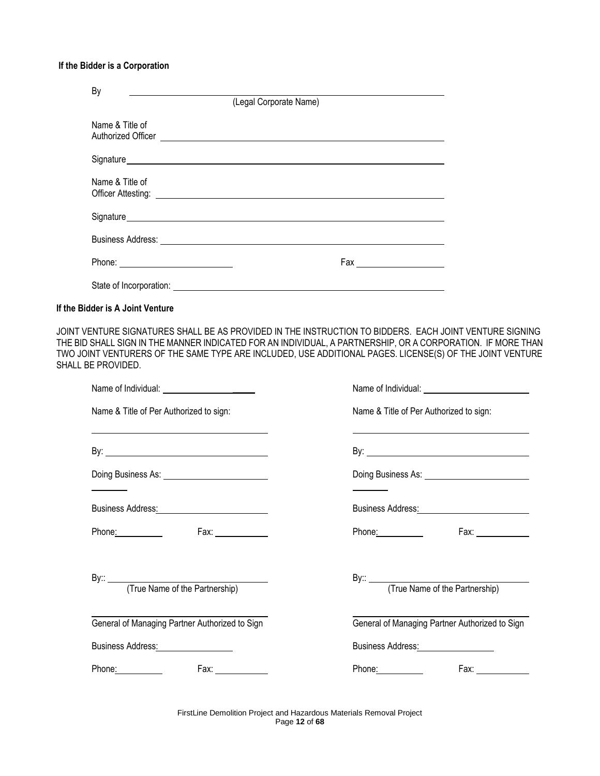# **If the Bidder is a Corporation**

| By                               | (Legal Corporate Name)                                                                                                                                                                                                         |
|----------------------------------|--------------------------------------------------------------------------------------------------------------------------------------------------------------------------------------------------------------------------------|
| Name & Title of                  | Authorized Officer <u>experience</u>                                                                                                                                                                                           |
|                                  | Signature entertainment and the state of the state of the state of the state of the state of the state of the state of the state of the state of the state of the state of the state of the state of the state of the state of |
| Name & Title of                  |                                                                                                                                                                                                                                |
|                                  | Signature experience of the state of the state of the state of the state of the state of the state of the state of the state of the state of the state of the state of the state of the state of the state of the state of the |
|                                  |                                                                                                                                                                                                                                |
|                                  |                                                                                                                                                                                                                                |
|                                  | State of Incorporation: <u>contract the contract of the contract of the contract of the contract of the contract of</u>                                                                                                        |
| If the Bidder is A Joint Venture |                                                                                                                                                                                                                                |

JOINT VENTURE SIGNATURES SHALL BE AS PROVIDED IN THE INSTRUCTION TO BIDDERS. EACH JOINT VENTURE SIGNING THE BID SHALL SIGN IN THE MANNER INDICATED FOR AN INDIVIDUAL, A PARTNERSHIP, OR A CORPORATION. IF MORE THAN TWO JOINT VENTURERS OF THE SAME TYPE ARE INCLUDED, USE ADDITIONAL PAGES. LICENSE(S) OF THE JOINT VENTURE SHALL BE PROVIDED.

| Name & Title of Per Authorized to sign:                                                                             | Name & Title of Per Authorized to sign:                                                                        |
|---------------------------------------------------------------------------------------------------------------------|----------------------------------------------------------------------------------------------------------------|
| <u> 1989 - Johann Stoff, amerikansk politiker (* 1908)</u>                                                          |                                                                                                                |
|                                                                                                                     |                                                                                                                |
|                                                                                                                     |                                                                                                                |
|                                                                                                                     |                                                                                                                |
| Business Address: Management Control of Texas and Texas and Texas and Texas and Texas and Texas and Texas and Texas | Business Address: Management Control of the Business Address: Management Control of the Business Address       |
| Phone: 2000<br>Fax: $\frac{1}{2}$                                                                                   | Phone:<br>Fax: _____________                                                                                   |
|                                                                                                                     |                                                                                                                |
|                                                                                                                     |                                                                                                                |
|                                                                                                                     |                                                                                                                |
| General of Managing Partner Authorized to Sign                                                                      | General of Managing Partner Authorized to Sign                                                                 |
| Business Address: Management Control of Texas                                                                       | Business Address: National Assembly Property of the Assembly Property of the Assembly Property of the Assembly |
| Phone:                                                                                                              | Phone:                                                                                                         |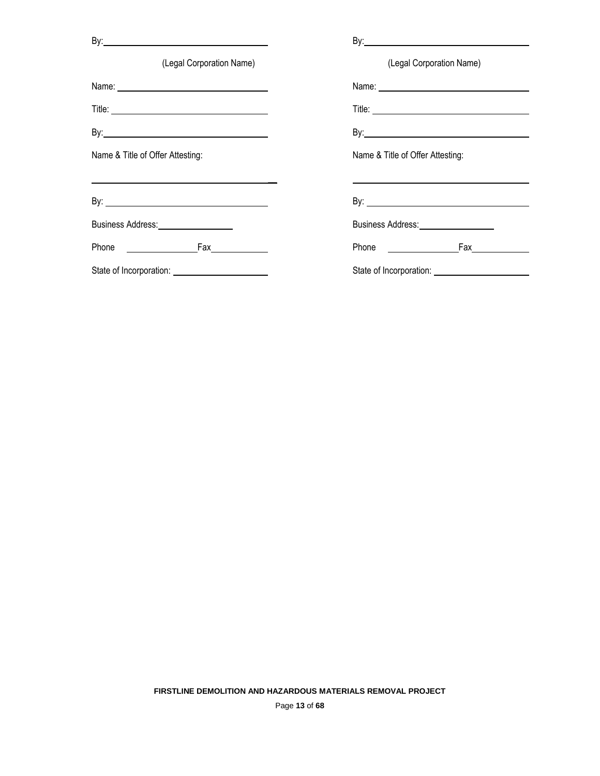| (Legal Corporation Name)                         | (Legal Corporation Name)              |
|--------------------------------------------------|---------------------------------------|
| Name: <u>___________________________________</u> |                                       |
|                                                  |                                       |
|                                                  |                                       |
| Name & Title of Offer Attesting:                 | Name & Title of Offer Attesting:      |
|                                                  |                                       |
|                                                  |                                       |
| Business Address: ___________________            | Business Address: ___________________ |
|                                                  | Phone Fax                             |
|                                                  |                                       |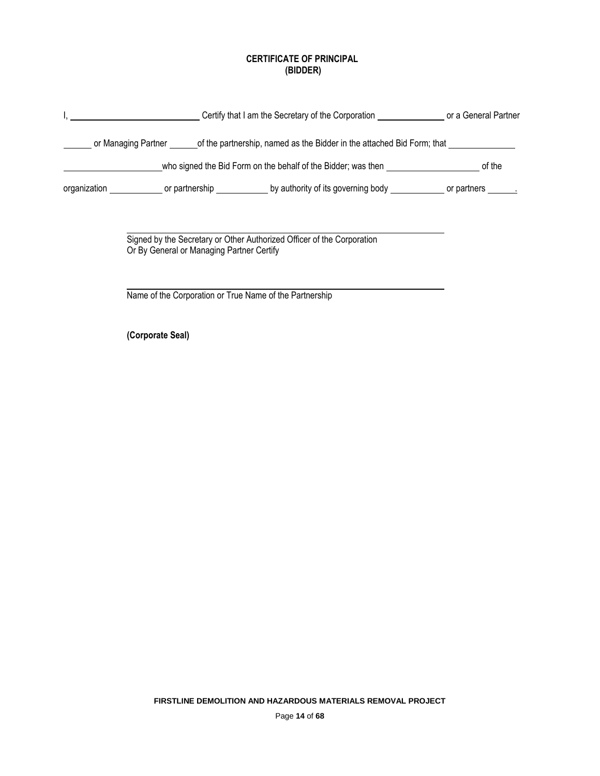# **CERTIFICATE OF PRINCIPAL (BIDDER)**

| Certify that I am the Secretary of the Corporation ______________________ or a General Partner                                                   |  |
|--------------------------------------------------------------------------------------------------------------------------------------------------|--|
| or Managing Partner <u>and of</u> the partnership, named as the Bidder in the attached Bid Form; that <b>comparentle as the Bidder</b>           |  |
|                                                                                                                                                  |  |
| organization _______________ or partnership ______________________by authority of its governing body _____________________ or partners _________ |  |
|                                                                                                                                                  |  |
| Signed by the Secretary or Other Authorized Officer of the Corporation<br>Or By General or Managing Partner Certify                              |  |
| Name of the Corporation or True Name of the Partnership                                                                                          |  |
| (Corporate Seal)                                                                                                                                 |  |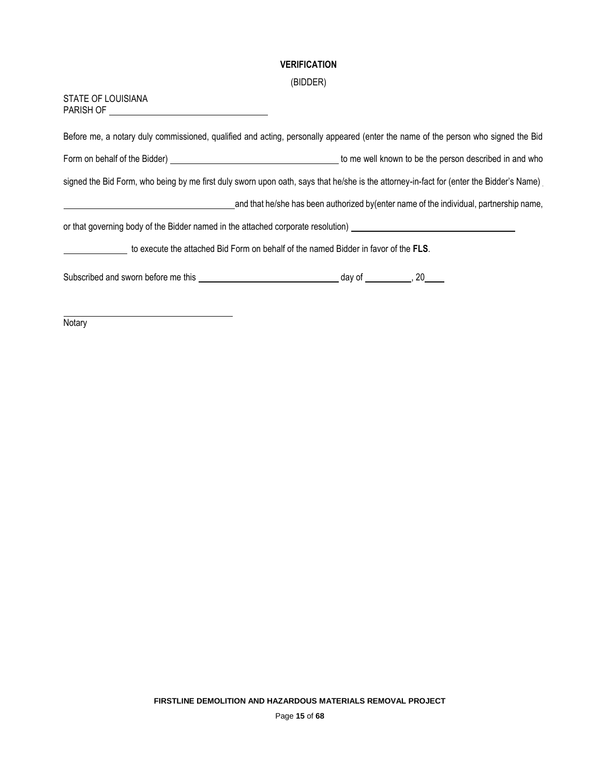# **VERIFICATION**

# (BIDDER)

| STATE OF LOUISIANA                                                                                                                      |                                                                                        |  |  |
|-----------------------------------------------------------------------------------------------------------------------------------------|----------------------------------------------------------------------------------------|--|--|
| Before me, a notary duly commissioned, qualified and acting, personally appeared (enter the name of the person who signed the Bid       |                                                                                        |  |  |
|                                                                                                                                         |                                                                                        |  |  |
| signed the Bid Form, who being by me first duly sworn upon oath, says that he/she is the attorney-in-fact for (enter the Bidder's Name) |                                                                                        |  |  |
|                                                                                                                                         | and that he/she has been authorized by(enter name of the individual, partnership name, |  |  |
|                                                                                                                                         |                                                                                        |  |  |
| to execute the attached Bid Form on behalf of the named Bidder in favor of the FLS.                                                     |                                                                                        |  |  |
|                                                                                                                                         |                                                                                        |  |  |

**Notary**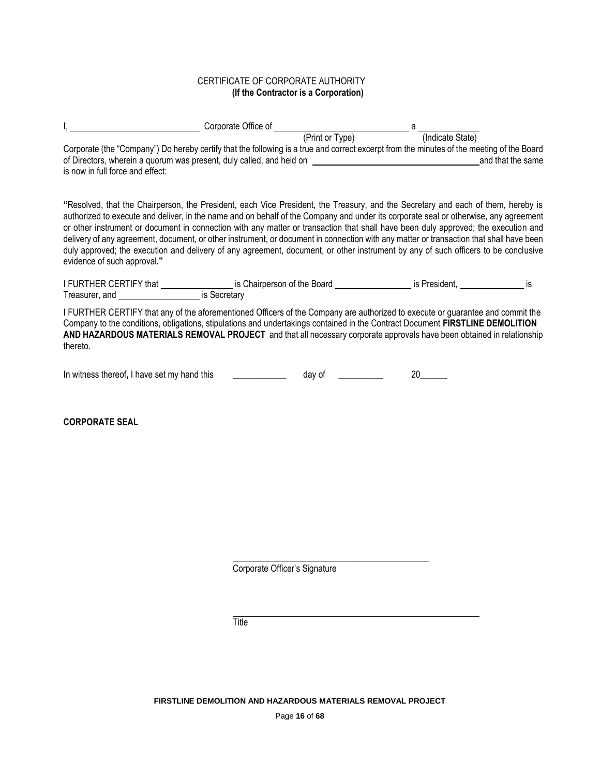# CERTIFICATE OF CORPORATE AUTHORITY  **(If the Contractor is a Corporation)**

|                                                                                                                                                                                                                                                                               |        | a  |                  |  |
|-------------------------------------------------------------------------------------------------------------------------------------------------------------------------------------------------------------------------------------------------------------------------------|--------|----|------------------|--|
|                                                                                                                                                                                                                                                                               |        |    | (Indicate State) |  |
| Corporate (the "Company") Do hereby certify that the following is a true and correct excerpt from the minutes of the meeting of the Board                                                                                                                                     |        |    |                  |  |
| of Directors, wherein a quorum was present, duly called, and held on the same of Directors, wherein a quorum was present, duly called, and held on                                                                                                                            |        |    |                  |  |
| is now in full force and effect:                                                                                                                                                                                                                                              |        |    |                  |  |
|                                                                                                                                                                                                                                                                               |        |    |                  |  |
| "Resolved, that the Chairperson, the President, each Vice President, the Treasury, and the Secretary and each of them, hereby is                                                                                                                                              |        |    |                  |  |
| authorized to execute and deliver, in the name and on behalf of the Company and under its corporate seal or otherwise, any agreement                                                                                                                                          |        |    |                  |  |
| or other instrument or document in connection with any matter or transaction that shall have been duly approved; the execution and                                                                                                                                            |        |    |                  |  |
| delivery of any agreement, document, or other instrument, or document in connection with any matter or transaction that shall have been<br>duly approved; the execution and delivery of any agreement, document, or other instrument by any of such officers to be conclusive |        |    |                  |  |
| evidence of such approval."                                                                                                                                                                                                                                                   |        |    |                  |  |
|                                                                                                                                                                                                                                                                               |        |    |                  |  |
| I FURTHER CERTIFY that ____________________ is Chairperson of the Board ____________________ is President, __________________ is                                                                                                                                              |        |    |                  |  |
| Treasurer, and <b>Figure 2016</b> is Secretary                                                                                                                                                                                                                                |        |    |                  |  |
| I FURTHER CERTIFY that any of the aforementioned Officers of the Company are authorized to execute or guarantee and commit the                                                                                                                                                |        |    |                  |  |
| Company to the conditions, obligations, stipulations and undertakings contained in the Contract Document FIRSTLINE DEMOLITION                                                                                                                                                 |        |    |                  |  |
| AND HAZARDOUS MATERIALS REMOVAL PROJECT and that all necessary corporate approvals have been obtained in relationship                                                                                                                                                         |        |    |                  |  |
| thereto.                                                                                                                                                                                                                                                                      |        |    |                  |  |
|                                                                                                                                                                                                                                                                               |        |    |                  |  |
| In witness thereof, I have set my hand this                                                                                                                                                                                                                                   | day of | 20 |                  |  |

**CORPORATE SEAL**

Corporate Officer's Signature

**\_\_\_\_\_\_\_\_\_\_\_\_\_\_\_\_\_\_\_\_\_\_\_\_\_\_\_\_\_\_\_\_\_\_\_\_\_\_\_\_\_\_\_\_**

**Title**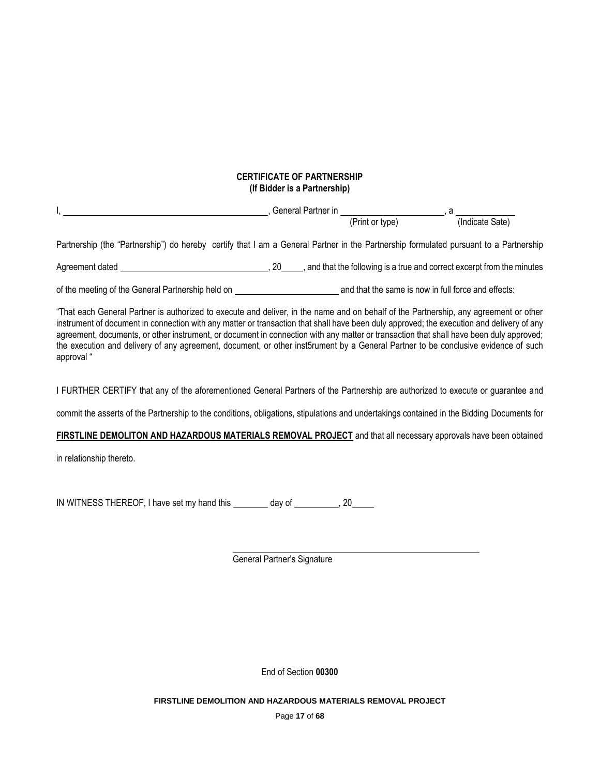# **CERTIFICATE OF PARTNERSHIP (If Bidder is a Partnership)**

| Partnership (the "Partnership") do hereby certify that I am a General Partner in the Partnership formulated pursuant to a Partnership                                                                                                                                                                                                                                                                                                                                                                                                                                             |                             |  |
|-----------------------------------------------------------------------------------------------------------------------------------------------------------------------------------------------------------------------------------------------------------------------------------------------------------------------------------------------------------------------------------------------------------------------------------------------------------------------------------------------------------------------------------------------------------------------------------|-----------------------------|--|
|                                                                                                                                                                                                                                                                                                                                                                                                                                                                                                                                                                                   |                             |  |
|                                                                                                                                                                                                                                                                                                                                                                                                                                                                                                                                                                                   |                             |  |
| "That each General Partner is authorized to execute and deliver, in the name and on behalf of the Partnership, any agreement or other<br>instrument of document in connection with any matter or transaction that shall have been duly approved; the execution and delivery of any<br>agreement, documents, or other instrument, or document in connection with any matter or transaction that shall have been duly approved;<br>the execution and delivery of any agreement, document, or other inst5rument by a General Partner to be conclusive evidence of such<br>approval " |                             |  |
| I FURTHER CERTIFY that any of the aforementioned General Partners of the Partnership are authorized to execute or guarantee and                                                                                                                                                                                                                                                                                                                                                                                                                                                   |                             |  |
| commit the asserts of the Partnership to the conditions, obligations, stipulations and undertakings contained in the Bidding Documents for                                                                                                                                                                                                                                                                                                                                                                                                                                        |                             |  |
| FIRSTLINE DEMOLITON AND HAZARDOUS MATERIALS REMOVAL PROJECT and that all necessary approvals have been obtained                                                                                                                                                                                                                                                                                                                                                                                                                                                                   |                             |  |
| in relationship thereto.                                                                                                                                                                                                                                                                                                                                                                                                                                                                                                                                                          |                             |  |
| IN WITNESS THEREOF, I have set my hand this _________ day of __________, 20_____                                                                                                                                                                                                                                                                                                                                                                                                                                                                                                  |                             |  |
|                                                                                                                                                                                                                                                                                                                                                                                                                                                                                                                                                                                   | General Partner's Signature |  |
|                                                                                                                                                                                                                                                                                                                                                                                                                                                                                                                                                                                   |                             |  |

End of Section **00300**

**FIRSTLINE DEMOLITION AND HAZARDOUS MATERIALS REMOVAL PROJECT** 

Page **17** of **68**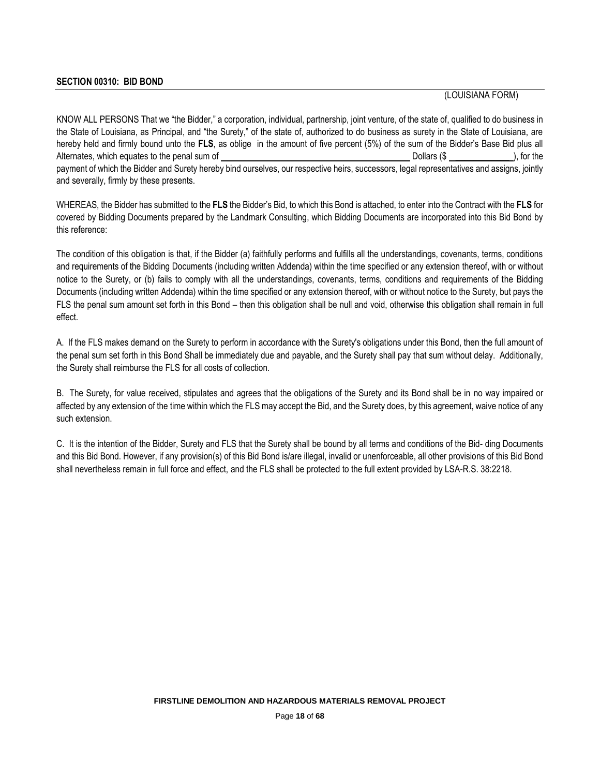## **SECTION 00310: BID BOND**

(LOUISIANA FORM)

KNOW ALL PERSONS That we "the Bidder," a corporation, individual, partnership, joint venture, of the state of, qualified to do business in the State of Louisiana, as Principal, and "the Surety," of the state of, authorized to do business as surety in the State of Louisiana, are hereby held and firmly bound unto the **FLS**, as oblige in the amount of five percent (5%) of the sum of the Bidder's Base Bid plus all Alternates, which equates to the penal sum of **Dollars** (\$ \_\_\_\_\_\_\_\_\_\_\_\_\_\_\_\_\_), for the payment of which the Bidder and Surety hereby bind ourselves, our respective heirs, successors, legal representatives and assigns, jointly and severally, firmly by these presents.

WHEREAS, the Bidder has submitted to the **FLS** the Bidder's Bid, to which this Bond is attached, to enter into the Contract with the **FLS** for covered by Bidding Documents prepared by the Landmark Consulting, which Bidding Documents are incorporated into this Bid Bond by this reference:

The condition of this obligation is that, if the Bidder (a) faithfully performs and fulfills all the understandings, covenants, terms, conditions and requirements of the Bidding Documents (including written Addenda) within the time specified or any extension thereof, with or without notice to the Surety, or (b) fails to comply with all the understandings, covenants, terms, conditions and requirements of the Bidding Documents (including written Addenda) within the time specified or any extension thereof, with or without notice to the Surety, but pays the FLS the penal sum amount set forth in this Bond – then this obligation shall be null and void, otherwise this obligation shall remain in full effect.

A. If the FLS makes demand on the Surety to perform in accordance with the Surety's obligations under this Bond, then the full amount of the penal sum set forth in this Bond Shall be immediately due and payable, and the Surety shall pay that sum without delay. Additionally, the Surety shall reimburse the FLS for all costs of collection.

B. The Surety, for value received, stipulates and agrees that the obligations of the Surety and its Bond shall be in no way impaired or affected by any extension of the time within which the FLS may accept the Bid, and the Surety does, by this agreement, waive notice of any such extension.

C. It is the intention of the Bidder, Surety and FLS that the Surety shall be bound by all terms and conditions of the Bid- ding Documents and this Bid Bond. However, if any provision(s) of this Bid Bond is/are illegal, invalid or unenforceable, all other provisions of this Bid Bond shall nevertheless remain in full force and effect, and the FLS shall be protected to the full extent provided by LSA-R.S. 38:2218.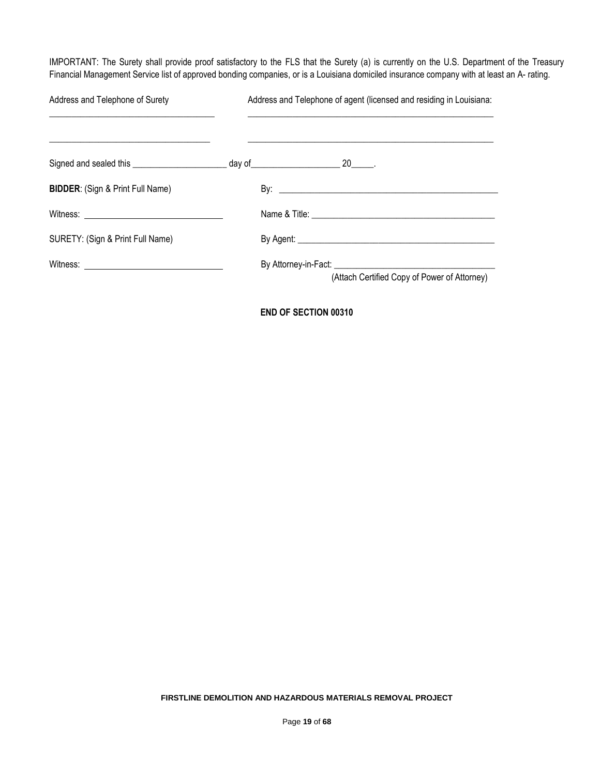IMPORTANT: The Surety shall provide proof satisfactory to the FLS that the Surety (a) is currently on the U.S. Department of the Treasury Financial Management Service list of approved bonding companies, or is a Louisiana domiciled insurance company with at least an A- rating.

| Address and Telephone of Surety             | Address and Telephone of agent (licensed and residing in Louisiana: |
|---------------------------------------------|---------------------------------------------------------------------|
|                                             |                                                                     |
| <b>BIDDER: (Sign &amp; Print Full Name)</b> |                                                                     |
|                                             |                                                                     |
| SURETY: (Sign & Print Full Name)            |                                                                     |
|                                             | (Attach Certified Copy of Power of Attorney)                        |

**END OF SECTION 00310**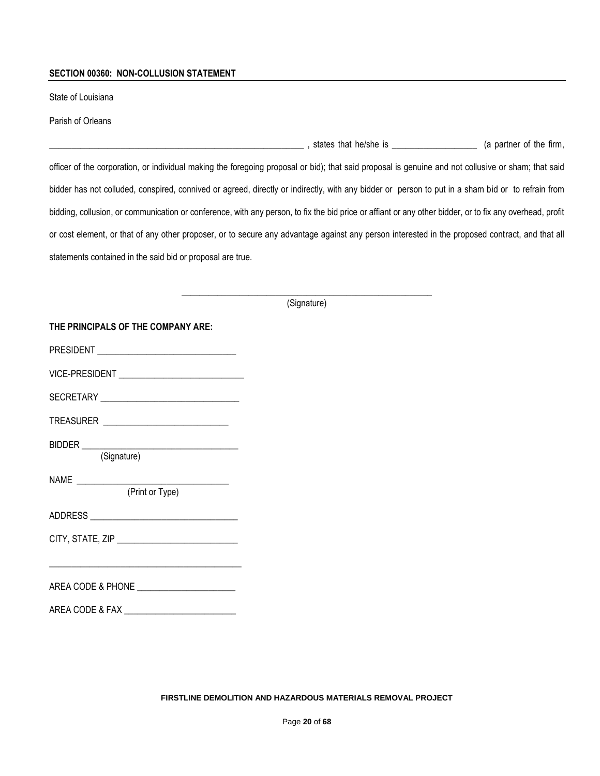#### **SECTION 00360: NON-COLLUSION STATEMENT**

State of Louisiana

Parish of Orleans

\_\_\_\_\_\_\_\_\_\_\_\_\_\_\_\_\_\_\_\_\_\_\_\_\_\_\_\_\_\_\_\_\_\_\_\_\_\_\_\_\_\_\_\_\_\_\_\_\_\_\_\_\_\_\_\_\_ , states that he/she is \_\_\_\_\_\_\_\_\_\_\_\_\_\_\_\_\_\_\_ (a partner of the firm,

officer of the corporation, or individual making the foregoing proposal or bid); that said proposal is genuine and not collusive or sham; that said bidder has not colluded, conspired, connived or agreed, directly or indirectly, with any bidder or person to put in a sham bid or to refrain from bidding, collusion, or communication or conference, with any person, to fix the bid price or affiant or any other bidder, or to fix any overhead, profit or cost element, or that of any other proposer, or to secure any advantage against any person interested in the proposed contract, and that all statements contained in the said bid or proposal are true.

> **\_\_\_\_\_\_\_\_\_\_\_\_\_\_\_\_\_\_\_\_\_\_\_\_\_\_\_\_\_\_\_\_\_\_\_\_\_\_\_\_\_\_\_\_\_\_\_\_\_\_\_\_\_\_\_\_** (Signature)

| THE PRINCIPALS OF THE COMPANY ARE:         |  |  |  |
|--------------------------------------------|--|--|--|
|                                            |  |  |  |
|                                            |  |  |  |
|                                            |  |  |  |
|                                            |  |  |  |
| (Signature)                                |  |  |  |
| (Print or Type)                            |  |  |  |
|                                            |  |  |  |
|                                            |  |  |  |
| AREA CODE & PHONE ________________________ |  |  |  |
|                                            |  |  |  |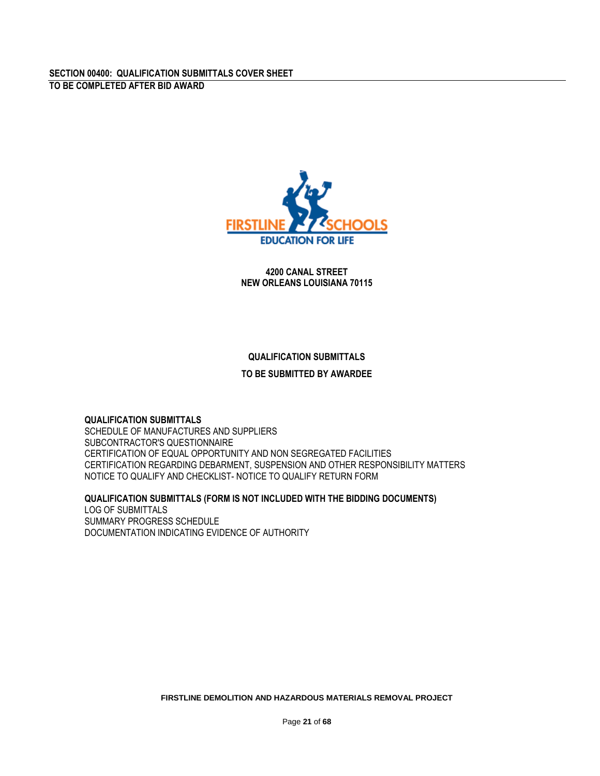

**4200 CANAL STREET NEW ORLEANS LOUISIANA 70115**

# **QUALIFICATION SUBMITTALS**

# **TO BE SUBMITTED BY AWARDEE**

# **QUALIFICATION SUBMITTALS**

SCHEDULE OF MANUFACTURES AND SUPPLIERS SUBCONTRACTOR'S QUESTIONNAIRE CERTIFICATION OF EQUAL OPPORTUNITY AND NON SEGREGATED FACILITIES CERTIFICATION REGARDING DEBARMENT, SUSPENSION AND OTHER RESPONSIBILITY MATTERS NOTICE TO QUALIFY AND CHECKLIST- NOTICE TO QUALIFY RETURN FORM

## **QUALIFICATION SUBMITTALS (FORM IS NOT INCLUDED WITH THE BIDDING DOCUMENTS)**

LOG OF SUBMITTALS SUMMARY PROGRESS SCHEDULE DOCUMENTATION INDICATING EVIDENCE OF AUTHORITY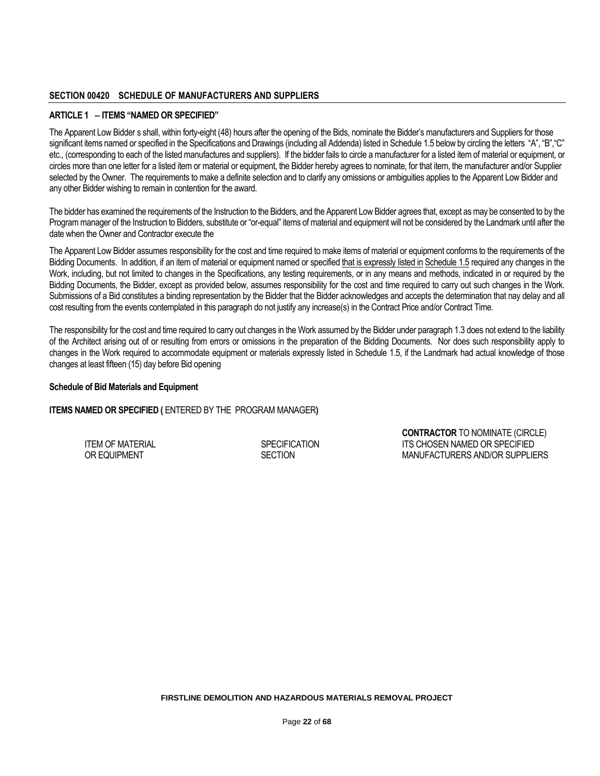#### **SECTION 00420 SCHEDULE OF MANUFACTURERS AND SUPPLIERS**

#### **ARTICLE 1 ITEMS "NAMED OR SPECIFIED"**

The Apparent Low Bidder s shall, within forty-eight (48) hours after the opening of the Bids, nominate the Bidder's manufacturers and Suppliers for those significant items named or specified in the Specifications and Drawings (including all Addenda) listed in Schedule 1.5 below by circling the letters "A", "B", "C" etc., (corresponding to each of the listed manufactures and suppliers). If the bidder fails to circle a manufacturer for a listed item of material or equipment, or circles more than one letter for a listed item or material or equipment, the Bidder hereby agrees to nominate, for that item, the manufacturer and/or Supplier selected by the Owner. The requirements to make a definite selection and to clarify any omissions or ambiguities applies to the Apparent Low Bidder and any other Bidder wishing to remain in contention for the award.

The bidder has examined the requirements of the Instruction to the Bidders, and the Apparent Low Bidder agrees that, except as may be consented to by the Program manager of the Instruction to Bidders, substitute or "or-equal" items of material and equipment will not be considered by the Landmark until after the date when the Owner and Contractor execute the

The Apparent Low Bidder assumes responsibility for the cost and time required to make items of material or equipment conforms to the requirements of the Bidding Documents. In addition, if an item of material or equipment named or specified that is expressly listed in Schedule 1.5 required any changes in the Work, including, but not limited to changes in the Specifications, any testing requirements, or in any means and methods, indicated in or required by the Bidding Documents, the Bidder, except as provided below, assumes responsibility for the cost and time required to carry out such changes in the Work. Submissions of a Bid constitutes a binding representation by the Bidder that the Bidder acknowledges and accepts the determination that nay delay and all cost resulting from the events contemplated in this paragraph do not justify any increase(s) in the Contract Price and/or Contract Time.

The responsibility for the cost and time required to carry out changes in the Work assumed by the Bidder under paragraph 1.3 does not extend to the liability of the Architect arising out of or resulting from errors or omissions in the preparation of the Bidding Documents. Nor does such responsibility apply to changes in the Work required to accommodate equipment or materials expressly listed in Schedule 1.5, if the Landmark had actual knowledge of those changes at least fifteen (15) day before Bid opening

#### **Schedule of Bid Materials and Equipment**

## **ITEMS NAMED OR SPECIFIED (** ENTERED BY THE PROGRAM MANAGER**)**

**CONTRACTOR** TO NOMINATE (CIRCLE) ITEM OF MATERIAL IS A SPECIFICATION ITS CHOSEN NAMED OR SPECIFIED OR SPECIFIED OR SPECIFIED OR SPECIFIED OR SPECIFIED SECTION MANUFACTURERS AND/OR SUPPLIERS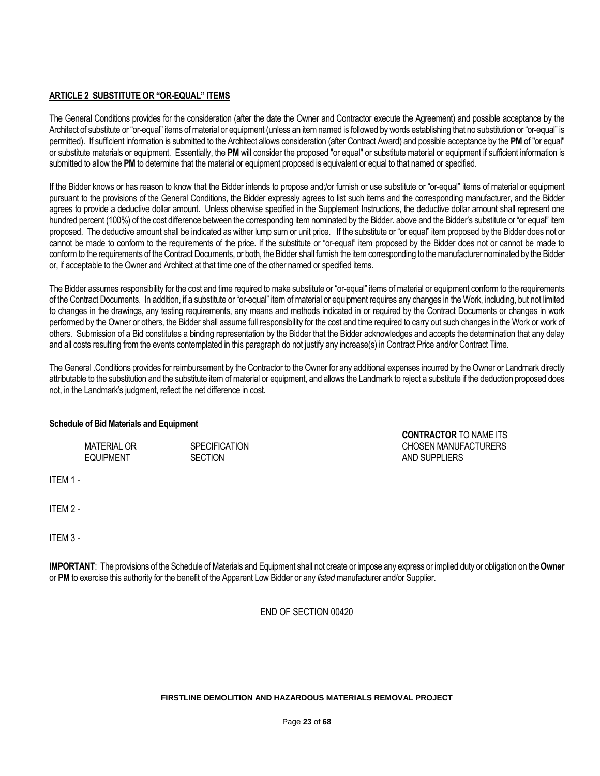## **ARTICLE 2 SUBSTITUTE OR "OR-EQUAL" ITEMS**

The General Conditions provides for the consideration (after the date the Owner and Contractor execute the Agreement) and possible acceptance by the Architect of substitute or "or-equal" items of material or equipment (unless an item named is followed by words establishing that no substitution or "or-equal" is permitted). If sufficient information is submitted to the Architect allows consideration (after Contract Award) and possible acceptance by the **PM** of "or equal" or substitute materials or equipment. Essentially, the **PM** will consider the proposed "or equal" or substitute material or equipment if sufficient information is submitted to allow the **PM** to determine that the material or equipment proposed is equivalent or equal to that named or specified.

If the Bidder knows or has reason to know that the Bidder intends to propose and;/or furnish or use substitute or "or-equal" items of material or equipment pursuant to the provisions of the General Conditions, the Bidder expressly agrees to list such items and the corresponding manufacturer, and the Bidder agrees to provide a deductive dollar amount. Unless otherwise specified in the Supplement Instructions, the deductive dollar amount shall represent one hundred percent (100%) of the cost difference between the corresponding item nominated by the Bidder. above and the Bidder's substitute or "or equal" item proposed. The deductive amount shall be indicated as wither lump sum or unit price. If the substitute or "or equal" item proposed by the Bidder does not or cannot be made to conform to the requirements of the price. If the substitute or "or-equal" item proposed by the Bidder does not or cannot be made to conform to the requirements of the Contract Documents, or both, the Bidder shall furnish the item corresponding to the manufacturer nominated by the Bidder or, if acceptable to the Owner and Architect at that time one of the other named or specified items.

The Bidder assumes responsibility for the cost and time required to make substitute or "or-equal" items of material or equipment conform to the requirements of the Contract Documents. In addition, if a substitute or "or-equal" item of material or equipment requires any changes in the Work, including, but not limited to changes in the drawings, any testing requirements, any means and methods indicated in or required by the Contract Documents or changes in work performed by the Owner or others, the Bidder shall assume full responsibility for the cost and time required to carry out such changes in the Work or work of others. Submission of a Bid constitutes a binding representation by the Bidder that the Bidder acknowledges and accepts the determination that any delay and all costs resulting from the events contemplated in this paragraph do not justify any increase(s) in Contract Price and/or Contract Time.

The General .Conditions provides for reimbursement by the Contractor to the Owner for any additional expenses incurred by the Owner or Landmark directly attributable to the substitution and the substitute item of material or equipment, and allows the Landmark to reject a substitute if the deduction proposed does not, in the Landmark's judgment, reflect the net difference in cost.

**CONTRACTOR** TO NAME ITS

## **Schedule of Bid Materials and Equipment**

MATERIAL OR SPECIFICATION CHOSEN MANUFACTURERS EQUIPMENT SECTION SECTION AND SUPPLIERS

ITEM 2 -

ITEM 1 -

ITEM 3 -

**IMPORTANT**: The provisions of the Schedule of Materials and Equipment shall not create or impose any express or implied duty or obligation on the **Owner** or **PM** to exercise this authority for the benefit of the Apparent Low Bidder or any *listed* manufacturer and/or Supplier.

END OF SECTION 00420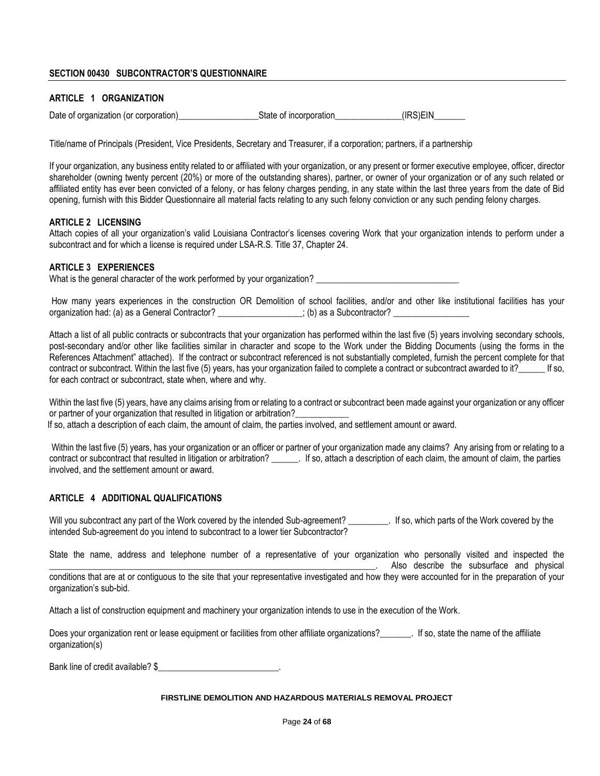# **SECTION 00430 SUBCONTRACTOR'S QUESTIONNAIRE**

# **ARTICLE 1 ORGANIZATION**

| Date of organization (or corporation) | State of incorporation | (IRS)EIN |
|---------------------------------------|------------------------|----------|
|                                       |                        |          |

Title/name of Principals (President, Vice Presidents, Secretary and Treasurer, if a corporation; partners, if a partnership

If your organization, any business entity related to or affiliated with your organization, or any present or former executive employee, officer, director shareholder (owning twenty percent (20%) or more of the outstanding shares), partner, or owner of your organization or of any such related or affiliated entity has ever been convicted of a felony, or has felony charges pending, in any state within the last three years from the date of Bid opening, furnish with this Bidder Questionnaire all material facts relating to any such felony conviction or any such pending felony charges.

#### **ARTICLE 2 LICENSING**

Attach copies of all your organization's valid Louisiana Contractor's licenses covering Work that your organization intends to perform under a subcontract and for which a license is required under LSA-R.S. Title 37, Chapter 24.

#### **ARTICLE 3 EXPERIENCES**

What is the general character of the work performed by your organization? \_\_\_\_\_\_\_\_\_\_\_\_

How many years experiences in the construction OR Demolition of school facilities, and/or and other like institutional facilities has your organization had: (a) as a General Contractor? \_\_\_\_\_\_\_\_\_\_\_\_\_\_; (b) as a Subcontractor? \_\_\_\_\_\_\_\_\_\_\_\_\_

Attach a list of all public contracts or subcontracts that your organization has performed within the last five (5) years involving secondary schools, post-secondary and/or other like facilities similar in character and scope to the Work under the Bidding Documents (using the forms in the References Attachment" attached). If the contract or subcontract referenced is not substantially completed, furnish the percent complete for that contract or subcontract. Within the last five (5) years, has your organization failed to complete a contract or subcontract awarded to it? If so, for each contract or subcontract, state when, where and why.

Within the last five (5) years, have any claims arising from or relating to a contract or subcontract been made against your organization or any officer or partner of your organization that resulted in litigation or arbitration?

If so, attach a description of each claim, the amount of claim, the parties involved, and settlement amount or award.

Within the last five (5) years, has your organization or an officer or partner of your organization made any claims? Any arising from or relating to a contract or subcontract that resulted in litigation or arbitration? \_\_\_\_\_\_\_. If so, attach a description of each claim, the amount of claim, the parties involved, and the settlement amount or award.

## **ARTICLE 4 ADDITIONAL QUALIFICATIONS**

Will you subcontract any part of the Work covered by the intended Sub-agreement? \_\_\_\_\_\_\_\_\_. If so, which parts of the Work covered by the intended Sub-agreement do you intend to subcontract to a lower tier Subcontractor?

State the name, address and telephone number of a representative of your organization who personally visited and inspected the . Also describe the subsurface and physical conditions that are at or contiguous to the site that your representative investigated and how they were accounted for in the preparation of your organization's sub-bid.

Attach a list of construction equipment and machinery your organization intends to use in the execution of the Work.

Does your organization rent or lease equipment or facilities from other affiliate organizations?<br>
If so, state the name of the affiliate organization(s)

Bank line of credit available? \$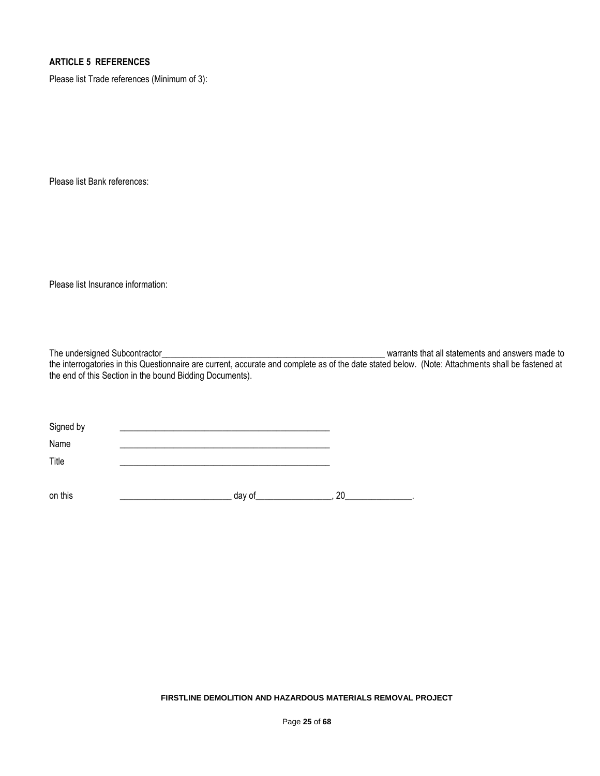# **ARTICLE 5 REFERENCES**

Please list Trade references (Minimum of 3):

Please list Bank references:

Please list Insurance information:

The undersigned Subcontractor\_\_\_\_\_\_\_\_\_\_\_\_\_\_\_\_\_\_\_\_\_\_\_\_\_\_\_\_\_\_\_\_\_\_\_\_\_\_\_\_\_\_\_\_\_\_\_\_\_\_ warrants that all statements and answers made to the interrogatories in this Questionnaire are current, accurate and complete as of the date stated below. (Note: Attachments shall be fastened at the end of this Section in the bound Bidding Documents).

| Signed by |        |    |
|-----------|--------|----|
| Name      |        |    |
| Title     |        |    |
|           |        |    |
| on this   | day of | 20 |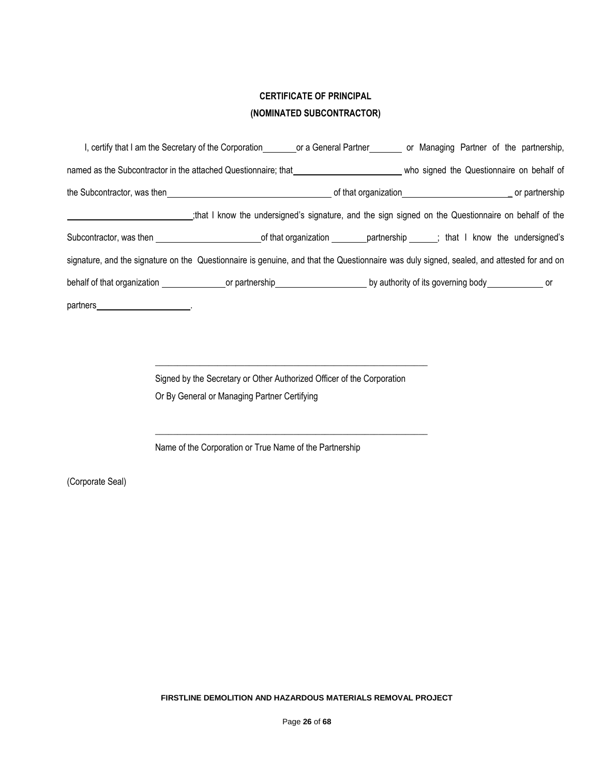# **CERTIFICATE OF PRINCIPAL (NOMINATED SUBCONTRACTOR)**

| I, certify that I am the Secretary of the Corporation or a General Partner or Managing Partner of the partnership,                        |                                                                                                    |  |  |                                           |
|-------------------------------------------------------------------------------------------------------------------------------------------|----------------------------------------------------------------------------------------------------|--|--|-------------------------------------------|
| named as the Subcontractor in the attached Questionnaire; that                                                                            |                                                                                                    |  |  | who signed the Questionnaire on behalf of |
|                                                                                                                                           |                                                                                                    |  |  |                                           |
|                                                                                                                                           | that I know the undersigned's signature, and the sign signed on the Questionnaire on behalf of the |  |  |                                           |
|                                                                                                                                           |                                                                                                    |  |  |                                           |
| signature, and the signature on the Questionnaire is genuine, and that the Questionnaire was duly signed, sealed, and attested for and on |                                                                                                    |  |  |                                           |
|                                                                                                                                           |                                                                                                    |  |  |                                           |
| partners_<br>the contract of the contract of the                                                                                          |                                                                                                    |  |  |                                           |

Signed by the Secretary or Other Authorized Officer of the Corporation Or By General or Managing Partner Certifying

\_\_\_\_\_\_\_\_\_\_\_\_\_\_\_\_\_\_\_\_\_\_\_\_\_\_\_\_\_\_\_\_\_\_\_\_\_\_\_\_\_\_\_\_\_\_\_\_\_\_\_\_\_\_\_\_\_\_\_\_\_

\_\_\_\_\_\_\_\_\_\_\_\_\_\_\_\_\_\_\_\_\_\_\_\_\_\_\_\_\_\_\_\_\_\_\_\_\_\_\_\_\_\_\_\_\_\_\_\_\_\_\_\_\_\_\_\_\_\_\_\_\_

Name of the Corporation or True Name of the Partnership

(Corporate Seal)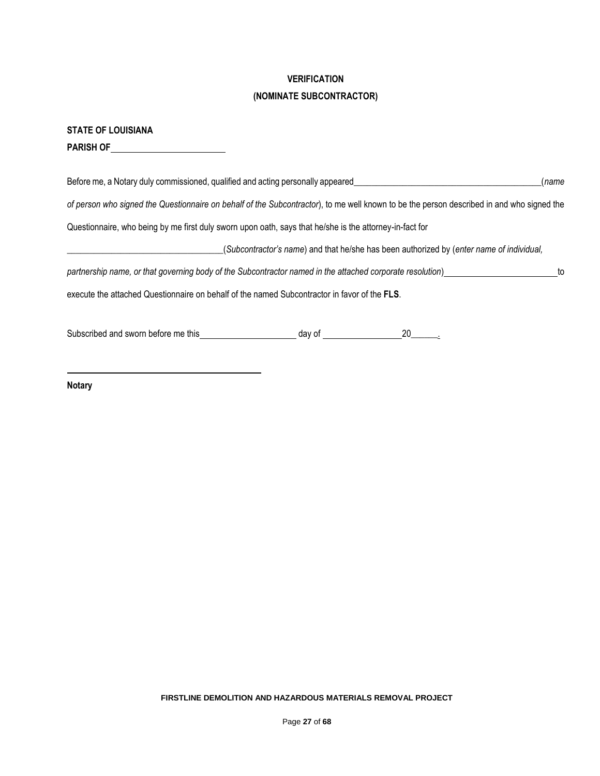# **VERIFICATION**

# **(NOMINATE SUBCONTRACTOR)**

**PARISH OF** 

| Before me, a Notary duly commissioned, qualified and acting personally appeared<br>(name                                                                        |    |
|-----------------------------------------------------------------------------------------------------------------------------------------------------------------|----|
| of person who signed the Questionnaire on behalf of the Subcontractor), to me well known to be the person described in and who signed the                       |    |
| Questionnaire, who being by me first duly sworn upon oath, says that he/she is the attorney-in-fact for                                                         |    |
| (Subcontractor's name) and that he/she has been authorized by (enter name of individual,                                                                        |    |
| partnership name, or that governing body of the Subcontractor named in the attached corporate resolution)                                                       | to |
| execute the attached Questionnaire on behalf of the named Subcontractor in favor of the FLS.                                                                    |    |
| Subscribed and sworn before me this<br>day of the control of the control of the control of the control of the control of the control of the control o<br>$20$ . |    |

**Notary**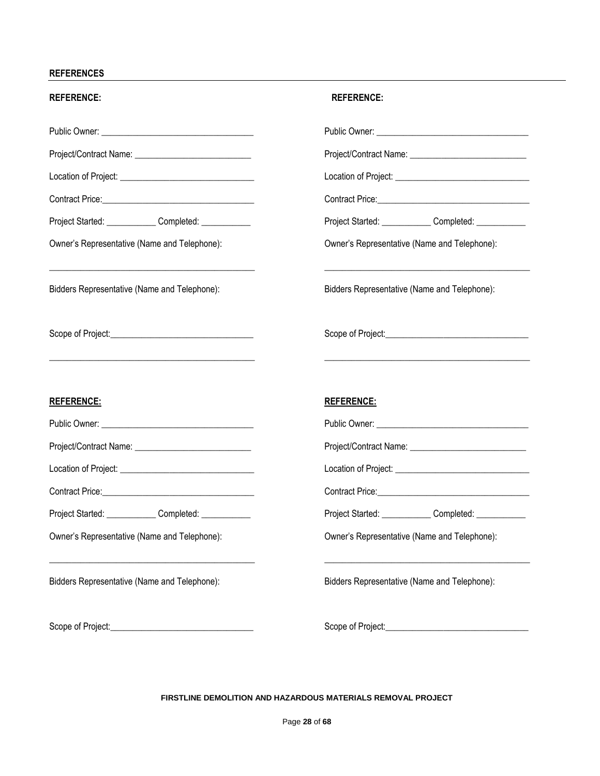## **REFERENCES**

| <b>REFERENCE:</b>                                                                                                                                                     | <b>REFERENCE:</b>                                      |
|-----------------------------------------------------------------------------------------------------------------------------------------------------------------------|--------------------------------------------------------|
|                                                                                                                                                                       |                                                        |
| Project/Contract Name: _______________________________                                                                                                                |                                                        |
|                                                                                                                                                                       |                                                        |
|                                                                                                                                                                       |                                                        |
| Project Started: Completed: Completed:                                                                                                                                | Project Started: ______________Completed: ____________ |
| Owner's Representative (Name and Telephone):                                                                                                                          | Owner's Representative (Name and Telephone):           |
| <u> 1989 - Johann Stoff, deutscher Stoff, der Stoff, der Stoff, der Stoff, der Stoff, der Stoff, der Stoff, der S</u><br>Bidders Representative (Name and Telephone): | Bidders Representative (Name and Telephone):           |
|                                                                                                                                                                       |                                                        |
| <u>REFERENCE:</u>                                                                                                                                                     | <b>REFERENCE:</b>                                      |
|                                                                                                                                                                       |                                                        |
|                                                                                                                                                                       |                                                        |
|                                                                                                                                                                       |                                                        |
|                                                                                                                                                                       |                                                        |
| Project Started: Completed: Completed:                                                                                                                                | Project Started: ______________Completed: ____________ |
| Owner's Representative (Name and Telephone):                                                                                                                          | Owner's Representative (Name and Telephone):           |
| Bidders Representative (Name and Telephone):                                                                                                                          | Bidders Representative (Name and Telephone):           |
| Scope of Project: Scope of Project:                                                                                                                                   |                                                        |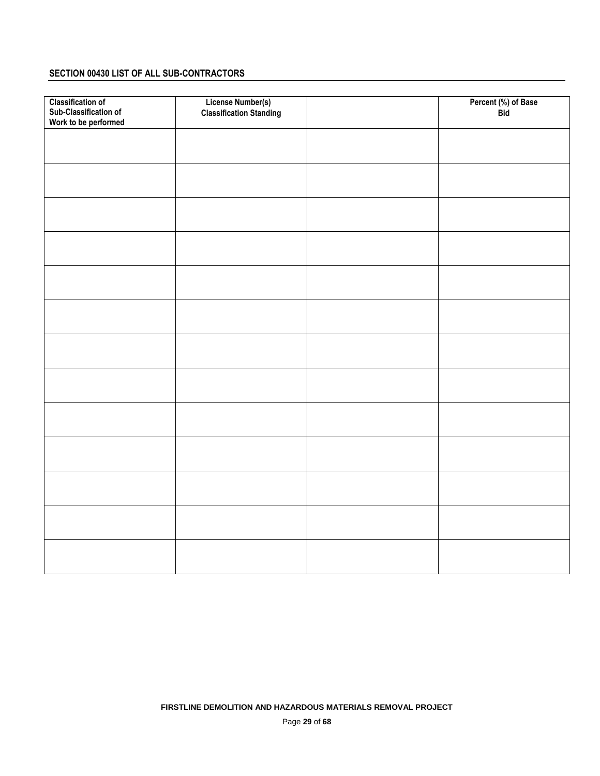# **SECTION 00430 LIST OF ALL SUB-CONTRACTORS**

| <b>Classification of</b> | <b>License Number(s)</b>       | Percent (%) of Base |
|--------------------------|--------------------------------|---------------------|
| Sub-Classification of    | <b>Classification Standing</b> | <b>Bid</b>          |
| Work to be performed     |                                |                     |
|                          |                                |                     |
|                          |                                |                     |
|                          |                                |                     |
|                          |                                |                     |
|                          |                                |                     |
|                          |                                |                     |
|                          |                                |                     |
|                          |                                |                     |
|                          |                                |                     |
|                          |                                |                     |
|                          |                                |                     |
|                          |                                |                     |
|                          |                                |                     |
|                          |                                |                     |
|                          |                                |                     |
|                          |                                |                     |
|                          |                                |                     |
|                          |                                |                     |
|                          |                                |                     |
|                          |                                |                     |
|                          |                                |                     |
|                          |                                |                     |
|                          |                                |                     |
|                          |                                |                     |
|                          |                                |                     |
|                          |                                |                     |
|                          |                                |                     |
|                          |                                |                     |
|                          |                                |                     |
|                          |                                |                     |
|                          |                                |                     |
|                          |                                |                     |
|                          |                                |                     |
|                          |                                |                     |
|                          |                                |                     |
|                          |                                |                     |
|                          |                                |                     |
|                          |                                |                     |
|                          |                                |                     |
|                          |                                |                     |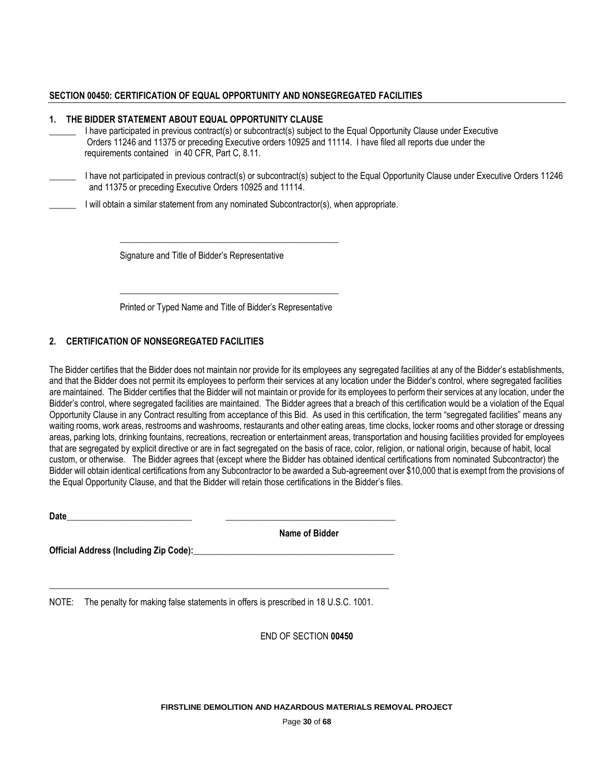## **SECTION 00450: CERTIFICATION OF EQUAL OPPORTUNITY AND NONSEGREGATED FACILITIES**

#### **1. THE BIDDER STATEMENT ABOUT EQUAL OPPORTUNITY CLAUSE**

- I have participated in previous contract(s) or subcontract(s) subject to the Equal Opportunity Clause under Executive Orders 11246 and 11375 or preceding Executive orders 10925 and 11114. I have filed all reports due under the requirements contained in 40 CFR, Part C, 8.11.
- \_\_\_\_\_\_ I have not participated in previous contract(s) or subcontract(s) subject to the Equal Opportunity Clause under Executive Orders 11246 and 11375 or preceding Executive Orders 10925 and 11114.
- \_\_\_\_\_\_ I will obtain a similar statement from any nominated Subcontractor(s), when appropriate.

\_\_\_\_\_\_\_\_\_\_\_\_\_\_\_\_\_\_\_\_\_\_\_\_\_\_\_\_\_\_\_\_\_\_\_\_\_\_\_\_\_\_\_\_\_\_\_\_\_

Signature and Title of Bidder's Representative

**\_\_\_\_\_\_\_\_\_\_\_\_\_\_\_\_\_\_\_\_\_\_\_\_\_\_\_\_\_\_\_\_\_\_\_\_\_\_\_\_\_\_\_\_\_\_\_\_\_** Printed or Typed Name and Title of Bidder's Representative

# **2. CERTIFICATION OF NONSEGREGATED FACILITIES**

The Bidder certifies that the Bidder does not maintain nor provide for its employees any segregated facilities at any of the Bidder's establishments, and that the Bidder does not permit its employees to perform their services at any location under the Bidder's control, where segregated facilities are maintained. The Bidder certifies that the Bidder will not maintain or provide for its employees to perform their services at any location, under the Bidder's control, where segregated facilities are maintained. The Bidder agrees that a breach of this certification would be a violation of the Equal Opportunity Clause in any Contract resulting from acceptance of this Bid. As used in this certification, the term "segregated facilities" means any waiting rooms, work areas, restrooms and washrooms, restaurants and other eating areas, time clocks, locker rooms and other storage or dressing areas, parking lots, drinking fountains, recreations, recreation or entertainment areas, transportation and housing facilities provided for employees that are segregated by explicit directive or are in fact segregated on the basis of race, color, religion, or national origin, because of habit, local custom, or otherwise. The Bidder agrees that (except where the Bidder has obtained identical certifications from nominated Subcontractor) the Bidder will obtain identical certifications from any Subcontractor to be awarded a Sub-agreement over \$10,000 that is exempt from the provisions of the Equal Opportunity Clause, and that the Bidder will retain those certifications in the Bidder's files.

**Date**\_\_\_\_\_\_\_\_\_\_\_\_\_\_\_\_\_\_\_\_\_\_\_\_\_\_\_\_ \_\_\_\_\_\_\_\_\_\_\_\_\_\_\_\_\_\_\_\_\_\_\_\_\_\_\_\_\_\_\_\_\_\_\_\_\_\_

**Name of Bidder**

**Official Address (Including Zip Code):** 

NOTE: The penalty for making false statements in offers is prescribed in 18 U.S.C. 1001.

**\_\_\_\_\_\_\_\_\_\_\_\_\_\_\_\_\_\_\_\_\_\_\_\_\_\_\_\_\_\_\_\_\_\_\_\_\_\_\_\_\_\_\_\_\_\_\_\_\_\_\_\_\_\_\_\_\_\_\_\_\_\_\_\_\_\_\_\_\_\_\_\_\_\_\_\_**

END OF SECTION **00450**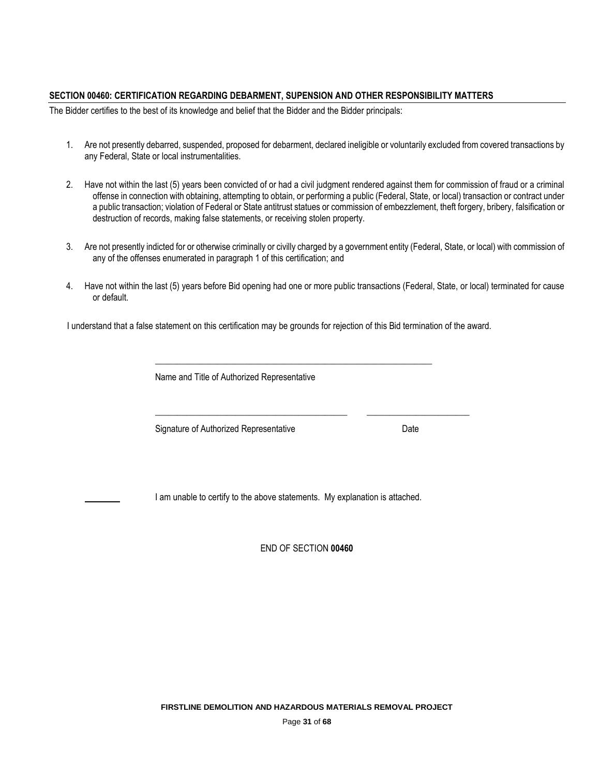## **SECTION 00460: CERTIFICATION REGARDING DEBARMENT, SUPENSION AND OTHER RESPONSIBILITY MATTERS**

The Bidder certifies to the best of its knowledge and belief that the Bidder and the Bidder principals:

- 1. Are not presently debarred, suspended, proposed for debarment, declared ineligible or voluntarily excluded from covered transactions by any Federal, State or local instrumentalities.
- 2. Have not within the last (5) years been convicted of or had a civil judgment rendered against them for commission of fraud or a criminal offense in connection with obtaining, attempting to obtain, or performing a public (Federal, State, or local) transaction or contract under a public transaction; violation of Federal or State antitrust statues or commission of embezzlement, theft forgery, bribery, falsification or destruction of records, making false statements, or receiving stolen property.
- 3. Are not presently indicted for or otherwise criminally or civilly charged by a government entity (Federal, State, or local) with commission of any of the offenses enumerated in paragraph 1 of this certification; and
- 4. Have not within the last (5) years before Bid opening had one or more public transactions (Federal, State, or local) terminated for cause or default.

I understand that a false statement on this certification may be grounds for rejection of this Bid termination of the award.

| Signature of Authorized Representative | Date |
|----------------------------------------|------|
|                                        |      |

END OF SECTION **00460**

**FIRSTLINE DEMOLITION AND HAZARDOUS MATERIALS REMOVAL PROJECT** 

Page **31** of **68**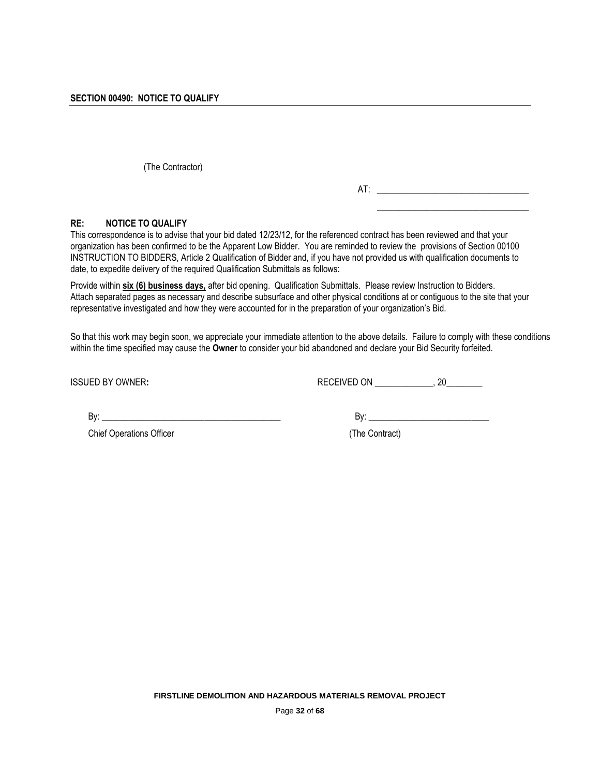(The Contractor)

AT: \_\_\_\_\_\_\_\_\_\_\_\_\_\_\_\_\_\_\_\_\_\_\_\_\_\_\_\_\_\_\_\_\_\_

\_\_\_\_\_\_\_\_\_\_\_\_\_\_\_\_\_\_\_\_\_\_\_\_\_\_\_\_\_\_\_\_\_\_

# **RE: NOTICE TO QUALIFY**

This correspondence is to advise that your bid dated 12/23/12, for the referenced contract has been reviewed and that your organization has been confirmed to be the Apparent Low Bidder. You are reminded to review the provisions of Section 00100 INSTRUCTION TO BIDDERS, Article 2 Qualification of Bidder and, if you have not provided us with qualification documents to date, to expedite delivery of the required Qualification Submittals as follows:

Provide within **six (6) business days,** after bid opening. Qualification Submittals. Please review Instruction to Bidders. Attach separated pages as necessary and describe subsurface and other physical conditions at or contiguous to the site that your representative investigated and how they were accounted for in the preparation of your organization's Bid.

So that this work may begin soon, we appreciate your immediate attention to the above details. Failure to comply with these conditions within the time specified may cause the **Owner** to consider your bid abandoned and declare your Bid Security forfeited.

ISSUED BY OWNER:  $RECEIVED ON$  \_\_\_\_\_\_\_\_\_, 20\_\_\_\_\_\_\_\_

Chief Operations Officer (The Contract)

 $\mathsf{By:}$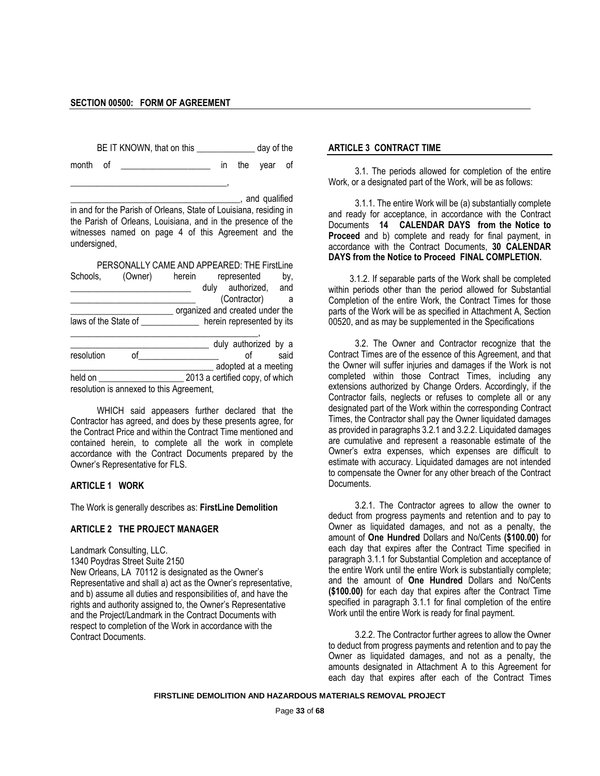\_\_\_\_\_\_\_\_\_\_\_\_\_\_\_\_\_\_\_\_\_\_\_\_\_\_\_\_\_\_\_\_\_\_\_,

BE IT KNOWN, that on this \_\_\_\_\_\_\_\_\_\_\_\_\_\_\_ day of the

month of the year of

\_\_\_\_\_\_\_\_\_\_\_\_\_\_\_\_\_\_\_\_\_\_\_\_\_\_\_\_\_\_\_\_\_\_\_\_\_\_, and qualified in and for the Parish of Orleans, State of Louisiana, residing in the Parish of Orleans, Louisiana, and in the presence of the witnesses named on page 4 of this Agreement and the undersigned,

PERSONALLY CAME AND APPEARED: THE FirstLine Schools, (Owner) herein represented by, duly authorized, and (Contractor) a comagnized and created under the laws of the State of \_\_\_\_\_\_\_\_\_\_\_\_\_\_\_\_ herein represented by its \_\_\_\_\_\_\_\_\_\_\_\_\_\_\_\_\_\_\_\_\_\_\_\_\_\_\_\_\_\_\_\_\_\_\_\_\_\_\_\_\_\_, \_\_\_\_\_\_\_\_\_\_\_\_\_\_\_\_\_\_\_\_\_\_ duly authorized by a

resolution of said \_\_\_\_\_\_\_\_\_\_\_\_\_\_\_\_\_\_\_\_\_\_\_\_\_\_\_\_\_\_\_\_ adopted at a meeting held on \_\_\_\_\_\_\_\_\_\_\_\_\_\_\_\_\_\_\_ 2013 a certified copy, of which

resolution is annexed to this Agreement,

WHICH said appeasers further declared that the Contractor has agreed, and does by these presents agree, for the Contract Price and within the Contract Time mentioned and contained herein, to complete all the work in complete accordance with the Contract Documents prepared by the Owner's Representative for FLS.

## **ARTICLE 1 WORK**

The Work is generally describes as: **FirstLine Demolition** 

#### **ARTICLE 2 THE PROJECT MANAGER**

Landmark Consulting, LLC. 1340 Poydras Street Suite 2150 New Orleans, LA 70112 is designated as the Owner's Representative and shall a) act as the Owner's representative, and b) assume all duties and responsibilities of, and have the rights and authority assigned to, the Owner's Representative and the Project/Landmark in the Contract Documents with respect to completion of the Work in accordance with the Contract Documents.

#### **ARTICLE 3 CONTRACT TIME**

3.1. The periods allowed for completion of the entire Work, or a designated part of the Work, will be as follows:

3.1.1. The entire Work will be (a) substantially complete and ready for acceptance, in accordance with the Contract Documents **14 CALENDAR DAYS from the Notice to Proceed** and b) complete and ready for final payment, in accordance with the Contract Documents, **30 CALENDAR DAYS from the Notice to Proceed FINAL COMPLETION.**

3.1.2. If separable parts of the Work shall be completed within periods other than the period allowed for Substantial Completion of the entire Work, the Contract Times for those parts of the Work will be as specified in Attachment A, Section 00520, and as may be supplemented in the Specifications

3.2. The Owner and Contractor recognize that the Contract Times are of the essence of this Agreement, and that the Owner will suffer injuries and damages if the Work is not completed within those Contract Times, including any extensions authorized by Change Orders. Accordingly, if the Contractor fails, neglects or refuses to complete all or any designated part of the Work within the corresponding Contract Times, the Contractor shall pay the Owner liquidated damages as provided in paragraphs 3.2.1 and 3.2.2. Liquidated damages are cumulative and represent a reasonable estimate of the Owner's extra expenses, which expenses are difficult to estimate with accuracy. Liquidated damages are not intended to compensate the Owner for any other breach of the Contract Documents.

3.2.1. The Contractor agrees to allow the owner to deduct from progress payments and retention and to pay to Owner as liquidated damages, and not as a penalty, the amount of **One Hundred** Dollars and No/Cents **(\$100.00)** for each day that expires after the Contract Time specified in paragraph 3.1.1 for Substantial Completion and acceptance of the entire Work until the entire Work is substantially complete; and the amount of **One Hundred** Dollars and No/Cents **(\$100.00)** for each day that expires after the Contract Time specified in paragraph 3.1.1 for final completion of the entire Work until the entire Work is ready for final payment.

3.2.2. The Contractor further agrees to allow the Owner to deduct from progress payments and retention and to pay the Owner as liquidated damages, and not as a penalty, the amounts designated in Attachment A to this Agreement for each day that expires after each of the Contract Times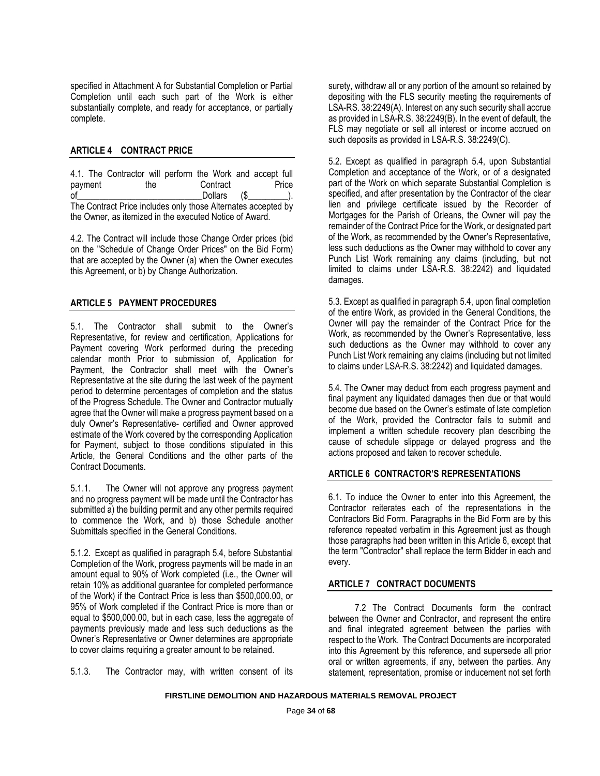specified in Attachment A for Substantial Completion or Partial Completion until each such part of the Work is either substantially complete, and ready for acceptance, or partially complete.

## **ARTICLE 4 CONTRACT PRICE**

4.1. The Contractor will perform the Work and accept full payment the Contract Price<br>of Dollars (\$)  $Dollars$  (\$  $)$ ). The Contract Price includes only those Alternates accepted by the Owner, as itemized in the executed Notice of Award.

4.2. The Contract will include those Change Order prices (bid on the "Schedule of Change Order Prices" on the Bid Form) that are accepted by the Owner (a) when the Owner executes this Agreement, or b) by Change Authorization.

# **ARTICLE 5 PAYMENT PROCEDURES**

5.1. The Contractor shall submit to the Owner's Representative, for review and certification, Applications for Payment covering Work performed during the preceding calendar month Prior to submission of, Application for Payment, the Contractor shall meet with the Owner's Representative at the site during the last week of the payment period to determine percentages of completion and the status of the Progress Schedule. The Owner and Contractor mutually agree that the Owner will make a progress payment based on a duly Owner's Representative- certified and Owner approved estimate of the Work covered by the corresponding Application for Payment, subject to those conditions stipulated in this Article, the General Conditions and the other parts of the Contract Documents.

5.1.1. The Owner will not approve any progress payment and no progress payment will be made until the Contractor has submitted a) the building permit and any other permits required to commence the Work, and b) those Schedule another Submittals specified in the General Conditions.

5.1.2. Except as qualified in paragraph 5.4, before Substantial Completion of the Work, progress payments will be made in an amount equal to 90% of Work completed (i.e., the Owner will retain 10% as additional guarantee for completed performance of the Work) if the Contract Price is less than \$500,000.00, or 95% of Work completed if the Contract Price is more than or equal to \$500,000.00, but in each case, less the aggregate of payments previously made and less such deductions as the Owner's Representative or Owner determines are appropriate to cover claims requiring a greater amount to be retained.

5.1.3. The Contractor may, with written consent of its

surety, withdraw all or any portion of the amount so retained by depositing with the FLS security meeting the requirements of LSA-RS. 38:2249(A). Interest on any such security shall accrue as provided in LSA-R.S. 38:2249(B). In the event of default, the FLS may negotiate or sell all interest or income accrued on such deposits as provided in LSA-R.S. 38:2249(C).

5.2. Except as qualified in paragraph 5.4, upon Substantial Completion and acceptance of the Work, or of a designated part of the Work on which separate Substantial Completion is specified, and after presentation by the Contractor of the clear lien and privilege certificate issued by the Recorder of Mortgages for the Parish of Orleans, the Owner will pay the remainder of the Contract Price for the Work, or designated part of the Work, as recommended by the Owner's Representative, less such deductions as the Owner may withhold to cover any Punch List Work remaining any claims (including, but not limited to claims under LSA-R.S. 38:2242) and liquidated damages.

5.3. Except as qualified in paragraph 5.4, upon final completion of the entire Work, as provided in the General Conditions, the Owner will pay the remainder of the Contract Price for the Work, as recommended by the Owner's Representative, less such deductions as the Owner may withhold to cover any Punch List Work remaining any claims (including but not limited to claims under LSA-R.S. 38:2242) and liquidated damages.

5.4. The Owner may deduct from each progress payment and final payment any liquidated damages then due or that would become due based on the Owner's estimate of late completion of the Work, provided the Contractor fails to submit and implement a written schedule recovery plan describing the cause of schedule slippage or delayed progress and the actions proposed and taken to recover schedule.

## **ARTICLE 6 CONTRACTOR'S REPRESENTATIONS**

6.1. To induce the Owner to enter into this Agreement, the Contractor reiterates each of the representations in the Contractors Bid Form. Paragraphs in the Bid Form are by this reference repeated verbatim in this Agreement just as though those paragraphs had been written in this Article 6, except that the term "Contractor" shall replace the term Bidder in each and every.

## **ARTICLE 7 CONTRACT DOCUMENTS**

7.2 The Contract Documents form the contract between the Owner and Contractor, and represent the entire and final integrated agreement between the parties with respect to the Work. The Contract Documents are incorporated into this Agreement by this reference, and supersede all prior oral or written agreements, if any, between the parties. Any statement, representation, promise or inducement not set forth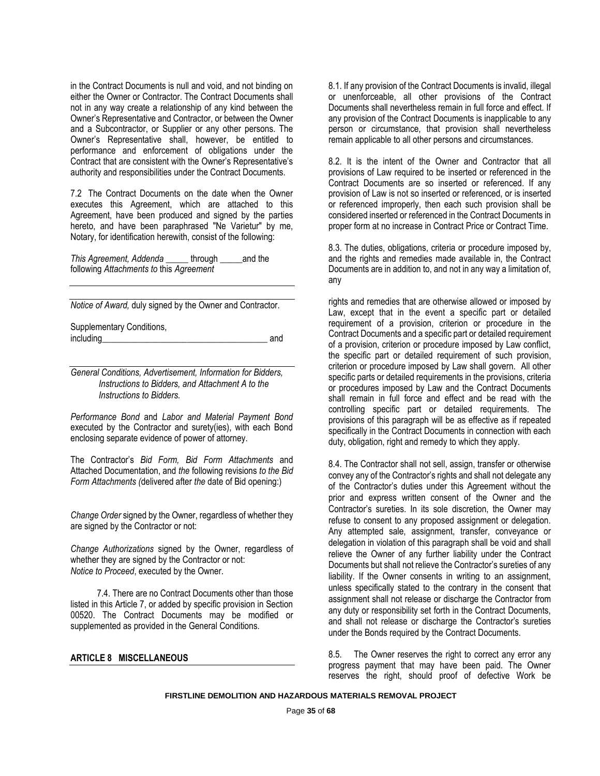in the Contract Documents is null and void, and not binding on either the Owner or Contractor. The Contract Documents shall not in any way create a relationship of any kind between the Owner's Representative and Contractor, or between the Owner and a Subcontractor, or Supplier or any other persons. The Owner's Representative shall, however, be entitled to performance and enforcement of obligations under the Contract that are consistent with the Owner's Representative's authority and responsibilities under the Contract Documents.

7.2 The Contract Documents on the date when the Owner executes this Agreement, which are attached to this Agreement, have been produced and signed by the parties hereto, and have been paraphrased "Ne Varietur" by me, Notary, for identification herewith, consist of the following:

*This Agreement, Addenda \_\_\_\_\_* through \_\_\_\_\_and the following *Attachments to* this *Agreement* 

*Notice of Award,* duly signed by the Owner and Contractor.

Supplementary Conditions, including and and  $\overline{a}$  and  $\overline{a}$  and  $\overline{a}$ 

*General Conditions, Advertisement, Information for Bidders, Instructions to Bidders, and Attachment A to the Instructions to Bidders.*

*Performance Bond* and *Labor and Material Payment Bond*  executed by the Contractor and surety(ies), with each Bond enclosing separate evidence of power of attorney.

The Contractor's *Bid Form, Bid Form Attachments* and Attached Documentation, and *the* following revisions *to the Bid Form Attachments (*delivered after *the* date of Bid opening:)

*Change Order* signed by the Owner, regardless of whether they are signed by the Contractor or not:

*Change Authorizations* signed by the Owner, regardless of whether they are signed by the Contractor or not: *Notice to Proceed*, executed by the Owner.

7.4. There are no Contract Documents other than those listed in this Article 7, or added by specific provision in Section 00520. The Contract Documents may be modified or supplemented as provided in the General Conditions.

## **ARTICLE 8 MISCELLANEOUS**

8.1. If any provision of the Contract Documents is invalid, illegal or unenforceable, all other provisions of the Contract Documents shall nevertheless remain in full force and effect. If any provision of the Contract Documents is inapplicable to any person or circumstance, that provision shall nevertheless remain applicable to all other persons and circumstances.

8.2. It is the intent of the Owner and Contractor that all provisions of Law required to be inserted or referenced in the Contract Documents are so inserted or referenced. If any provision of Law is not so inserted or referenced, or is inserted or referenced improperly, then each such provision shall be considered inserted or referenced in the Contract Documents in proper form at no increase in Contract Price or Contract Time.

8.3. The duties, obligations, criteria or procedure imposed by, and the rights and remedies made available in, the Contract Documents are in addition to, and not in any way a limitation of, any

rights and remedies that are otherwise allowed or imposed by Law, except that in the event a specific part or detailed requirement of a provision, criterion or procedure in the Contract Documents and a specific part or detailed requirement of a provision, criterion or procedure imposed by Law conflict, the specific part or detailed requirement of such provision, criterion or procedure imposed by Law shall govern. All other specific parts or detailed requirements in the provisions, criteria or procedures imposed by Law and the Contract Documents shall remain in full force and effect and be read with the controlling specific part or detailed requirements. The provisions of this paragraph will be as effective as if repeated specifically in the Contract Documents in connection with each duty, obligation, right and remedy to which they apply.

8.4. The Contractor shall not sell, assign, transfer or otherwise convey any of the Contractor's rights and shall not delegate any of the Contractor's duties under this Agreement without the prior and express written consent of the Owner and the Contractor's sureties. In its sole discretion, the Owner may refuse to consent to any proposed assignment or delegation. Any attempted sale, assignment, transfer, conveyance or delegation in violation of this paragraph shall be void and shall relieve the Owner of any further liability under the Contract Documents but shall not relieve the Contractor's sureties of any liability. If the Owner consents in writing to an assignment, unless specifically stated to the contrary in the consent that assignment shall not release or discharge the Contractor from any duty or responsibility set forth in the Contract Documents, and shall not release or discharge the Contractor's sureties under the Bonds required by the Contract Documents.

8.5. The Owner reserves the right to correct any error any progress payment that may have been paid. The Owner reserves the right, should proof of defective Work be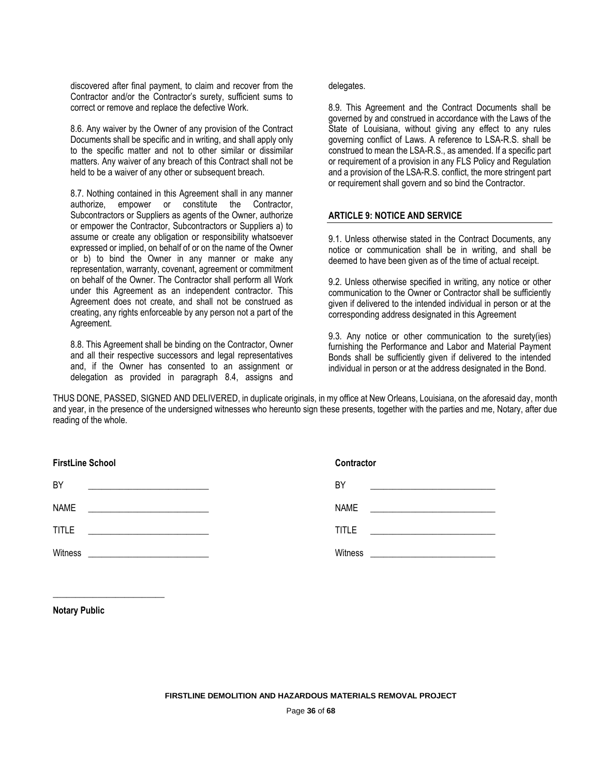discovered after final payment, to claim and recover from the Contractor and/or the Contractor's surety, sufficient sums to correct or remove and replace the defective Work.

8.6. Any waiver by the Owner of any provision of the Contract Documents shall be specific and in writing, and shall apply only to the specific matter and not to other similar or dissimilar matters. Any waiver of any breach of this Contract shall not be held to be a waiver of any other or subsequent breach.

8.7. Nothing contained in this Agreement shall in any manner authorize, empower or constitute the Contractor, Subcontractors or Suppliers as agents of the Owner, authorize or empower the Contractor, Subcontractors or Suppliers a) to assume or create any obligation or responsibility whatsoever expressed or implied, on behalf of or on the name of the Owner or b) to bind the Owner in any manner or make any representation, warranty, covenant, agreement or commitment on behalf of the Owner. The Contractor shall perform all Work under this Agreement as an independent contractor. This Agreement does not create, and shall not be construed as creating, any rights enforceable by any person not a part of the Agreement.

8.8. This Agreement shall be binding on the Contractor, Owner and all their respective successors and legal representatives and, if the Owner has consented to an assignment or delegation as provided in paragraph 8.4, assigns and

#### delegates.

8.9. This Agreement and the Contract Documents shall be governed by and construed in accordance with the Laws of the State of Louisiana, without giving any effect to any rules governing conflict of Laws. A reference to LSA-R.S. shall be construed to mean the LSA-R.S., as amended. If a specific part or requirement of a provision in any FLS Policy and Regulation and a provision of the LSA-R.S. conflict, the more stringent part or requirement shall govern and so bind the Contractor.

# **ARTICLE 9: NOTICE AND SERVICE**

9.1. Unless otherwise stated in the Contract Documents, any notice or communication shall be in writing, and shall be deemed to have been given as of the time of actual receipt.

9.2. Unless otherwise specified in writing, any notice or other communication to the Owner or Contractor shall be sufficiently given if delivered to the intended individual in person or at the corresponding address designated in this Agreement

9.3. Any notice or other communication to the surety(ies) furnishing the Performance and Labor and Material Payment Bonds shall be sufficiently given if delivered to the intended individual in person or at the address designated in the Bond.

THUS DONE, PASSED, SIGNED AND DELIVERED, in duplicate originals, in my office at New Orleans, Louisiana, on the aforesaid day, month and year, in the presence of the undersigned witnesses who hereunto sign these presents, together with the parties and me, Notary, after due reading of the whole.

| <b>FirstLine School</b> | <b>Contractor</b> |                                                                                                                       |
|-------------------------|-------------------|-----------------------------------------------------------------------------------------------------------------------|
| BY                      | BY                |                                                                                                                       |
| <b>NAME</b>             | <b>NAME</b>       | <u> 1980 - Jan Samuel Barbara, margaret e populazion del propinsi del propinsi del propinsi del propinsi del pro</u>  |
| <b>TITLE</b>            | <b>TITLE</b>      | <u> 1980 - Jan Samuel Barbara, margaret e populazion del control de la provincia del control de la provincia del </u> |
| Witness                 | Witness           |                                                                                                                       |

**Notary Public**

**\_\_\_\_\_\_\_\_\_\_\_\_\_\_\_\_\_\_\_\_\_\_\_\_\_**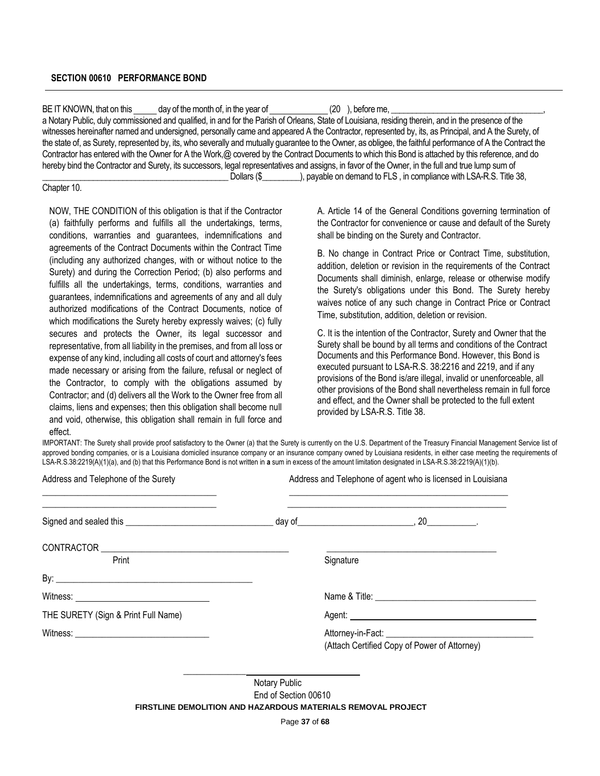#### **SECTION 00610 PERFORMANCE BOND**

BE IT KNOWN, that on this day of the month of, in the year of  $(20)$ , before me, a Notary Public, duly commissioned and qualified, in and for the Parish of Orleans, State of Louisiana, residing therein, and in the presence of the witnesses hereinafter named and undersigned, personally came and appeared A the Contractor, represented by, its, as Principal, and A the Surety, of the state of, as Surety, represented by, its, who severally and mutually guarantee to the Owner, as obligee, the faithful performance of A the Contract the Contractor has entered with the Owner for A the Work,@ covered by the Contract Documents to which this Bond is attached by this reference, and do hereby bind the Contractor and Surety, its successors, legal representatives and assigns, in favor of the Owner, in the full and true lump sum of Dollars (\$ The Deltar September on demand to FLS , in compliance with LSA-R.S. Title 38,

Chapter 10.

NOW, THE CONDITION of this obligation is that if the Contractor (a) faithfully performs and fulfills all the undertakings, terms, conditions, warranties and guarantees, indemnifications and agreements of the Contract Documents within the Contract Time (including any authorized changes, with or without notice to the Surety) and during the Correction Period; (b) also performs and fulfills all the undertakings, terms, conditions, warranties and guarantees, indemnifications and agreements of any and all duly authorized modifications of the Contract Documents, notice of which modifications the Surety hereby expressly waives; (c) fully secures and protects the Owner, its legal successor and representative, from all liability in the premises, and from all loss or expense of any kind, including all costs of court and attorney's fees made necessary or arising from the failure, refusal or neglect of the Contractor, to comply with the obligations assumed by Contractor; and (d) delivers all the Work to the Owner free from all claims, liens and expenses; then this obligation shall become null and void, otherwise, this obligation shall remain in full force and effect.

A. Article 14 of the General Conditions governing termination of the Contractor for convenience or cause and default of the Surety shall be binding on the Surety and Contractor.

B. No change in Contract Price or Contract Time, substitution, addition, deletion or revision in the requirements of the Contract Documents shall diminish, enlarge, release or otherwise modify the Surety's obligations under this Bond. The Surety hereby waives notice of any such change in Contract Price or Contract Time, substitution, addition, deletion or revision.

C. It is the intention of the Contractor, Surety and Owner that the Surety shall be bound by all terms and conditions of the Contract Documents and this Performance Bond. However, this Bond is executed pursuant to LSA-R.S. 38:2216 and 2219, and if any provisions of the Bond is/are illegal, invalid or unenforceable, all other provisions of the Bond shall nevertheless remain in full force and effect, and the Owner shall be protected to the full extent provided by LSA-R.S. Title 38.

IMPORTANT: The Surety shall provide proof satisfactory to the Owner (a) that the Surety is currently on the U.S. Department of the Treasury Financial Management Service list of approved bonding companies, or is a Louisiana domiciled insurance company or an insurance company owned by Louisiana residents, in either case meeting the requirements of LSA-R.S.38:2219(A)(1)(a), and (b) that this Performance Bond is not written in **a** sum in excess of the amount limitation designated in LSA-R.S.38:2219(A)(1)(b).

| Address and Telephone of the Surety | Address and Telephone of agent who is licensed in Louisiana |                                              |
|-------------------------------------|-------------------------------------------------------------|----------------------------------------------|
|                                     |                                                             |                                              |
|                                     |                                                             |                                              |
| Print                               |                                                             | Signature                                    |
|                                     |                                                             |                                              |
|                                     |                                                             |                                              |
| THE SURETY (Sign & Print Full Name) |                                                             |                                              |
|                                     |                                                             | (Attach Certified Copy of Power of Attorney) |
|                                     | ALL BUD                                                     |                                              |

Notary Public End of Section 00610

**FIRSTLINE DEMOLITION AND HAZARDOUS MATERIALS REMOVAL PROJECT** 

Page **37** of **68**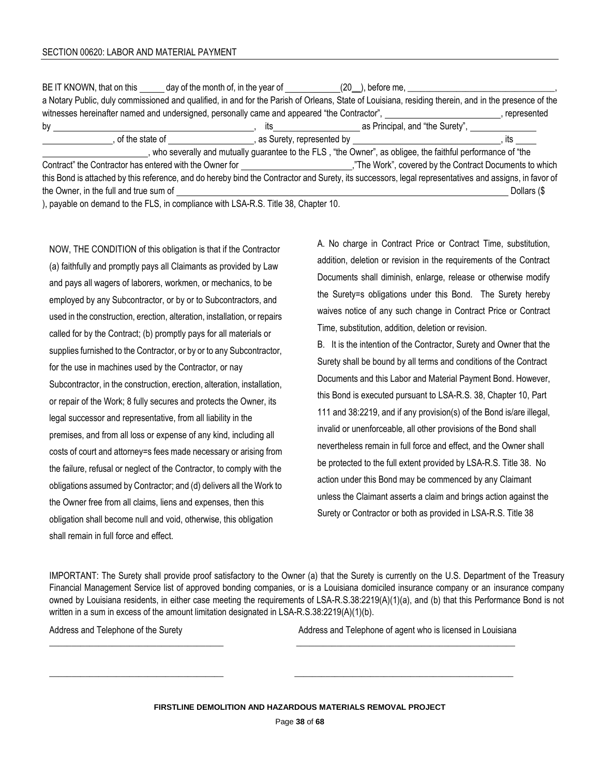|                                        | BE IT KNOWN, that on this ______ day of the month of, in the year of ___________(20_), before me, ___________                                         |                                     |               |
|----------------------------------------|-------------------------------------------------------------------------------------------------------------------------------------------------------|-------------------------------------|---------------|
|                                        | a Notary Public, duly commissioned and qualified, in and for the Parish of Orleans, State of Louisiana, residing therein, and in the presence of the  |                                     |               |
|                                        | witnesses hereinafter named and undersigned, personally came and appeared "the Contractor",                                                           |                                     | , represented |
| by                                     |                                                                                                                                                       | its as Principal, and "the Surety", |               |
|                                        |                                                                                                                                                       |                                     |               |
|                                        | , who severally and mutually guarantee to the FLS, "the Owner", as obligee, the faithful performance of "the                                          |                                     |               |
|                                        |                                                                                                                                                       |                                     |               |
| the Owner, in the full and true sum of | this Bond is attached by this reference, and do hereby bind the Contractor and Surety, its successors, legal representatives and assigns, in favor of |                                     | Dollars (\$   |

), payable on demand to the FLS, in compliance with LSA-R.S. Title 38, Chapter 10.

NOW, THE CONDITION of this obligation is that if the Contractor (a) faithfully and promptly pays all Claimants as provided by Law and pays all wagers of laborers, workmen, or mechanics, to be employed by any Subcontractor, or by or to Subcontractors, and used in the construction, erection, alteration, installation, or repairs called for by the Contract; (b) promptly pays for all materials or supplies furnished to the Contractor, or by or to any Subcontractor, for the use in machines used by the Contractor, or nay Subcontractor, in the construction, erection, alteration, installation, or repair of the Work; 8 fully secures and protects the Owner, its legal successor and representative, from all liability in the premises, and from all loss or expense of any kind, including all costs of court and attorney=s fees made necessary or arising from the failure, refusal or neglect of the Contractor, to comply with the obligations assumed by Contractor; and (d) delivers all the Work to the Owner free from all claims, liens and expenses, then this obligation shall become null and void, otherwise, this obligation shall remain in full force and effect.

A. No charge in Contract Price or Contract Time, substitution, addition, deletion or revision in the requirements of the Contract Documents shall diminish, enlarge, release or otherwise modify the Surety=s obligations under this Bond. The Surety hereby waives notice of any such change in Contract Price or Contract Time, substitution, addition, deletion or revision.

B. It is the intention of the Contractor, Surety and Owner that the Surety shall be bound by all terms and conditions of the Contract Documents and this Labor and Material Payment Bond. However, this Bond is executed pursuant to LSA-R.S. 38, Chapter 10, Part 111 and 38:2219, and if any provision(s) of the Bond is/are illegal, invalid or unenforceable, all other provisions of the Bond shall nevertheless remain in full force and effect, and the Owner shall be protected to the full extent provided by LSA-R.S. Title 38. No action under this Bond may be commenced by any Claimant unless the Claimant asserts a claim and brings action against the Surety or Contractor or both as provided in LSA-R.S. Title 38

IMPORTANT: The Surety shall provide proof satisfactory to the Owner (a) that the Surety is currently on the U.S. Department of the Treasury Financial Management Service list of approved bonding companies, or is a Louisiana domiciled insurance company or an insurance company owned by Louisiana residents, in either case meeting the requirements of LSA-R.S.38:2219(A)(1)(a), and (b) that this Performance Bond is not written in a sum in excess of the amount limitation designated in LSA-R.S.38:2219(A)(1)(b).

Address and Telephone of the Surety **Address** and Telephone of agent who is licensed in Louisiana

\_\_\_\_\_\_\_\_\_\_\_\_\_\_\_\_\_\_\_\_\_\_\_\_\_\_\_\_\_\_\_\_\_\_\_\_\_\_\_ \_\_\_\_\_\_\_\_\_\_\_\_\_\_\_\_\_\_\_\_\_\_\_\_\_\_\_\_\_\_\_\_\_\_\_\_\_\_\_\_\_\_\_\_\_\_\_\_\_

\_\_\_\_\_\_\_\_\_\_\_\_\_\_\_\_\_\_\_\_\_\_\_\_\_\_\_\_\_\_\_\_\_\_\_\_\_\_\_ \_\_\_\_\_\_\_\_\_\_\_\_\_\_\_\_\_\_\_\_\_\_\_\_\_\_\_\_\_\_\_\_\_\_\_\_\_\_\_\_\_\_\_\_\_\_\_\_\_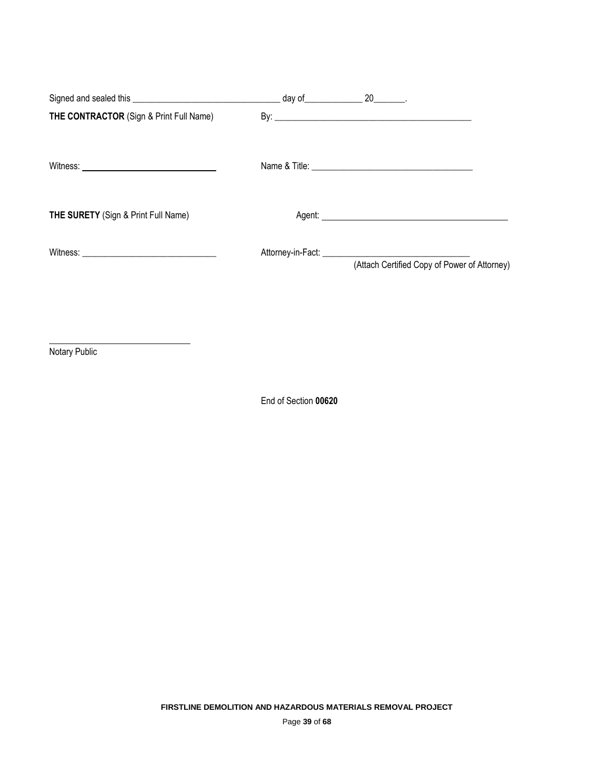| (Attach Certified Copy of Power of Attorney) |
|----------------------------------------------|
|                                              |
|                                              |

Notary Public

End of Section **00620**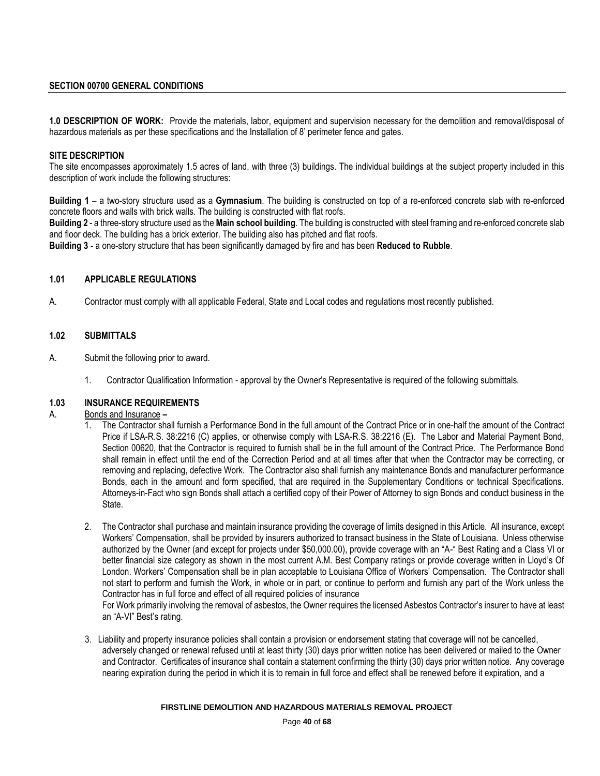## **SECTION 00700 GENERAL CONDITIONS**

**1.0 DESCRIPTION OF WORK:** Provide the materials, labor, equipment and supervision necessary for the demolition and removal/disposal of hazardous materials as per these specifications and the Installation of 8' perimeter fence and gates.

#### **SITE DESCRIPTION**

The site encompasses approximately 1.5 acres of land, with three (3) buildings. The individual buildings at the subject property included in this description of work include the following structures:

**Building 1** – a two-story structure used as a **Gymnasium**. The building is constructed on top of a re-enforced concrete slab with re-enforced concrete floors and walls with brick walls. The building is constructed with flat roofs.

**Building 2** - a three-story structure used as the **Main school building**. The building is constructed with steel framing and re-enforced concrete slab and floor deck. The building has a brick exterior. The building also has pitched and flat roofs.

**Building 3** - a one-story structure that has been significantly damaged by fire and has been **Reduced to Rubble**.

#### **1.01 APPLICABLE REGULATIONS**

A. Contractor must comply with all applicable Federal, State and Local codes and regulations most recently published.

#### **1.02 SUBMITTALS**

- A. Submit the following prior to award.
	- 1. Contractor Qualification Information approval by the Owner's Representative is required of the following submittals.

#### **1.03 INSURANCE REQUIREMENTS**

#### A. Bonds and Insurance **–**

- 1. The Contractor shall furnish a Performance Bond in the full amount of the Contract Price or in one-half the amount of the Contract Price if LSA-R.S. 38:2216 (C) applies, or otherwise comply with LSA-R.S. 38:2216 (E). The Labor and Material Payment Bond, Section 00620, that the Contractor is required to furnish shall be in the full amount of the Contract Price. The Performance Bond shall remain in effect until the end of the Correction Period and at all times after that when the Contractor may be correcting, or removing and replacing, defective Work. The Contractor also shall furnish any maintenance Bonds and manufacturer performance Bonds, each in the amount and form specified, that are required in the Supplementary Conditions or technical Specifications. Attorneys-in-Fact who sign Bonds shall attach a certified copy of their Power of Attorney to sign Bonds and conduct business in the State.
- 2. The Contractor shall purchase and maintain insurance providing the coverage of limits designed in this Article. All insurance, except Workers' Compensation, shall be provided by insurers authorized to transact business in the State of Louisiana. Unless otherwise authorized by the Owner (and except for projects under \$50,000.00), provide coverage with an "A-" Best Rating and a Class VI or better financial size category as shown in the most current A.M. Best Company ratings or provide coverage written in Lloyd's Of London. Workers' Compensation shall be in plan acceptable to Louisiana Office of Workers' Compensation. The Contractor shall not start to perform and furnish the Work, in whole or in part, or continue to perform and furnish any part of the Work unless the Contractor has in full force and effect of all required policies of insurance

For Work primarily involving the removal of asbestos, the Owner requires the licensed Asbestos Contractor's insurer to have at least an "A-VI" Best's rating.

 3. Liability and property insurance policies shall contain a provision or endorsement stating that coverage will not be cancelled, adversely changed or renewal refused until at least thirty (30) days prior written notice has been delivered or mailed to the Owner and Contractor. Certificates of insurance shall contain a statement confirming the thirty (30) days prior written notice. Any coverage nearing expiration during the period in which it is to remain in full force and effect shall be renewed before it expiration, and a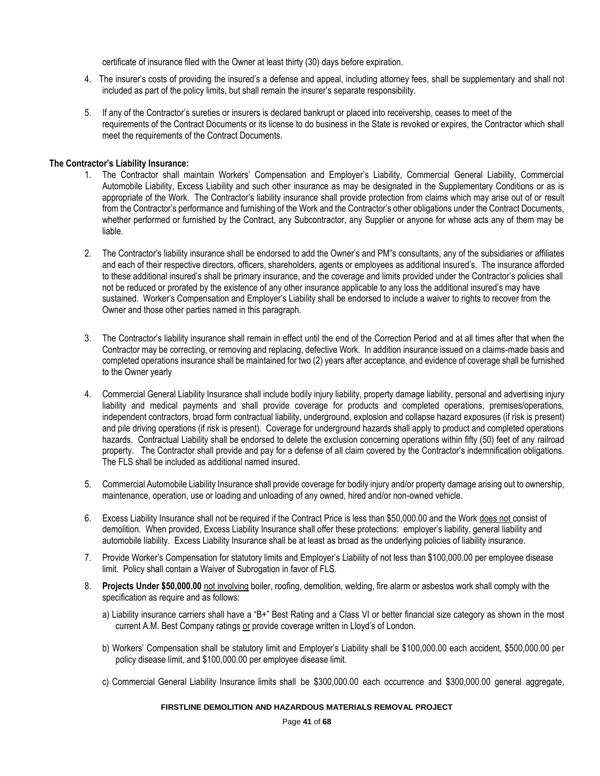certificate of insurance filed with the Owner at least thirty (30) days before expiration.

- 4. The insurer's costs of providing the insured's a defense and appeal, including attorney fees, shall be supplementary and shall not included as part of the policy limits, but shall remain the insurer's separate responsibility.
- 5. If any of the Contractor's sureties or insurers is declared bankrupt or placed into receivership, ceases to meet of the requirements of the Contract Documents or its license to do business in the State is revoked or expires, the Contractor which shall meet the requirements of the Contract Documents.

#### **The Contractor's Liability Insurance:**

- 1. 1. The Contractor shall maintain Workers' Compensation and Employer's Liability, Commercial General Liability, Commercial Automobile Liability, Excess Liability and such other insurance as may be designated in the Supplementary Conditions or as is appropriate of the Work. The Contractor's liability insurance shall provide protection from claims which may arise out of or result from the Contractor's performance and furnishing of the Work and the Contractor's other obligations under the Contract Documents, whether performed or furnished by the Contract, any Subcontractor, any Supplier or anyone for whose acts any of them may be liable.
- 2. The Contractor's liability insurance shall be endorsed to add the Owner's and PM"s consultants, any of the subsidiaries or affiliates and each of their respective directors, officers, shareholders, agents or employees as additional insured's. The insurance afforded to these additional insured's shall be primary insurance, and the coverage and limits provided under the Contractor's policies shall not be reduced or prorated by the existence of any other insurance applicable to any loss the additional insured's may have sustained. Worker's Compensation and Employer's Liability shall be endorsed to include a waiver to rights to recover from the Owner and those other parties named in this paragraph.
- 3. The Contractor's liability insurance shall remain in effect until the end of the Correction Period and at all times after that when the Contractor may be correcting, or removing and replacing, defective Work. In addition insurance issued on a claims-made basis and completed operations insurance shall be maintained for two (2) years after acceptance, and evidence of coverage shall be furnished to the Owner yearly
- 4. Commercial General Liability Insurance shall include bodily injury liability, property damage liability, personal and advertising injury liability and medical payments and shall provide coverage for products and completed operations, premises/operations, independent contractors, broad form contractual liability, underground, explosion and collapse hazard exposures (if risk is present) and pile driving operations (if risk is present). Coverage for underground hazards shall apply to product and completed operations hazards. Contractual Liability shall be endorsed to delete the exclusion concerning operations within fifty (50) feet of any railroad property. The Contractor shall provide and pay for a defense of all claim covered by the Contractor's indemnification obligations. The FLS shall be included as additional named insured.
- 5. Commercial Automobile Liability Insurance shall provide coverage for bodily injury and/or property damage arising out to ownership, maintenance, operation, use or loading and unloading of any owned, hired and/or non-owned vehicle.
- 6. Excess Liability Insurance shall not be required if the Contract Price is less than \$50,000.00 and the Work does not consist of demolition. When provided, Excess Liability Insurance shall offer these protections: employer's liability, general liability and automobile liability. Excess Liability Insurance shall be at least as broad as the underlying policies of liability insurance.
- 7. Provide Worker's Compensation for statutory limits and Employer's Liability of not less than \$100,000.00 per employee disease limit. Policy shall contain a Waiver of Subrogation in favor of FLS.
- 8. **Projects Under \$50,000.00** not involving boiler, roofing, demolition, welding, fire alarm or asbestos work shall comply with the specification as require and as follows:
	- a) Liability insurance carriers shall have a "B+" Best Rating and a Class VI or better financial size category as shown in the most current A.M. Best Company ratings or provide coverage written in Lloyd's of London.
	- b) Workers' Compensation shall be statutory limit and Employer's Liability shall be \$100,000.00 each accident, \$500,000.00 per policy disease limit, and \$100,000.00 per employee disease limit.
	- c) Commercial General Liability Insurance limits shall be \$300,000.00 each occurrence and \$300,000.00 general aggregate,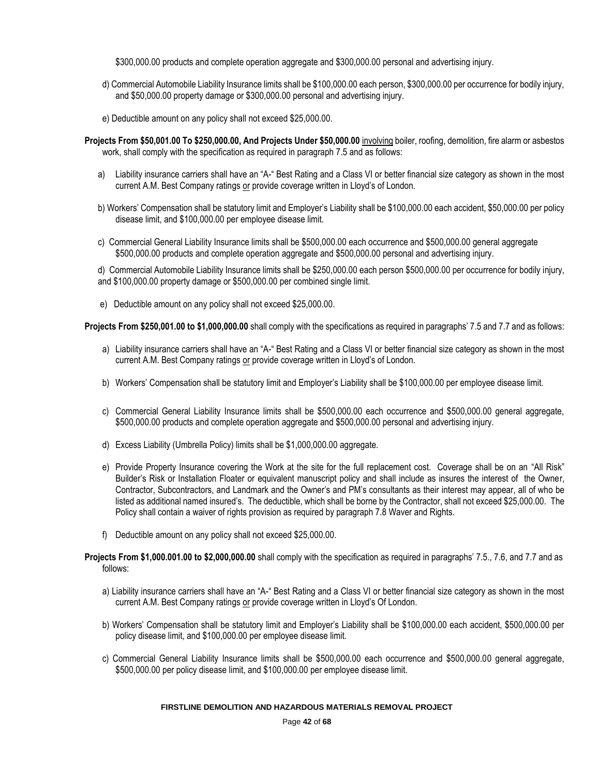\$300,000.00 products and complete operation aggregate and \$300,000.00 personal and advertising injury.

- d) Commercial Automobile Liability Insurance limits shall be \$100,000.00 each person, \$300,000.00 per occurrence for bodily injury, and \$50,000.00 property damage or \$300,000.00 personal and advertising injury.
- e) Deductible amount on any policy shall not exceed \$25,000.00.
- **Projects From \$50,001.00 To \$250,000.00, And Projects Under \$50,000.00** involving boiler, roofing, demolition, fire alarm or asbestos work, shall comply with the specification as required in paragraph 7.5 and as follows:
	- a) Liability insurance carriers shall have an "A-" Best Rating and a Class VI or better financial size category as shown in the most current A.M. Best Company ratings or provide coverage written in Lloyd's of London.
	- b) Workers' Compensation shall be statutory limit and Employer's Liability shall be \$100,000.00 each accident, \$50,000.00 per policy disease limit, and \$100,000.00 per employee disease limit.
	- c) Commercial General Liability Insurance limits shall be \$500,000.00 each occurrence and \$500,000.00 general aggregate \$500,000.00 products and complete operation aggregate and \$500,000.00 personal and advertising injury.

d) Commercial Automobile Liability Insurance limits shall be \$250,000.00 each person \$500,000.00 per occurrence for bodily injury, and \$100,000.00 property damage or \$500,000.00 per combined single limit.

e) Deductible amount on any policy shall not exceed \$25,000.00.

**Projects From \$250,001.00 to \$1,000,000.00** shall comply with the specifications as required in paragraphs' 7.5 and 7.7 and as follows:

- a) Liability insurance carriers shall have an "A-" Best Rating and a Class VI or better financial size category as shown in the most current A.M. Best Company ratings or provide coverage written in Lloyd's of London.
- b) Workers' Compensation shall be statutory limit and Employer's Liability shall be \$100,000.00 per employee disease limit.
- c) Commercial General Liability Insurance limits shall be \$500,000.00 each occurrence and \$500,000.00 general aggregate, \$500,000.00 products and complete operation aggregate and \$500,000.00 personal and advertising injury.
- d) Excess Liability (Umbrella Policy) limits shall be \$1,000,000.00 aggregate.
- e) Provide Property Insurance covering the Work at the site for the full replacement cost. Coverage shall be on an "All Risk" Builder's Risk or Installation Floater or equivalent manuscript policy and shall include as insures the interest of the Owner, Contractor, Subcontractors, and Landmark and the Owner's and PM's consultants as their interest may appear, all of who be listed as additional named insured's. The deductible, which shall be borne by the Contractor, shall not exceed \$25,000.00. The Policy shall contain a waiver of rights provision as required by paragraph 7.8 Waver and Rights.
- f) Deductible amount on any policy shall not exceed \$25,000.00.

#### **Projects From \$1,000.001.00 to \$2,000,000.00** shall comply with the specification as required in paragraphs' 7.5., 7.6, and 7.7 and as follows:

- a) Liability insurance carriers shall have an "A-" Best Rating and a Class VI or better financial size category as shown in the most current A.M. Best Company ratings or provide coverage written in Lloyd's Of London.
- b) Workers' Compensation shall be statutory limit and Employer's Liability shall be \$100,000.00 each accident, \$500,000.00 per policy disease limit, and \$100,000.00 per employee disease limit.
- c) Commercial General Liability Insurance limits shall be \$500,000.00 each occurrence and \$500,000.00 general aggregate, \$500,000.00 per policy disease limit, and \$100,000.00 per employee disease limit.

#### **FIRSTLINE DEMOLITION AND HAZARDOUS MATERIALS REMOVAL PROJECT**

Page **42** of **68**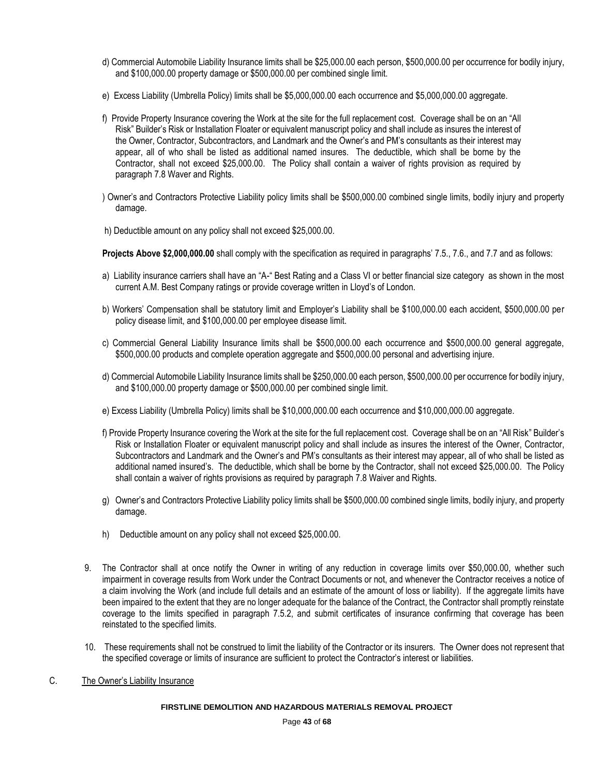- d) Commercial Automobile Liability Insurance limits shall be \$25,000.00 each person, \$500,000.00 per occurrence for bodily injury, and \$100,000.00 property damage or \$500,000.00 per combined single limit.
- e) Excess Liability (Umbrella Policy) limits shall be \$5,000,000.00 each occurrence and \$5,000,000.00 aggregate.
- f) Provide Property Insurance covering the Work at the site for the full replacement cost. Coverage shall be on an "All Risk" Builder's Risk or Installation Floater or equivalent manuscript policy and shall include as insures the interest of the Owner, Contractor, Subcontractors, and Landmark and the Owner's and PM's consultants as their interest may appear, all of who shall be listed as additional named insures. The deductible, which shall be borne by the Contractor, shall not exceed \$25,000.00. The Policy shall contain a waiver of rights provision as required by paragraph 7.8 Waver and Rights.
- ) Owner's and Contractors Protective Liability policy limits shall be \$500,000.00 combined single limits, bodily injury and property damage.
- h) Deductible amount on any policy shall not exceed \$25,000.00.

**Projects Above \$2,000,000.00** shall comply with the specification as required in paragraphs' 7.5., 7.6., and 7.7 and as follows:

- a) Liability insurance carriers shall have an "A-" Best Rating and a Class VI or better financial size category as shown in the most current A.M. Best Company ratings or provide coverage written in Lloyd's of London.
- b) Workers' Compensation shall be statutory limit and Employer's Liability shall be \$100,000.00 each accident, \$500,000.00 per policy disease limit, and \$100,000.00 per employee disease limit.
- c) Commercial General Liability Insurance limits shall be \$500,000.00 each occurrence and \$500,000.00 general aggregate, \$500,000.00 products and complete operation aggregate and \$500,000.00 personal and advertising injure.
- d) Commercial Automobile Liability Insurance limits shall be \$250,000.00 each person, \$500,000.00 per occurrence for bodily injury, and \$100,000.00 property damage or \$500,000.00 per combined single limit.
- e) Excess Liability (Umbrella Policy) limits shall be \$10,000,000.00 each occurrence and \$10,000,000.00 aggregate.
- f) Provide Property Insurance covering the Work at the site for the full replacement cost. Coverage shall be on an "All Risk" Builder's Risk or Installation Floater or equivalent manuscript policy and shall include as insures the interest of the Owner, Contractor, Subcontractors and Landmark and the Owner's and PM's consultants as their interest may appear, all of who shall be listed as additional named insured's. The deductible, which shall be borne by the Contractor, shall not exceed \$25,000.00. The Policy shall contain a waiver of rights provisions as required by paragraph 7.8 Waiver and Rights.
- g) Owner's and Contractors Protective Liability policy limits shall be \$500,000.00 combined single limits, bodily injury, and property damage.
- h) Deductible amount on any policy shall not exceed \$25,000.00.
- 9. The Contractor shall at once notify the Owner in writing of any reduction in coverage limits over \$50,000.00, whether such impairment in coverage results from Work under the Contract Documents or not, and whenever the Contractor receives a notice of a claim involving the Work (and include full details and an estimate of the amount of loss or liability). If the aggregate limits have been impaired to the extent that they are no longer adequate for the balance of the Contract, the Contractor shall promptly reinstate coverage to the limits specified in paragraph 7.5.2, and submit certificates of insurance confirming that coverage has been reinstated to the specified limits.
- 10. These requirements shall not be construed to limit the liability of the Contractor or its insurers. The Owner does not represent that the specified coverage or limits of insurance are sufficient to protect the Contractor's interest or liabilities.
- C. The Owner's Liability Insurance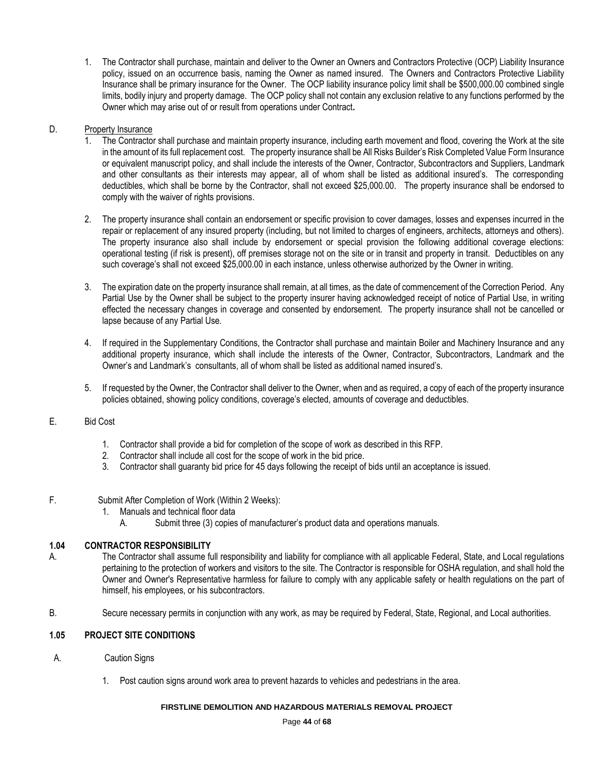1. The Contractor shall purchase, maintain and deliver to the Owner an Owners and Contractors Protective (OCP) Liability Insurance policy, issued on an occurrence basis, naming the Owner as named insured. The Owners and Contractors Protective Liability Insurance shall be primary insurance for the Owner. The OCP liability insurance policy limit shall be \$500,000.00 combined single limits, bodily injury and property damage. The OCP policy shall not contain any exclusion relative to any functions performed by the Owner which may arise out of or result from operations under Contract**.**

# D. Property Insurance

- 1. The Contractor shall purchase and maintain property insurance, including earth movement and flood, covering the Work at the site in the amount of its full replacement cost. The property insurance shall be All Risks Builder's Risk Completed Value Form Insurance or equivalent manuscript policy, and shall include the interests of the Owner, Contractor, Subcontractors and Suppliers, Landmark and other consultants as their interests may appear, all of whom shall be listed as additional insured's. The corresponding deductibles, which shall be borne by the Contractor, shall not exceed \$25,000.00. The property insurance shall be endorsed to comply with the waiver of rights provisions.
- 2. The property insurance shall contain an endorsement or specific provision to cover damages, losses and expenses incurred in the repair or replacement of any insured property (including, but not limited to charges of engineers, architects, attorneys and others). The property insurance also shall include by endorsement or special provision the following additional coverage elections: operational testing (if risk is present), off premises storage not on the site or in transit and property in transit. Deductibles on any such coverage's shall not exceed \$25,000.00 in each instance, unless otherwise authorized by the Owner in writing.
- 3. The expiration date on the property insurance shall remain, at all times, as the date of commencement of the Correction Period. Any Partial Use by the Owner shall be subject to the property insurer having acknowledged receipt of notice of Partial Use, in writing effected the necessary changes in coverage and consented by endorsement. The property insurance shall not be cancelled or lapse because of any Partial Use.
- 4. If required in the Supplementary Conditions, the Contractor shall purchase and maintain Boiler and Machinery Insurance and any additional property insurance, which shall include the interests of the Owner, Contractor, Subcontractors, Landmark and the Owner's and Landmark's consultants, all of whom shall be listed as additional named insured's.
- 5. If requested by the Owner, the Contractor shall deliver to the Owner, when and as required, a copy of each of the property insurance policies obtained, showing policy conditions, coverage's elected, amounts of coverage and deductibles.

# E. Bid Cost

- 1. Contractor shall provide a bid for completion of the scope of work as described in this RFP.
- 2. Contractor shall include all cost for the scope of work in the bid price.
- 3. Contractor shall guaranty bid price for 45 days following the receipt of bids until an acceptance is issued.
- F. Submit After Completion of Work (Within 2 Weeks):
	- 1. Manuals and technical floor data
		- A. Submit three (3) copies of manufacturer's product data and operations manuals.

## **1.04 CONTRACTOR RESPONSIBILITY**

- A. The Contractor shall assume full responsibility and liability for compliance with all applicable Federal, State, and Local regulations pertaining to the protection of workers and visitors to the site. The Contractor is responsible for OSHA regulation, and shall hold the Owner and Owner's Representative harmless for failure to comply with any applicable safety or health regulations on the part of himself, his employees, or his subcontractors.
- B. Secure necessary permits in conjunction with any work, as may be required by Federal, State, Regional, and Local authorities.

# **1.05 PROJECT SITE CONDITIONS**

- A. Caution Signs
	- 1. Post caution signs around work area to prevent hazards to vehicles and pedestrians in the area.

## **FIRSTLINE DEMOLITION AND HAZARDOUS MATERIALS REMOVAL PROJECT**

Page **44** of **68**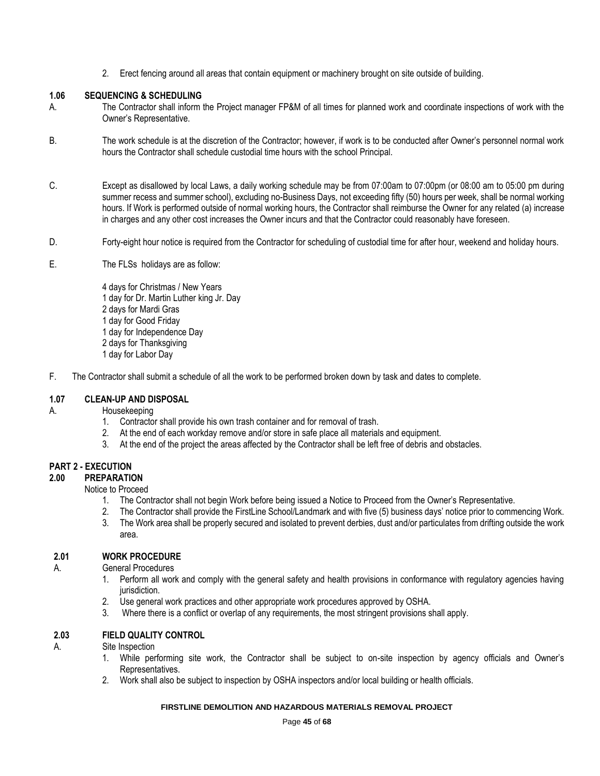2. Erect fencing around all areas that contain equipment or machinery brought on site outside of building.

## **1.06 SEQUENCING & SCHEDULING**

- A. The Contractor shall inform the Project manager FP&M of all times for planned work and coordinate inspections of work with the Owner's Representative.
- B. The work schedule is at the discretion of the Contractor; however, if work is to be conducted after Owner's personnel normal work hours the Contractor shall schedule custodial time hours with the school Principal.
- C. Except as disallowed by local Laws, a daily working schedule may be from 07:00am to 07:00pm (or 08:00 am to 05:00 pm during summer recess and summer school), excluding no-Business Days, not exceeding fifty (50) hours per week, shall be normal working hours. If Work is performed outside of normal working hours, the Contractor shall reimburse the Owner for any related (a) increase in charges and any other cost increases the Owner incurs and that the Contractor could reasonably have foreseen.
- D. Forty-eight hour notice is required from the Contractor for scheduling of custodial time for after hour, weekend and holiday hours.
- E. The FLSs holidays are as follow:
	- 4 days for Christmas / New Years 1 day for Dr. Martin Luther king Jr. Day 2 days for Mardi Gras 1 day for Good Friday 1 day for Independence Day 2 days for Thanksgiving 1 day for Labor Day
- F. The Contractor shall submit a schedule of all the work to be performed broken down by task and dates to complete.

# **1.07 CLEAN-UP AND DISPOSAL**

- A. Housekeeping
	- 1. Contractor shall provide his own trash container and for removal of trash.
	- 2. At the end of each workday remove and/or store in safe place all materials and equipment.
	- 3. At the end of the project the areas affected by the Contractor shall be left free of debris and obstacles.

# **PART 2 - EXECUTION**

## **2.00 PREPARATION**

Notice to Proceed

- 1. The Contractor shall not begin Work before being issued a Notice to Proceed from the Owner's Representative.
- 2. The Contractor shall provide the FirstLine School/Landmark and with five (5) business days' notice prior to commencing Work.
- 3. The Work area shall be properly secured and isolated to prevent derbies, dust and/or particulates from drifting outside the work area.

# **2.01 WORK PROCEDURE**

A. General Procedures

- 1. Perform all work and comply with the general safety and health provisions in conformance with regulatory agencies having jurisdiction.
- 2. Use general work practices and other appropriate work procedures approved by OSHA.
- 3. Where there is a conflict or overlap of any requirements, the most stringent provisions shall apply.

# **2.03 FIELD QUALITY CONTROL**

A. Site Inspection

- 1. While performing site work, the Contractor shall be subject to on-site inspection by agency officials and Owner's Representatives.
- 2. Work shall also be subject to inspection by OSHA inspectors and/or local building or health officials.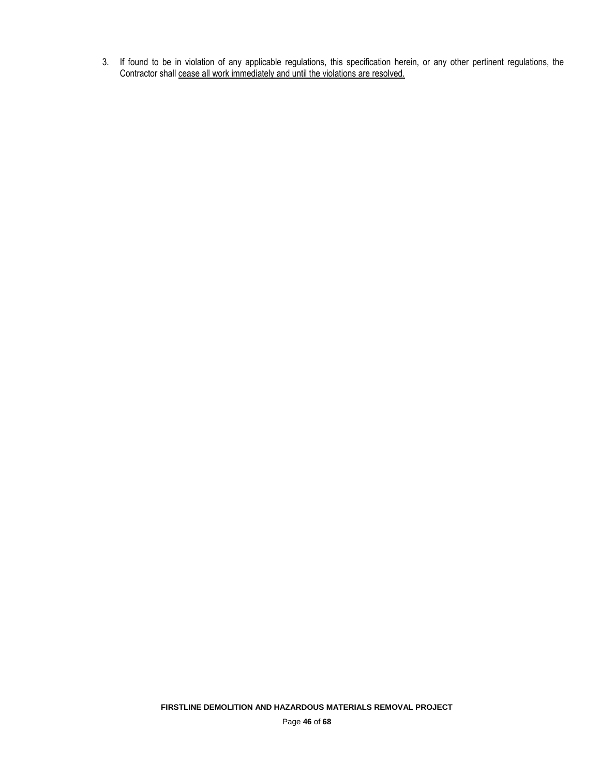3. If found to be in violation of any applicable regulations, this specification herein, or any other pertinent regulations, the Contractor shall cease all work immediately and until the violations are resolved.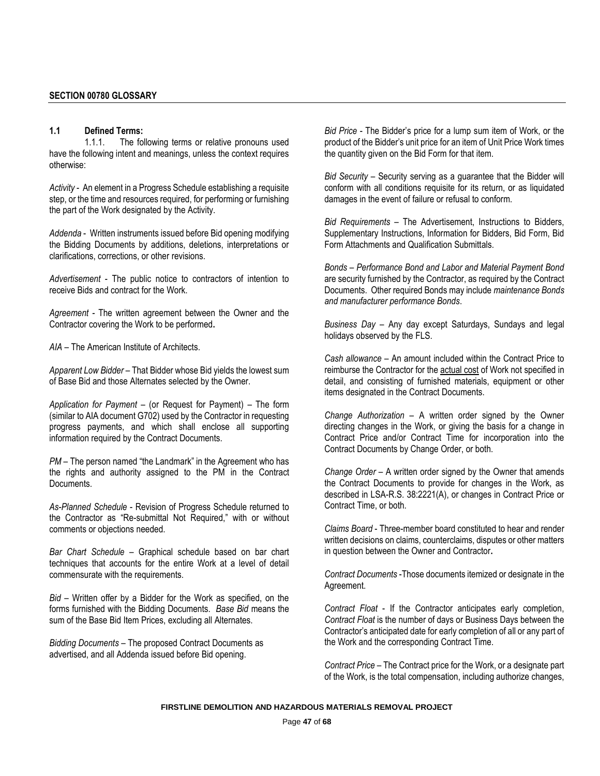#### **1.1 Defined Terms:**

1.1.1. The following terms or relative pronouns used have the following intent and meanings, unless the context requires otherwise:

*Activity* - An element in a Progress Schedule establishing a requisite step, or the time and resources required, for performing or furnishing the part of the Work designated by the Activity.

*Addenda* - Written instruments issued before Bid opening modifying the Bidding Documents by additions, deletions, interpretations or clarifications, corrections, or other revisions.

*Advertisement* - The public notice to contractors of intention to receive Bids and contract for the Work.

*Agreement -* The written agreement between the Owner and the Contractor covering the Work to be performed**.**

*AIA –* The American Institute of Architects.

*Apparent Low Bidder* – That Bidder whose Bid yields the lowest sum of Base Bid and those Alternates selected by the Owner.

*Application for Payment* – (or Request for Payment) – The form (similar to AIA document G702) used by the Contractor in requesting progress payments, and which shall enclose all supporting information required by the Contract Documents.

*PM* – The person named "the Landmark" in the Agreement who has the rights and authority assigned to the PM in the Contract Documents.

*As-Planned Schedule* - Revision of Progress Schedule returned to the Contractor as "Re-submittal Not Required," with or without comments or objections needed.

*Bar Chart Schedule* – Graphical schedule based on bar chart techniques that accounts for the entire Work at a level of detail commensurate with the requirements.

*Bid* – Written offer by a Bidder for the Work as specified, on the forms furnished with the Bidding Documents. *Base Bid* means the sum of the Base Bid Item Prices, excluding all Alternates.

*Bidding Documents* – The proposed Contract Documents as advertised, and all Addenda issued before Bid opening.

*Bid Price* - The Bidder's price for a lump sum item of Work, or the product of the Bidder's unit price for an item of Unit Price Work times the quantity given on the Bid Form for that item.

*Bid Security* – Security serving as a guarantee that the Bidder will conform with all conditions requisite for its return, or as liquidated damages in the event of failure or refusal to conform.

*Bid Requirements* – The Advertisement, Instructions to Bidders, Supplementary Instructions, Information for Bidders, Bid Form, Bid Form Attachments and Qualification Submittals.

*Bonds* – *Performance Bond and Labor and Material Payment Bond*  are security furnished by the Contractor, as required by the Contract Documents. Other required Bonds may include *maintenance Bonds and manufacturer performance Bonds*.

*Business Day* – Any day except Saturdays, Sundays and legal holidays observed by the FLS.

*Cash allowance* – An amount included within the Contract Price to reimburse the Contractor for the actual cost of Work not specified in detail, and consisting of furnished materials, equipment or other items designated in the Contract Documents.

*Change Authorization* – A written order signed by the Owner directing changes in the Work, or giving the basis for a change in Contract Price and/or Contract Time for incorporation into the Contract Documents by Change Order, or both.

*Change Order* – A written order signed by the Owner that amends the Contract Documents to provide for changes in the Work, as described in LSA-R.S. 38:2221(A), or changes in Contract Price or Contract Time, or both.

*Claims Board* - Three-member board constituted to hear and render written decisions on claims, counterclaims, disputes or other matters in question between the Owner and Contractor**.**

*Contract Documents* -Those documents itemized or designate in the Agreement.

*Contract Float* - If the Contractor anticipates early completion, *Contract Float* is the number of days or Business Days between the Contractor's anticipated date for early completion of all or any part of the Work and the corresponding Contract Time.

*Contract Price* – The Contract price for the Work, or a designate part of the Work, is the total compensation, including authorize changes,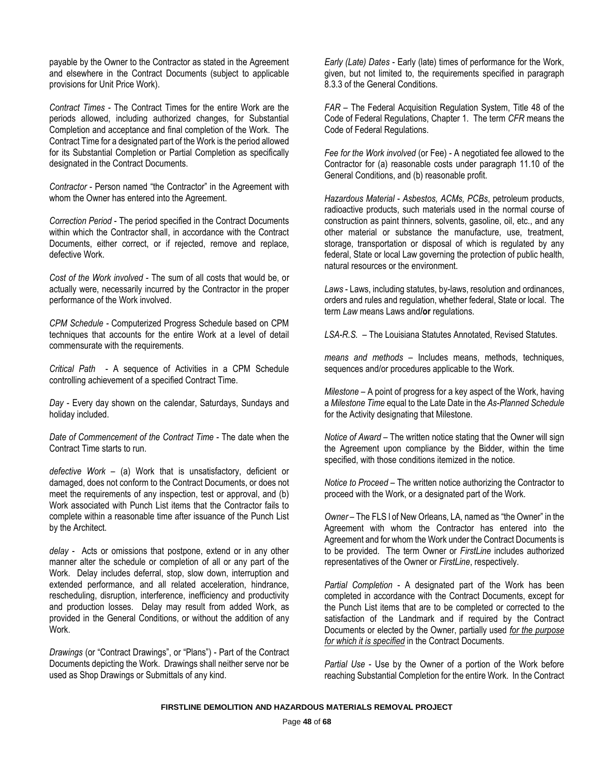payable by the Owner to the Contractor as stated in the Agreement and elsewhere in the Contract Documents (subject to applicable provisions for Unit Price Work).

*Contract Times* - The Contract Times for the entire Work are the periods allowed, including authorized changes, for Substantial Completion and acceptance and final completion of the Work. The Contract Time for a designated part of the Work is the period allowed for its Substantial Completion or Partial Completion as specifically designated in the Contract Documents.

*Contractor* - Person named "the Contractor" in the Agreement with whom the Owner has entered into the Agreement.

*Correction Period* - The period specified in the Contract Documents within which the Contractor shall, in accordance with the Contract Documents, either correct, or if rejected, remove and replace, defective Work.

*Cost of the Work involved* - The sum of all costs that would be, or actually were, necessarily incurred by the Contractor in the proper performance of the Work involved.

*CPM Schedule -* Computerized Progress Schedule based on CPM techniques that accounts for the entire Work at a level of detail commensurate with the requirements.

*Critical Path* - A sequence of Activities in a CPM Schedule controlling achievement of a specified Contract Time.

*Day -* Every day shown on the calendar, Saturdays, Sundays and holiday included.

*Date of Commencement of the Contract Time* - The date when the Contract Time starts to run.

*defective Work* – (a) Work that is unsatisfactory, deficient or damaged, does not conform to the Contract Documents, or does not meet the requirements of any inspection, test or approval, and (b) Work associated with Punch List items that the Contractor fails to complete within a reasonable time after issuance of the Punch List by the Architect.

*delay* - Acts or omissions that postpone, extend or in any other manner alter the schedule or completion of all or any part of the Work. Delay includes deferral, stop, slow down, interruption and extended performance, and all related acceleration, hindrance, rescheduling, disruption, interference, inefficiency and productivity and production losses. Delay may result from added Work, as provided in the General Conditions, or without the addition of any Work.

*Drawings* (or "Contract Drawings", or "Plans") - Part of the Contract Documents depicting the Work. Drawings shall neither serve nor be used as Shop Drawings or Submittals of any kind.

*Early (Late) Dates* - Early (late) times of performance for the Work, given, but not limited to, the requirements specified in paragraph 8.3.3 of the General Conditions.

*FAR* – The Federal Acquisition Regulation System, Title 48 of the Code of Federal Regulations, Chapter 1. The term *CFR* means the Code of Federal Regulations.

*Fee for the Work involved* (or Fee) - A negotiated fee allowed to the Contractor for (a) reasonable costs under paragraph 11.10 of the General Conditions, and (b) reasonable profit.

*Hazardous Material* - *Asbestos, ACMs, PCBs*, petroleum products, radioactive products, such materials used in the normal course of construction as paint thinners, solvents, gasoline, oil, etc., and any other material or substance the manufacture, use, treatment, storage, transportation or disposal of which is regulated by any federal, State or local Law governing the protection of public health, natural resources or the environment.

*Laws* - Laws, including statutes, by-laws, resolution and ordinances, orders and rules and regulation, whether federal, State or local. The term *Law* means Laws and**/or** regulations.

*LSA-R.S.* – The Louisiana Statutes Annotated, Revised Statutes.

*means and methods* – Includes means, methods, techniques, sequences and/or procedures applicable to the Work.

*Milestone* – A point of progress for a key aspect of the Work, having a *Milestone Time* equal to the Late Date in the *As-Planned Schedule* for the Activity designating that Milestone.

*Notice of Award* – The written notice stating that the Owner will sign the Agreement upon compliance by the Bidder, within the time specified, with those conditions itemized in the notice.

*Notice to Proceed* – The written notice authorizing the Contractor to proceed with the Work, or a designated part of the Work.

*Owner* – The FLS I of New Orleans, LA, named as "the Owner" in the Agreement with whom the Contractor has entered into the Agreement and for whom the Work under the Contract Documents is to be provided. The term Owner or *FirstLine* includes authorized representatives of the Owner or *FirstLine*, respectively.

*Partial Completion* - A designated part of the Work has been completed in accordance with the Contract Documents, except for the Punch List items that are to be completed or corrected to the satisfaction of the Landmark and if required by the Contract Documents or elected by the Owner, partially used *for the purpose for which it is specified* in the Contract Documents.

*Partial Use* - Use by the Owner of a portion of the Work before reaching Substantial Completion for the entire Work. In the Contract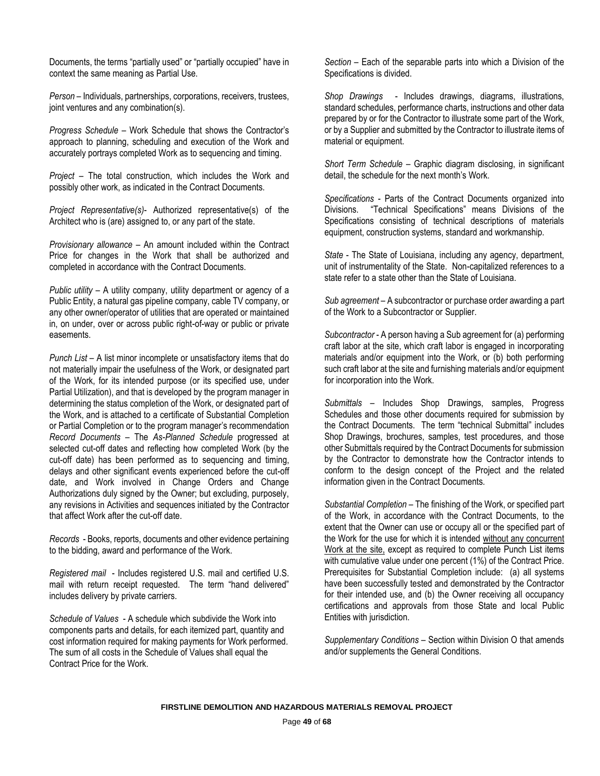Documents, the terms "partially used" or "partially occupied" have in context the same meaning as Partial Use.

*Person* – Individuals, partnerships, corporations, receivers, trustees, joint ventures and any combination(s).

*Progress Schedule* – Work Schedule that shows the Contractor's approach to planning, scheduling and execution of the Work and accurately portrays completed Work as to sequencing and timing.

*Project* – The total construction, which includes the Work and possibly other work, as indicated in the Contract Documents.

*Project Representative(s)*- Authorized representative(s) of the Architect who is (are) assigned to, or any part of the state.

*Provisionary allowance* – An amount included within the Contract Price for changes in the Work that shall be authorized and completed in accordance with the Contract Documents.

*Public utility* – A utility company, utility department or agency of a Public Entity, a natural gas pipeline company, cable TV company, or any other owner/operator of utilities that are operated or maintained in, on under, over or across public right-of-way or public or private easements.

*Punch List* – A list minor incomplete or unsatisfactory items that do not materially impair the usefulness of the Work, or designated part of the Work, for its intended purpose (or its specified use, under Partial Utilization), and that is developed by the program manager in determining the status completion of the Work, or designated part of the Work, and is attached to a certificate of Substantial Completion or Partial Completion or to the program manager's recommendation *Record Documents* – The *As-Planned Schedule* progressed at selected cut-off dates and reflecting how completed Work (by the cut-off date) has been performed as to sequencing and timing, delays and other significant events experienced before the cut-off date, and Work involved in Change Orders and Change Authorizations duly signed by the Owner; but excluding, purposely, any revisions in Activities and sequences initiated by the Contractor that affect Work after the cut-off date.

*Records* - Books, reports, documents and other evidence pertaining to the bidding, award and performance of the Work.

*Registered mail* - Includes registered U.S. mail and certified U.S. mail with return receipt requested. The term "hand delivered" includes delivery by private carriers.

*Schedule of Values* - A schedule which subdivide the Work into components parts and details, for each itemized part, quantity and cost information required for making payments for Work performed. The sum of all costs in the Schedule of Values shall equal the Contract Price for the Work.

*Section* – Each of the separable parts into which a Division of the Specifications is divided.

*Shop Drawings* - Includes drawings, diagrams, illustrations, standard schedules, performance charts, instructions and other data prepared by or for the Contractor to illustrate some part of the Work, or by a Supplier and submitted by the Contractor to illustrate items of material or equipment.

*Short Term Schedule* – Graphic diagram disclosing, in significant detail, the schedule for the next month's Work.

*Specifications* - Parts of the Contract Documents organized into Divisions. "Technical Specifications" means Divisions of the Specifications consisting of technical descriptions of materials equipment, construction systems, standard and workmanship.

*State* - The State of Louisiana, including any agency, department, unit of instrumentality of the State. Non-capitalized references to a state refer to a state other than the State of Louisiana.

*Sub agreement* – A subcontractor or purchase order awarding a part of the Work to a Subcontractor or Supplier.

*Subcontractor* - A person having a Sub agreement for (a) performing craft labor at the site, which craft labor is engaged in incorporating materials and/or equipment into the Work, or (b) both performing such craft labor at the site and furnishing materials and/or equipment for incorporation into the Work.

*Submittals* – Includes Shop Drawings, samples, Progress Schedules and those other documents required for submission by the Contract Documents. The term "technical Submittal" includes Shop Drawings, brochures, samples, test procedures, and those other Submittals required by the Contract Documents for submission by the Contractor to demonstrate how the Contractor intends to conform to the design concept of the Project and the related information given in the Contract Documents.

*Substantial Completion* – The finishing of the Work, or specified part of the Work, in accordance with the Contract Documents, to the extent that the Owner can use or occupy all or the specified part of the Work for the use for which it is intended without any concurrent Work at the site, except as required to complete Punch List items with cumulative value under one percent (1%) of the Contract Price. Prerequisites for Substantial Completion include: (a) all systems have been successfully tested and demonstrated by the Contractor for their intended use, and (b) the Owner receiving all occupancy certifications and approvals from those State and local Public Entities with jurisdiction.

*Supplementary Conditions* – Section within Division O that amends and/or supplements the General Conditions.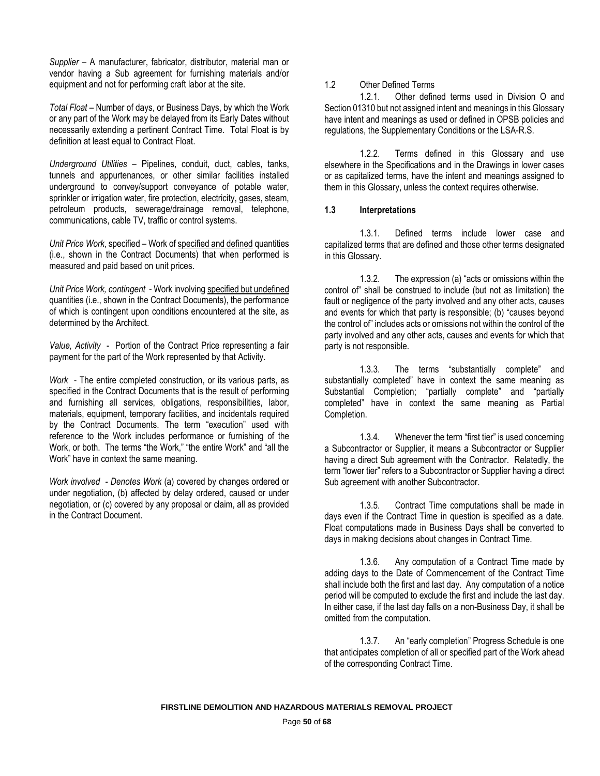*Supplier* – A manufacturer, fabricator, distributor, material man or vendor having a Sub agreement for furnishing materials and/or equipment and not for performing craft labor at the site.

*Total Float* – Number of days, or Business Days, by which the Work or any part of the Work may be delayed from its Early Dates without necessarily extending a pertinent Contract Time. Total Float is by definition at least equal to Contract Float.

*Underground Utilities* – Pipelines, conduit, duct, cables, tanks, tunnels and appurtenances, or other similar facilities installed underground to convey/support conveyance of potable water, sprinkler or irrigation water, fire protection, electricity, gases, steam, petroleum products, sewerage/drainage removal, telephone, communications, cable TV, traffic or control systems.

*Unit Price Work*, specified – Work of specified and defined quantities (i.e., shown in the Contract Documents) that when performed is measured and paid based on unit prices.

*Unit Price Work, contingent* - Work involving specified but undefined quantities (i.e., shown in the Contract Documents), the performance of which is contingent upon conditions encountered at the site, as determined by the Architect.

*Value, Activity* - Portion of the Contract Price representing a fair payment for the part of the Work represented by that Activity.

*Work* - The entire completed construction, or its various parts, as specified in the Contract Documents that is the result of performing and furnishing all services, obligations, responsibilities, labor, materials, equipment, temporary facilities, and incidentals required by the Contract Documents. The term "execution" used with reference to the Work includes performance or furnishing of the Work, or both. The terms "the Work," "the entire Work" and "all the Work" have in context the same meaning.

*Work involved - Denotes Work* (a) covered by changes ordered or under negotiation, (b) affected by delay ordered, caused or under negotiation, or (c) covered by any proposal or claim, all as provided in the Contract Document.

#### 1.2 Other Defined Terms

1.2.1. Other defined terms used in Division O and Section 01310 but not assigned intent and meanings in this Glossary have intent and meanings as used or defined in OPSB policies and regulations, the Supplementary Conditions or the LSA-R.S.

1.2.2. Terms defined in this Glossary and use elsewhere in the Specifications and in the Drawings in lower cases or as capitalized terms, have the intent and meanings assigned to them in this Glossary, unless the context requires otherwise.

# **1.3 Interpretations**

1.3.1. Defined terms include lower case and capitalized terms that are defined and those other terms designated in this Glossary.

1.3.2. The expression (a) "acts or omissions within the control of" shall be construed to include (but not as limitation) the fault or negligence of the party involved and any other acts, causes and events for which that party is responsible; (b) "causes beyond the control of" includes acts or omissions not within the control of the party involved and any other acts, causes and events for which that party is not responsible.

1.3.3. The terms "substantially complete" and substantially completed" have in context the same meaning as Substantial Completion; "partially complete" and "partially completed" have in context the same meaning as Partial Completion.

1.3.4. Whenever the term "first tier" is used concerning a Subcontractor or Supplier, it means a Subcontractor or Supplier having a direct Sub agreement with the Contractor. Relatedly, the term "lower tier" refers to a Subcontractor or Supplier having a direct Sub agreement with another Subcontractor.

1.3.5. Contract Time computations shall be made in days even if the Contract Time in question is specified as a date. Float computations made in Business Days shall be converted to days in making decisions about changes in Contract Time.

1.3.6. Any computation of a Contract Time made by adding days to the Date of Commencement of the Contract Time shall include both the first and last day. Any computation of a notice period will be computed to exclude the first and include the last day. In either case, if the last day falls on a non-Business Day, it shall be omitted from the computation.

1.3.7. An "early completion" Progress Schedule is one that anticipates completion of all or specified part of the Work ahead of the corresponding Contract Time.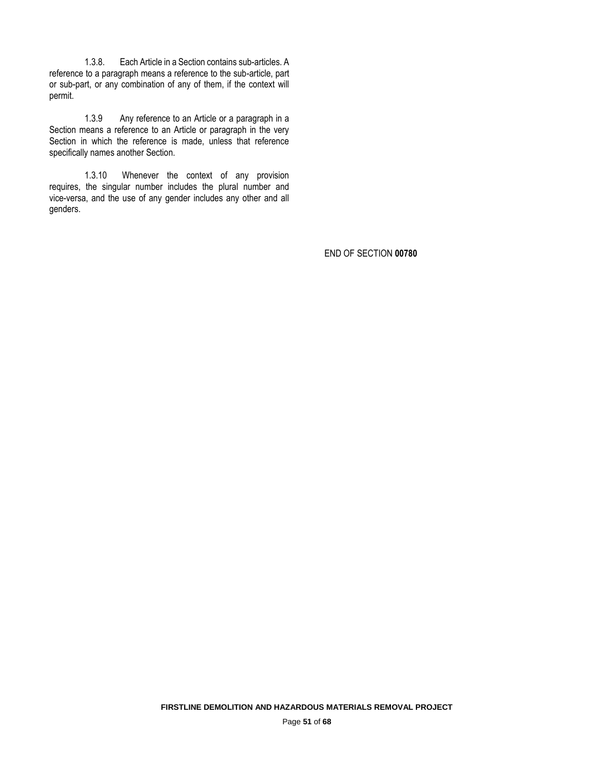1.3.8. Each Article in a Section contains sub-articles. A reference to a paragraph means a reference to the sub-article, part or sub-part, or any combination of any of them, if the context will permit.

1.3.9 Any reference to an Article or a paragraph in a Section means a reference to an Article or paragraph in the very Section in which the reference is made, unless that reference specifically names another Section.

1.3.10 Whenever the context of any provision requires, the singular number includes the plural number and vice-versa, and the use of any gender includes any other and all genders.

END OF SECTION **00780**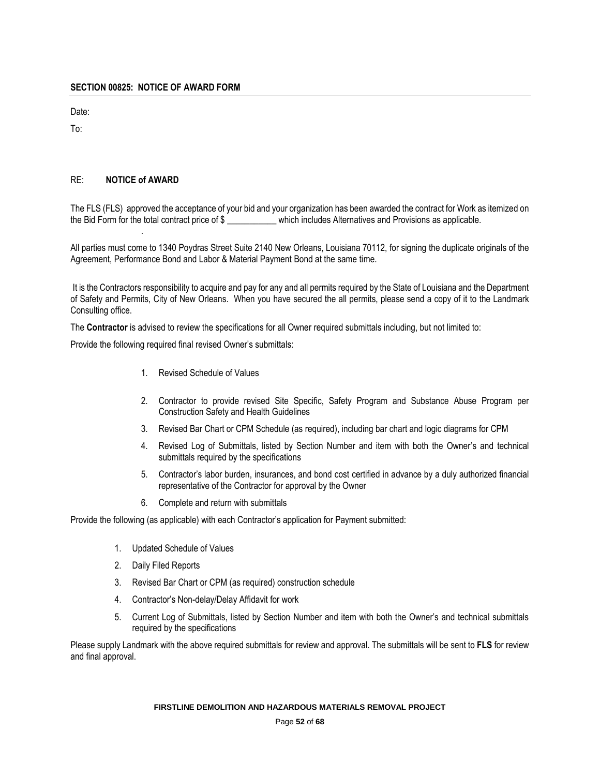Date:

To:

# RE: **NOTICE of AWARD**

.

The FLS (FLS) approved the acceptance of your bid and your organization has been awarded the contract for Work as itemized on the Bid Form for the total contract price of \$ \_\_\_\_\_\_\_\_\_\_\_ which includes Alternatives and Provisions as applicable.

All parties must come to 1340 Poydras Street Suite 2140 New Orleans, Louisiana 70112, for signing the duplicate originals of the Agreement, Performance Bond and Labor & Material Payment Bond at the same time.

It is the Contractors responsibility to acquire and pay for any and all permits required by the State of Louisiana and the Department of Safety and Permits, City of New Orleans. When you have secured the all permits, please send a copy of it to the Landmark Consulting office.

The **Contractor** is advised to review the specifications for all Owner required submittals including, but not limited to:

Provide the following required final revised Owner's submittals:

- 1. Revised Schedule of Values
- 2. Contractor to provide revised Site Specific, Safety Program and Substance Abuse Program per Construction Safety and Health Guidelines
- 3. Revised Bar Chart or CPM Schedule (as required), including bar chart and logic diagrams for CPM
- 4. Revised Log of Submittals, listed by Section Number and item with both the Owner's and technical submittals required by the specifications
- 5. Contractor's labor burden, insurances, and bond cost certified in advance by a duly authorized financial representative of the Contractor for approval by the Owner
- 6. Complete and return with submittals

Provide the following (as applicable) with each Contractor's application for Payment submitted:

- 1. Updated Schedule of Values
- 2. Daily Filed Reports
- 3. Revised Bar Chart or CPM (as required) construction schedule
- 4. Contractor's Non-delay/Delay Affidavit for work
- 5. Current Log of Submittals, listed by Section Number and item with both the Owner's and technical submittals required by the specifications

Please supply Landmark with the above required submittals for review and approval. The submittals will be sent to **FLS** for review and final approval.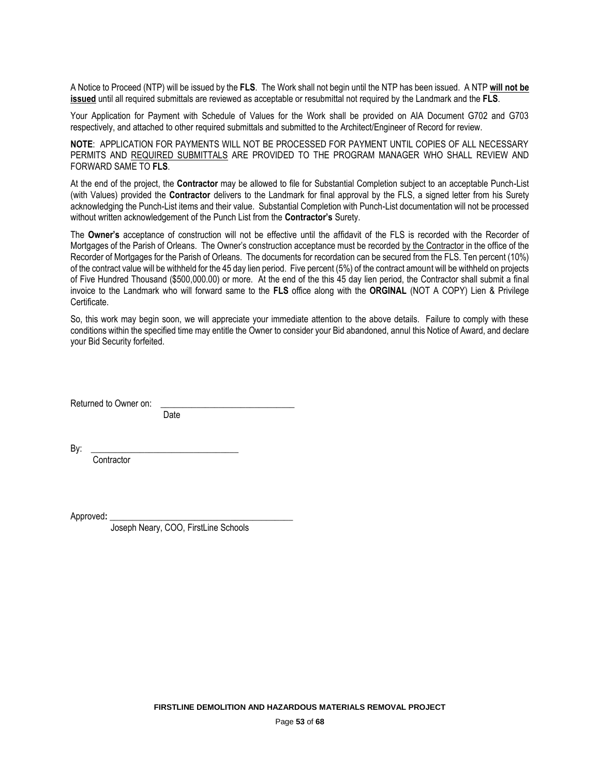A Notice to Proceed (NTP) will be issued by the **FLS**. The Work shall not begin until the NTP has been issued. A NTP **will not be issued** until all required submittals are reviewed as acceptable or resubmittal not required by the Landmark and the **FLS**.

Your Application for Payment with Schedule of Values for the Work shall be provided on AIA Document G702 and G703 respectively, and attached to other required submittals and submitted to the Architect/Engineer of Record for review.

**NOTE**: APPLICATION FOR PAYMENTS WILL NOT BE PROCESSED FOR PAYMENT UNTIL COPIES OF ALL NECESSARY PERMITS AND REQUIRED SUBMITTALS ARE PROVIDED TO THE PROGRAM MANAGER WHO SHALL REVIEW AND FORWARD SAME TO **FLS**.

At the end of the project, the **Contractor** may be allowed to file for Substantial Completion subject to an acceptable Punch-List (with Values) provided the **Contractor** delivers to the Landmark for final approval by the FLS, a signed letter from his Surety acknowledging the Punch-List items and their value. Substantial Completion with Punch-List documentation will not be processed without written acknowledgement of the Punch List from the **Contractor's** Surety.

The **Owner's** acceptance of construction will not be effective until the affidavit of the FLS is recorded with the Recorder of Mortgages of the Parish of Orleans. The Owner's construction acceptance must be recorded by the Contractor in the office of the Recorder of Mortgages for the Parish of Orleans. The documents for recordation can be secured from the FLS. Ten percent (10%) of the contract value will be withheld for the 45 day lien period. Five percent (5%) of the contract amount will be withheld on projects of Five Hundred Thousand (\$500,000.00) or more. At the end of the this 45 day lien period, the Contractor shall submit a final invoice to the Landmark who will forward same to the **FLS** office along with the **ORGINAL** (NOT A COPY) Lien & Privilege Certificate.

So, this work may begin soon, we will appreciate your immediate attention to the above details. Failure to comply with these conditions within the specified time may entitle the Owner to consider your Bid abandoned, annul this Notice of Award, and declare your Bid Security forfeited.

Returned to Owner on:

**Date** 

By: \_\_\_\_\_\_\_\_\_\_\_\_\_\_\_\_\_\_\_\_\_\_\_\_\_\_\_\_\_\_\_\_\_

**Contractor** 

Approved**: \_\_\_\_\_\_\_\_\_\_\_\_\_\_\_\_\_\_\_\_\_\_\_\_\_\_\_\_\_\_\_\_\_\_\_\_\_\_\_\_\_**

Joseph Neary, COO, FirstLine Schools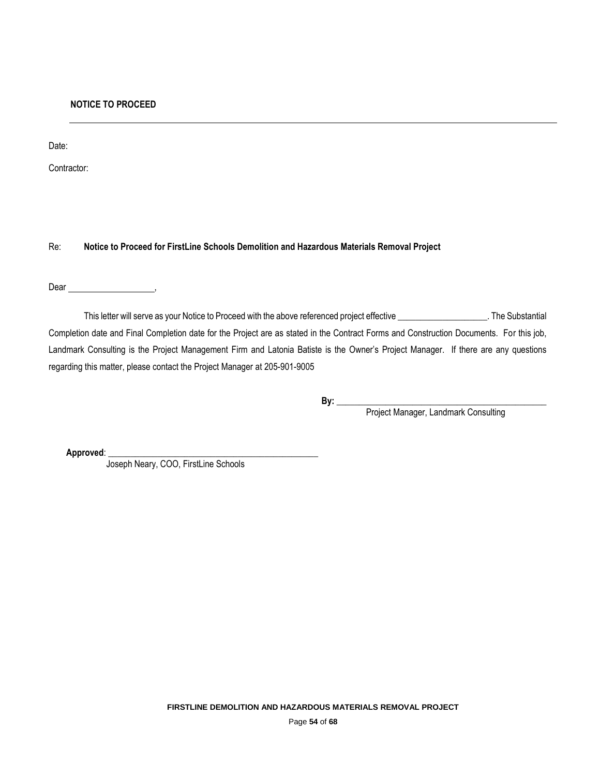Date:

Contractor:

Re: **Notice to Proceed for FirstLine Schools Demolition and Hazardous Materials Removal Project**

Dear ,

This letter will serve as your Notice to Proceed with the above referenced project effective \_\_\_\_\_\_\_\_\_\_\_\_\_\_\_\_\_\_\_. The Substantial Completion date and Final Completion date for the Project are as stated in the Contract Forms and Construction Documents. For this job, Landmark Consulting is the Project Management Firm and Latonia Batiste is the Owner's Project Manager. If there are any questions regarding this matter, please contact the Project Manager at 205-901-9005

**By: \_\_\_\_\_\_\_\_\_\_\_\_\_\_\_\_\_\_\_\_\_\_\_\_\_\_\_\_\_\_\_\_\_\_\_\_\_\_\_\_\_\_\_\_\_\_\_**

Project Manager, Landmark Consulting

Approved:

Joseph Neary, COO, FirstLine Schools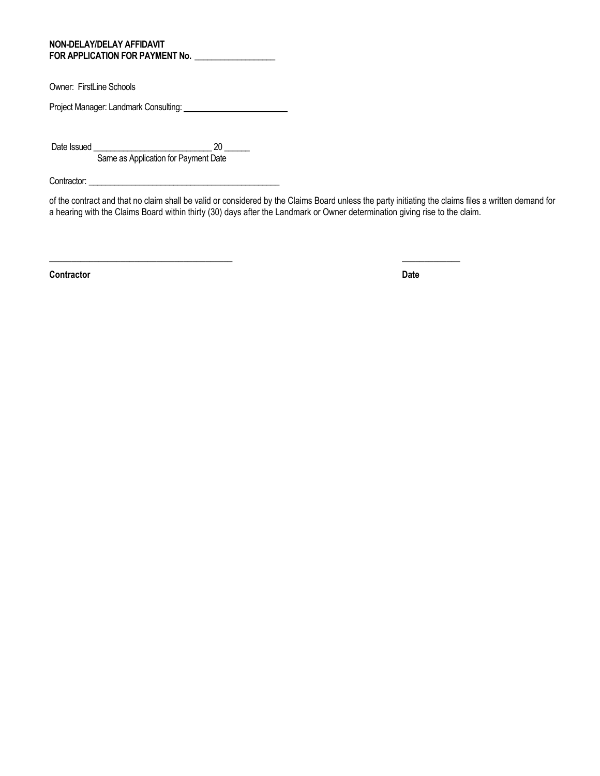#### **NON-DELAY/DELAY AFFIDAVIT FOR APPLICATION FOR PAYMENT No. \_\_\_\_\_\_\_\_\_\_\_\_\_\_\_\_\_\_\_**

Owner: FirstLine Schools

Project Manager: Landmark Consulting: \\contact \\contact \\contact \\contact \\contact \\contact \\contact \\contact \\contact \\contact \\contact \\contact \\contact \\contact \\contact \\contact \\contact \\contact \\co

Date Issued \_\_\_\_\_\_\_\_\_\_\_\_\_\_\_\_\_\_\_\_\_\_\_\_\_\_\_\_ 20 \_\_\_\_\_\_ Same as Application for Payment Date

Contractor: \_\_\_\_\_\_\_\_\_\_\_\_\_\_\_\_\_\_\_\_\_\_\_\_\_\_\_\_\_\_\_\_\_\_\_\_\_\_\_\_\_\_\_\_\_

of the contract and that no claim shall be valid or considered by the Claims Board unless the party initiating the claims files a written demand for a hearing with the Claims Board within thirty (30) days after the Landmark or Owner determination giving rise to the claim.

\_\_\_\_\_\_\_\_\_\_\_\_\_\_\_\_\_\_\_\_\_\_\_\_\_\_\_\_\_\_\_\_\_\_\_\_\_\_\_\_\_ \_\_\_\_\_\_\_\_\_\_\_\_\_

**Contractor Date**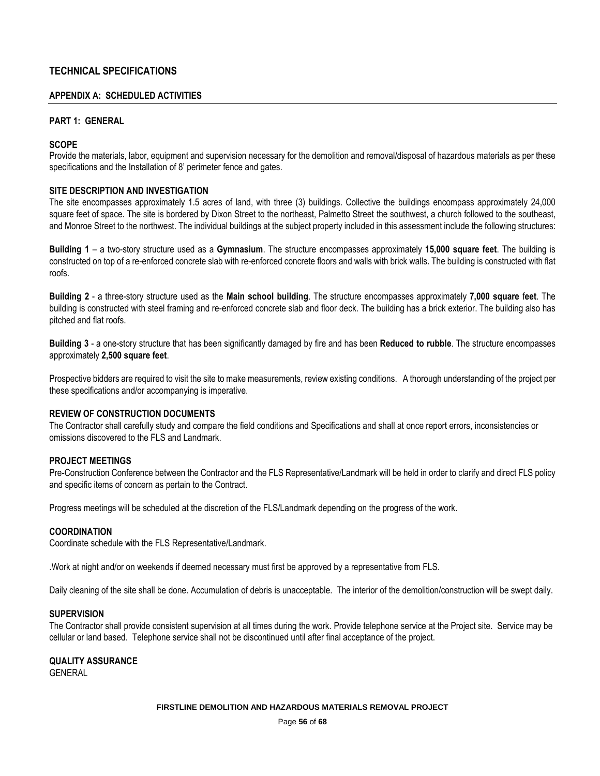# **TECHNICAL SPECIFICATIONS**

#### **APPENDIX A: SCHEDULED ACTIVITIES**

## **PART 1: GENERAL**

#### **SCOPE**

Provide the materials, labor, equipment and supervision necessary for the demolition and removal/disposal of hazardous materials as per these specifications and the Installation of 8' perimeter fence and gates.

# **SITE DESCRIPTION AND INVESTIGATION**

The site encompasses approximately 1.5 acres of land, with three (3) buildings. Collective the buildings encompass approximately 24,000 square feet of space. The site is bordered by Dixon Street to the northeast, Palmetto Street the southwest, a church followed to the southeast, and Monroe Street to the northwest. The individual buildings at the subject property included in this assessment include the following structures:

**Building 1** – a two-story structure used as a **Gymnasium**. The structure encompasses approximately **15,000 square feet**. The building is constructed on top of a re-enforced concrete slab with re-enforced concrete floors and walls with brick walls. The building is constructed with flat roofs.

**Building 2** - a three-story structure used as the **Main school building**. The structure encompasses approximately **7,000 square** f**eet**. The building is constructed with steel framing and re-enforced concrete slab and floor deck. The building has a brick exterior. The building also has pitched and flat roofs.

**Building 3** - a one-story structure that has been significantly damaged by fire and has been **Reduced to rubble**. The structure encompasses approximately **2,500 square feet**.

Prospective bidders are required to visit the site to make measurements, review existing conditions. A thorough understanding of the project per these specifications and/or accompanying is imperative.

#### **REVIEW OF CONSTRUCTION DOCUMENTS**

The Contractor shall carefully study and compare the field conditions and Specifications and shall at once report errors, inconsistencies or omissions discovered to the FLS and Landmark.

#### **PROJECT MEETINGS**

Pre-Construction Conference between the Contractor and the FLS Representative/Landmark will be held in order to clarify and direct FLS policy and specific items of concern as pertain to the Contract.

Progress meetings will be scheduled at the discretion of the FLS/Landmark depending on the progress of the work.

#### **COORDINATION**

Coordinate schedule with the FLS Representative/Landmark.

.Work at night and/or on weekends if deemed necessary must first be approved by a representative from FLS.

Daily cleaning of the site shall be done. Accumulation of debris is unacceptable. The interior of the demolition/construction will be swept daily.

#### **SUPERVISION**

The Contractor shall provide consistent supervision at all times during the work. Provide telephone service at the Project site. Service may be cellular or land based. Telephone service shall not be discontinued until after final acceptance of the project.

**QUALITY ASSURANCE** GENERAL

#### **FIRSTLINE DEMOLITION AND HAZARDOUS MATERIALS REMOVAL PROJECT**

Page **56** of **68**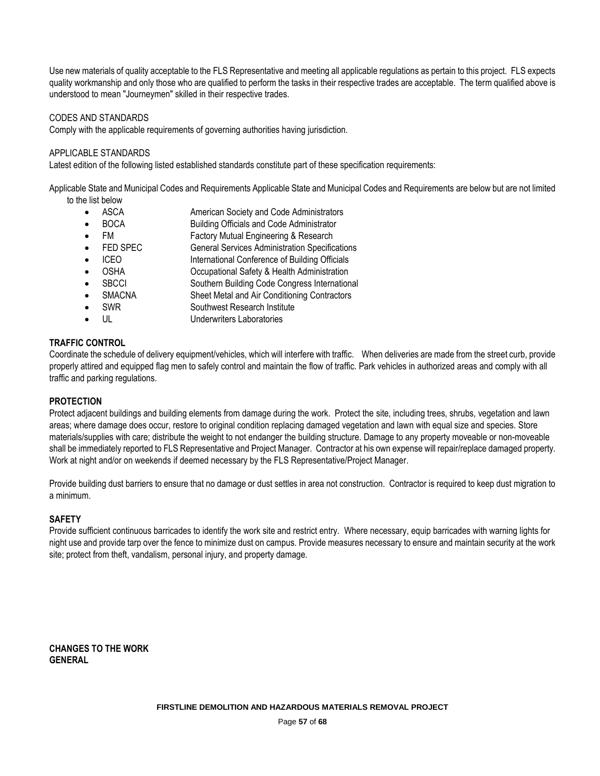Use new materials of quality acceptable to the FLS Representative and meeting all applicable regulations as pertain to this project. FLS expects quality workmanship and only those who are qualified to perform the tasks in their respective trades are acceptable. The term qualified above is understood to mean "Journeymen" skilled in their respective trades.

# CODES AND STANDARDS

Comply with the applicable requirements of governing authorities having jurisdiction.

## APPLICABLE STANDARDS

Latest edition of the following listed established standards constitute part of these specification requirements:

Applicable State and Municipal Codes and Requirements Applicable State and Municipal Codes and Requirements are below but are not limited to the list below

- ASCA **American Society and Code Administrators**
- BOCA Building Officials and Code Administrator
- FM Factory Mutual Engineering & Research
- FED SPEC General Services Administration Specifications
- ICEO International Conference of Building Officials
- OSHA Occupational Safety & Health Administration
- SBCCI Southern Building Code Congress International
- SMACNA Sheet Metal and Air Conditioning Contractors
- SWR Southwest Research Institute
- UL Underwriters Laboratories

# **TRAFFIC CONTROL**

Coordinate the schedule of delivery equipment/vehicles, which will interfere with traffic. When deliveries are made from the street curb, provide properly attired and equipped flag men to safely control and maintain the flow of traffic. Park vehicles in authorized areas and comply with all traffic and parking regulations.

## **PROTECTION**

Protect adjacent buildings and building elements from damage during the work. Protect the site, including trees, shrubs, vegetation and lawn areas; where damage does occur, restore to original condition replacing damaged vegetation and lawn with equal size and species. Store materials/supplies with care; distribute the weight to not endanger the building structure. Damage to any property moveable or non-moveable shall be immediately reported to FLS Representative and Project Manager. Contractor at his own expense will repair/replace damaged property. Work at night and/or on weekends if deemed necessary by the FLS Representative/Project Manager.

Provide building dust barriers to ensure that no damage or dust settles in area not construction. Contractor is required to keep dust migration to a minimum.

## **SAFETY**

Provide sufficient continuous barricades to identify the work site and restrict entry. Where necessary, equip barricades with warning lights for night use and provide tarp over the fence to minimize dust on campus. Provide measures necessary to ensure and maintain security at the work site; protect from theft, vandalism, personal injury, and property damage.

**CHANGES TO THE WORK GENERAL**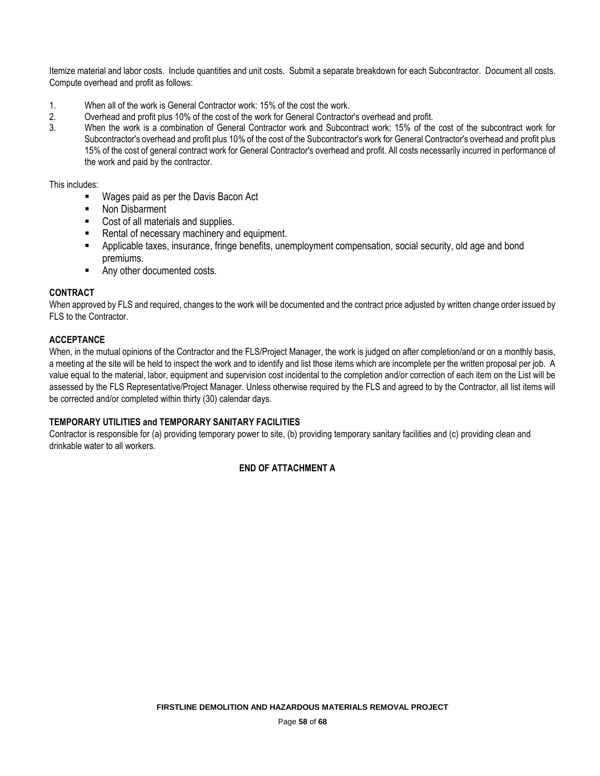Itemize material and labor costs. Include quantities and unit costs. Submit a separate breakdown for each Subcontractor. Document all costs. Compute overhead and profit as follows:

- 1. When all of the work is General Contractor work: 15% of the cost the work.
- 2. Overhead and profit plus 10% of the cost of the work for General Contractor's overhead and profit.
- 3. When the work is a combination of General Contractor work and Subcontract work: 15% of the cost of the subcontract work for Subcontractor's overhead and profit plus 10% of the cost of the Subcontractor's work for General Contractor's overhead and profit plus 15% of the cost of general contract work for General Contractor's overhead and profit. All costs necessarily incurred in performance of the work and paid by the contractor.

This includes:

- Wages paid as per the Davis Bacon Act
- **Non Disbarment**
- Cost of all materials and supplies.
- Rental of necessary machinery and equipment.
- Applicable taxes, insurance, fringe benefits, unemployment compensation, social security, old age and bond premiums.
- Any other documented costs.

# **CONTRACT**

When approved by FLS and required, changes to the work will be documented and the contract price adjusted by written change order issued by FLS to the Contractor.

# **ACCEPTANCE**

When, in the mutual opinions of the Contractor and the FLS/Project Manager, the work is judged on after completion/and or on a monthly basis, a meeting at the site will be held to inspect the work and to identify and list those items which are incomplete per the written proposal per job. A value equal to the material, labor, equipment and supervision cost incidental to the completion and/or correction of each item on the List will be assessed by the FLS Representative/Project Manager. Unless otherwise required by the FLS and agreed to by the Contractor, all list items will be corrected and/or completed within thirty (30) calendar days.

# **TEMPORARY UTILITIES and TEMPORARY SANITARY FACILITIES**

Contractor is responsible for (a) providing temporary power to site, (b) providing temporary sanitary facilities and (c) providing clean and drinkable water to all workers.

# **END OF ATTACHMENT A**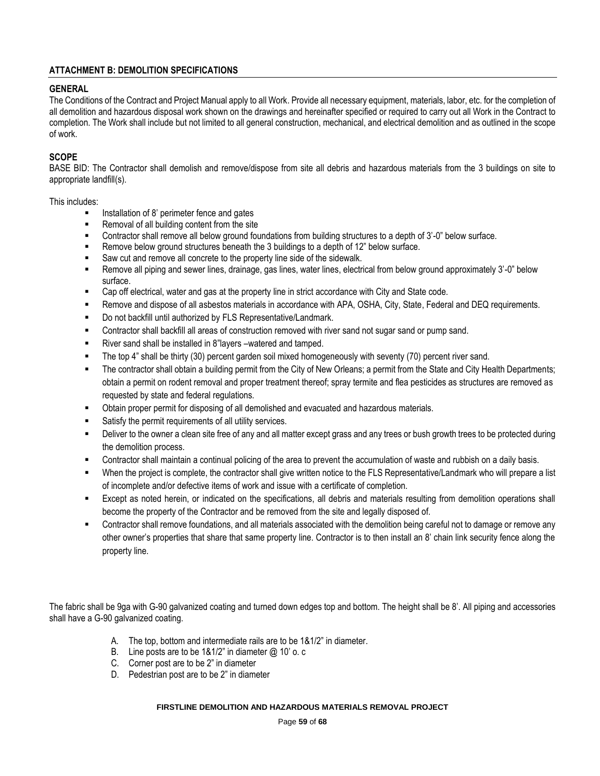# **ATTACHMENT B: DEMOLITION SPECIFICATIONS**

# **GENERAL**

The Conditions of the Contract and Project Manual apply to all Work. Provide all necessary equipment, materials, labor, etc. for the completion of all demolition and hazardous disposal work shown on the drawings and hereinafter specified or required to carry out all Work in the Contract to completion. The Work shall include but not limited to all general construction, mechanical, and electrical demolition and as outlined in the scope of work.

# **SCOPE**

BASE BID: The Contractor shall demolish and remove/dispose from site all debris and hazardous materials from the 3 buildings on site to appropriate landfill(s).

#### This includes:

- Installation of 8' perimeter fence and gates
- Removal of all building content from the site
- Contractor shall remove all below ground foundations from building structures to a depth of 3'-0" below surface.
- Remove below ground structures beneath the 3 buildings to a depth of 12" below surface.
- Saw cut and remove all concrete to the property line side of the sidewalk.
- Remove all piping and sewer lines, drainage, gas lines, water lines, electrical from below ground approximately 3'-0" below surface.
- Cap off electrical, water and gas at the property line in strict accordance with City and State code.
- Remove and dispose of all asbestos materials in accordance with APA, OSHA, City, State, Federal and DEQ requirements.
- Do not backfill until authorized by FLS Representative/Landmark.
- Contractor shall backfill all areas of construction removed with river sand not sugar sand or pump sand.
- River sand shall be installed in 8"layers –watered and tamped.
- The top 4" shall be thirty (30) percent garden soil mixed homogeneously with seventy (70) percent river sand.
- The contractor shall obtain a building permit from the City of New Orleans; a permit from the State and City Health Departments; obtain a permit on rodent removal and proper treatment thereof; spray termite and flea pesticides as structures are removed as requested by state and federal regulations.
- Obtain proper permit for disposing of all demolished and evacuated and hazardous materials.
- Satisfy the permit requirements of all utility services.
- Deliver to the owner a clean site free of any and all matter except grass and any trees or bush growth trees to be protected during the demolition process.
- Contractor shall maintain a continual policing of the area to prevent the accumulation of waste and rubbish on a daily basis.
- When the project is complete, the contractor shall give written notice to the FLS Representative/Landmark who will prepare a list of incomplete and/or defective items of work and issue with a certificate of completion.
- Except as noted herein, or indicated on the specifications, all debris and materials resulting from demolition operations shall become the property of the Contractor and be removed from the site and legally disposed of.
- Contractor shall remove foundations, and all materials associated with the demolition being careful not to damage or remove any other owner's properties that share that same property line. Contractor is to then install an 8' chain link security fence along the property line.

The fabric shall be 9ga with G-90 galvanized coating and turned down edges top and bottom. The height shall be 8'. All piping and accessories shall have a G-90 galvanized coating.

- A. The top, bottom and intermediate rails are to be 1&1/2" in diameter.
- B. Line posts are to be  $181/2$ " in diameter  $@10'$  o. c
- C. Corner post are to be 2" in diameter
- D. Pedestrian post are to be 2" in diameter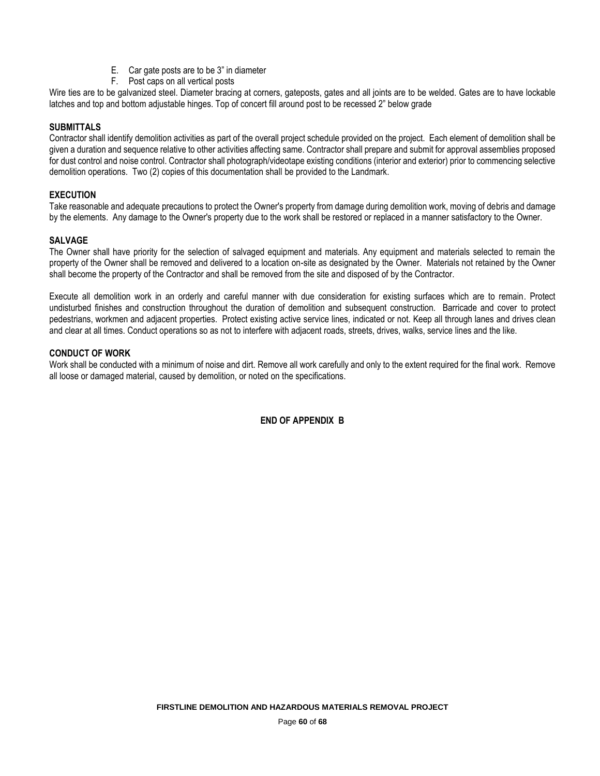- E. Car gate posts are to be 3" in diameter
- F. Post caps on all vertical posts

Wire ties are to be galvanized steel. Diameter bracing at corners, gateposts, gates and all joints are to be welded. Gates are to have lockable latches and top and bottom adjustable hinges. Top of concert fill around post to be recessed 2" below grade

# **SUBMITTALS**

Contractor shall identify demolition activities as part of the overall project schedule provided on the project. Each element of demolition shall be given a duration and sequence relative to other activities affecting same. Contractor shall prepare and submit for approval assemblies proposed for dust control and noise control. Contractor shall photograph/videotape existing conditions (interior and exterior) prior to commencing selective demolition operations. Two (2) copies of this documentation shall be provided to the Landmark.

## **EXECUTION**

Take reasonable and adequate precautions to protect the Owner's property from damage during demolition work, moving of debris and damage by the elements. Any damage to the Owner's property due to the work shall be restored or replaced in a manner satisfactory to the Owner.

# **SALVAGE**

The Owner shall have priority for the selection of salvaged equipment and materials. Any equipment and materials selected to remain the property of the Owner shall be removed and delivered to a location on-site as designated by the Owner. Materials not retained by the Owner shall become the property of the Contractor and shall be removed from the site and disposed of by the Contractor.

Execute all demolition work in an orderly and careful manner with due consideration for existing surfaces which are to remain. Protect undisturbed finishes and construction throughout the duration of demolition and subsequent construction. Barricade and cover to protect pedestrians, workmen and adjacent properties. Protect existing active service lines, indicated or not. Keep all through lanes and drives clean and clear at all times. Conduct operations so as not to interfere with adjacent roads, streets, drives, walks, service lines and the like.

## **CONDUCT OF WORK**

Work shall be conducted with a minimum of noise and dirt. Remove all work carefully and only to the extent required for the final work. Remove all loose or damaged material, caused by demolition, or noted on the specifications.

**END OF APPENDIX B**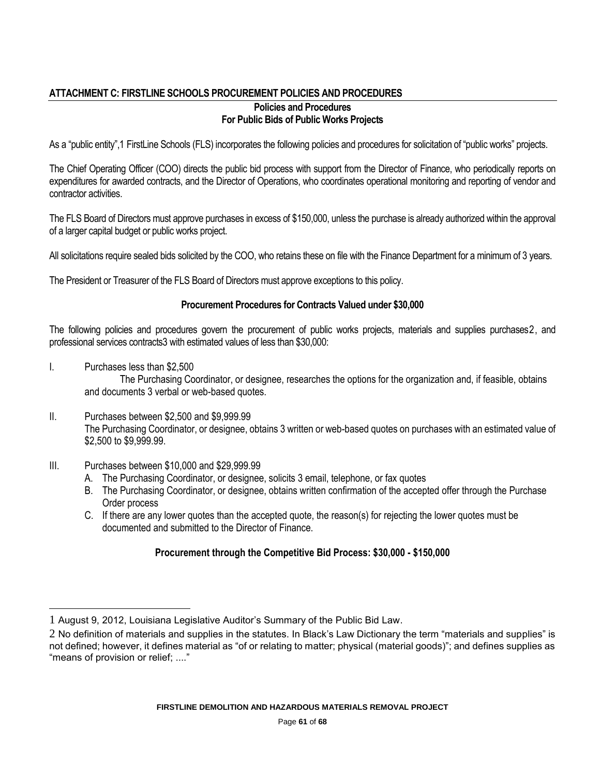# **ATTACHMENT C: FIRSTLINE SCHOOLS PROCUREMENT POLICIES AND PROCEDURES**

# **Policies and Procedures For Public Bids of Public Works Projects**

As a "public entity",1 FirstLine Schools (FLS) incorporates the following policies and procedures for solicitation of "public works" projects.

The Chief Operating Officer (COO) directs the public bid process with support from the Director of Finance, who periodically reports on expenditures for awarded contracts, and the Director of Operations, who coordinates operational monitoring and reporting of vendor and contractor activities.

The FLS Board of Directors must approve purchases in excess of \$150,000, unless the purchase is already authorized within the approval of a larger capital budget or public works project.

All solicitations require sealed bids solicited by the COO, who retains these on file with the Finance Department for a minimum of 3 years.

The President or Treasurer of the FLS Board of Directors must approve exceptions to this policy.

# **Procurement Procedures for Contracts Valued under \$30,000**

The following policies and procedures govern the procurement of public works projects, materials and supplies purchases2, and professional services contracts3 with estimated values of less than \$30,000:

I. Purchases less than \$2,500

l

The Purchasing Coordinator, or designee, researches the options for the organization and, if feasible, obtains and documents 3 verbal or web-based quotes.

- II. Purchases between \$2,500 and \$9,999.99 The Purchasing Coordinator, or designee, obtains 3 written or web-based quotes on purchases with an estimated value of \$2,500 to \$9,999.99.
- III. Purchases between \$10,000 and \$29,999.99
	- A. The Purchasing Coordinator, or designee, solicits 3 email, telephone, or fax quotes
	- B. The Purchasing Coordinator, or designee, obtains written confirmation of the accepted offer through the Purchase Order process
	- C. If there are any lower quotes than the accepted quote, the reason(s) for rejecting the lower quotes must be documented and submitted to the Director of Finance.

# **Procurement through the Competitive Bid Process: \$30,000 - \$150,000**

<sup>1</sup> August 9, 2012, Louisiana Legislative Auditor's Summary of the Public Bid Law.

<sup>2</sup> No definition of materials and supplies in the statutes. In Black's Law Dictionary the term "materials and supplies" is not defined; however, it defines material as "of or relating to matter; physical (material goods)"; and defines supplies as "means of provision or relief; ...."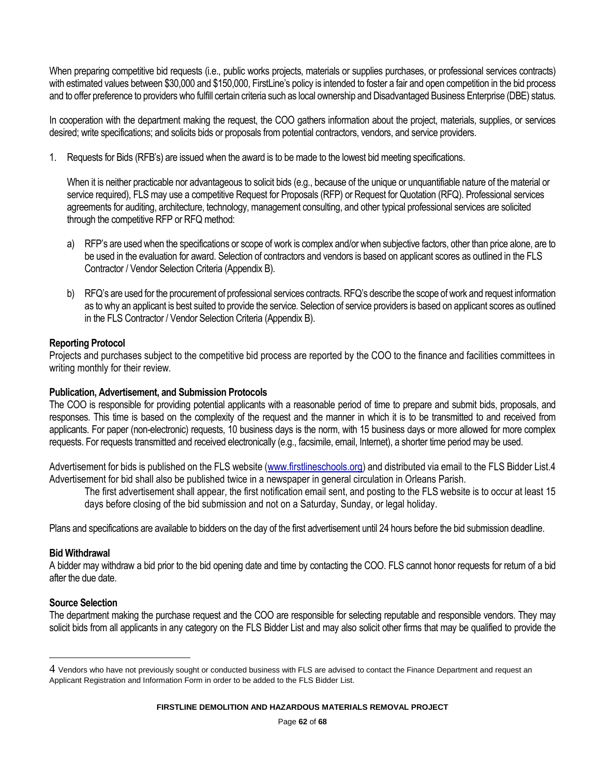When preparing competitive bid requests (i.e., public works projects, materials or supplies purchases, or professional services contracts) with estimated values between \$30,000 and \$150,000, FirstLine's policy is intended to foster a fair and open competition in the bid process and to offer preference to providers who fulfill certain criteria such as local ownership and Disadvantaged Business Enterprise (DBE) status.

In cooperation with the department making the request, the COO gathers information about the project, materials, supplies, or services desired; write specifications; and solicits bids or proposals from potential contractors, vendors, and service providers.

1. Requests for Bids (RFB's) are issued when the award is to be made to the lowest bid meeting specifications.

When it is neither practicable nor advantageous to solicit bids (e.g., because of the unique or unquantifiable nature of the material or service required), FLS may use a competitive Request for Proposals (RFP) or Request for Quotation (RFQ). Professional services agreements for auditing, architecture, technology, management consulting, and other typical professional services are solicited through the competitive RFP or RFQ method:

- a) RFP's are used when the specifications or scope of work is complex and/or when subjective factors, other than price alone, are to be used in the evaluation for award. Selection of contractors and vendors is based on applicant scores as outlined in the FLS Contractor / Vendor Selection Criteria (Appendix B).
- b) RFQ's are used for the procurement of professional services contracts. RFQ's describe the scope of work and request information as to why an applicant is best suited to provide the service. Selection of service providers is based on applicant scores as outlined in the FLS Contractor / Vendor Selection Criteria (Appendix B).

# **Reporting Protocol**

Projects and purchases subject to the competitive bid process are reported by the COO to the finance and facilities committees in writing monthly for their review.

# **Publication, Advertisement, and Submission Protocols**

The COO is responsible for providing potential applicants with a reasonable period of time to prepare and submit bids, proposals, and responses. This time is based on the complexity of the request and the manner in which it is to be transmitted to and received from applicants. For paper (non-electronic) requests, 10 business days is the norm, with 15 business days or more allowed for more complex requests. For requests transmitted and received electronically (e.g., facsimile, email, Internet), a shorter time period may be used.

Advertisement for bids is published on the FLS website [\(www.firstlineschools.org\)](http://www.firstlineschools.org/) and distributed via email to the FLS Bidder List.4 Advertisement for bid shall also be published twice in a newspaper in general circulation in Orleans Parish.

The first advertisement shall appear, the first notification email sent, and posting to the FLS website is to occur at least 15 days before closing of the bid submission and not on a Saturday, Sunday, or legal holiday.

Plans and specifications are available to bidders on the day of the first advertisement until 24 hours before the bid submission deadline.

# **Bid Withdrawal**

A bidder may withdraw a bid prior to the bid opening date and time by contacting the COO. FLS cannot honor requests for return of a bid after the due date.

# **Source Selection**

l

The department making the purchase request and the COO are responsible for selecting reputable and responsible vendors. They may solicit bids from all applicants in any category on the FLS Bidder List and may also solicit other firms that may be qualified to provide the

<sup>4</sup> Vendors who have not previously sought or conducted business with FLS are advised to contact the Finance Department and request an Applicant Registration and Information Form in order to be added to the FLS Bidder List.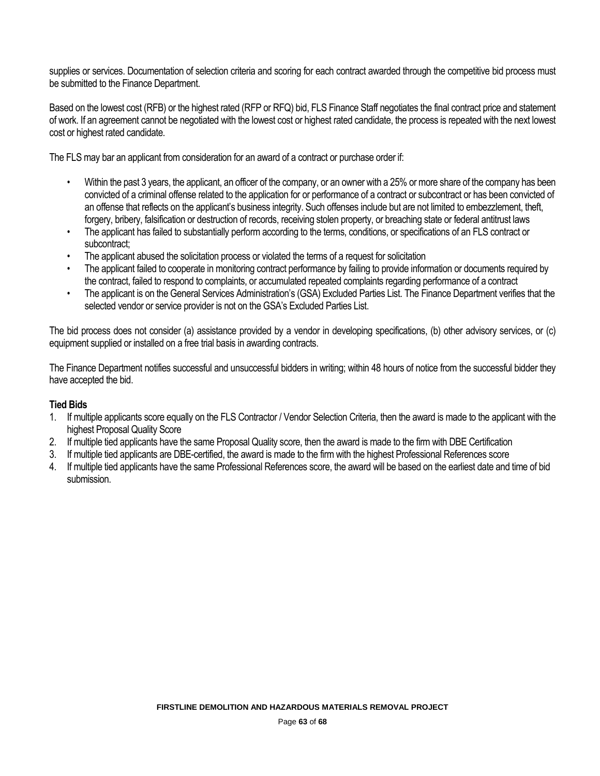supplies or services. Documentation of selection criteria and scoring for each contract awarded through the competitive bid process must be submitted to the Finance Department.

Based on the lowest cost (RFB) or the highest rated (RFP or RFQ) bid, FLS Finance Staff negotiates the final contract price and statement of work. If an agreement cannot be negotiated with the lowest cost or highest rated candidate, the process is repeated with the next lowest cost or highest rated candidate.

The FLS may bar an applicant from consideration for an award of a contract or purchase order if:

- Within the past 3 years, the applicant, an officer of the company, or an owner with a 25% or more share of the company has been convicted of a criminal offense related to the application for or performance of a contract or subcontract or has been convicted of an offense that reflects on the applicant's business integrity. Such offenses include but are not limited to embezzlement, theft, forgery, bribery, falsification or destruction of records, receiving stolen property, or breaching state or federal antitrust laws
- The applicant has failed to substantially perform according to the terms, conditions, or specifications of an FLS contract or subcontract;
- The applicant abused the solicitation process or violated the terms of a request for solicitation
- The applicant failed to cooperate in monitoring contract performance by failing to provide information or documents required by the contract, failed to respond to complaints, or accumulated repeated complaints regarding performance of a contract
- The applicant is on the General Services Administration's (GSA) Excluded Parties List. The Finance Department verifies that the selected vendor or service provider is not on the GSA's Excluded Parties List.

The bid process does not consider (a) assistance provided by a vendor in developing specifications, (b) other advisory services, or (c) equipment supplied or installed on a free trial basis in awarding contracts.

The Finance Department notifies successful and unsuccessful bidders in writing; within 48 hours of notice from the successful bidder they have accepted the bid.

# **Tied Bids**

- 1. If multiple applicants score equally on the FLS Contractor / Vendor Selection Criteria, then the award is made to the applicant with the highest Proposal Quality Score
- 2. If multiple tied applicants have the same Proposal Quality score, then the award is made to the firm with DBE Certification
- 3. If multiple tied applicants are DBE-certified, the award is made to the firm with the highest Professional References score
- 4. If multiple tied applicants have the same Professional References score, the award will be based on the earliest date and time of bid submission.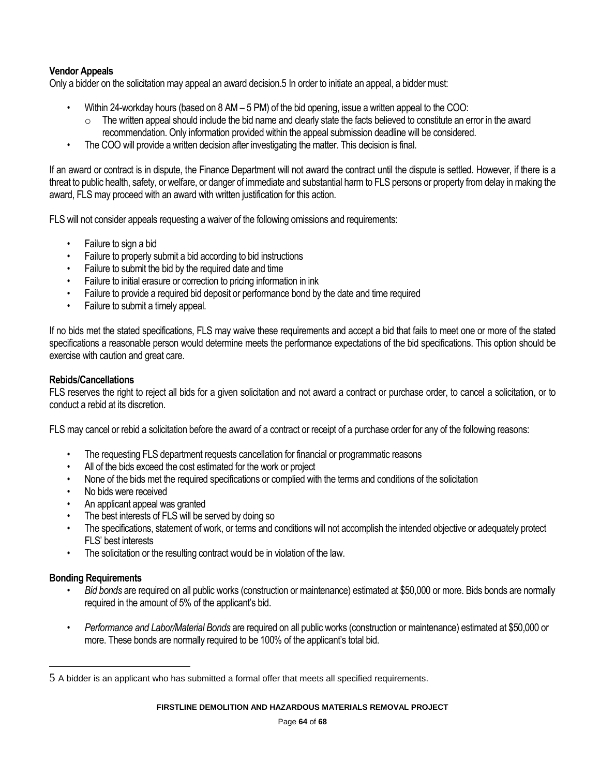# **Vendor Appeals**

Only a bidder on the solicitation may appeal an award decision.5 In order to initiate an appeal, a bidder must:

- Within 24-workday hours (based on 8 AM 5 PM) of the bid opening, issue a written appeal to the COO:
	- $\circ$  The written appeal should include the bid name and clearly state the facts believed to constitute an error in the award recommendation. Only information provided within the appeal submission deadline will be considered.
- The COO will provide a written decision after investigating the matter. This decision is final.

If an award or contract is in dispute, the Finance Department will not award the contract until the dispute is settled. However, if there is a threat to public health, safety, or welfare, or danger of immediate and substantial harm to FLS persons or property from delay in making the award, FLS may proceed with an award with written justification for this action.

FLS will not consider appeals requesting a waiver of the following omissions and requirements:

- Failure to sign a bid
- Failure to properly submit a bid according to bid instructions
- Failure to submit the bid by the required date and time
- Failure to initial erasure or correction to pricing information in ink
- Failure to provide a required bid deposit or performance bond by the date and time required
- Failure to submit a timely appeal.

If no bids met the stated specifications, FLS may waive these requirements and accept a bid that fails to meet one or more of the stated specifications a reasonable person would determine meets the performance expectations of the bid specifications. This option should be exercise with caution and great care.

# **Rebids/Cancellations**

FLS reserves the right to reject all bids for a given solicitation and not award a contract or purchase order, to cancel a solicitation, or to conduct a rebid at its discretion.

FLS may cancel or rebid a solicitation before the award of a contract or receipt of a purchase order for any of the following reasons:

- The requesting FLS department requests cancellation for financial or programmatic reasons
- All of the bids exceed the cost estimated for the work or project
- None of the bids met the required specifications or complied with the terms and conditions of the solicitation
- No bids were received
- An applicant appeal was granted
- The best interests of FLS will be served by doing so
- The specifications, statement of work, or terms and conditions will not accomplish the intended objective or adequately protect FLS' best interests
- The solicitation or the resulting contract would be in violation of the law.

# **Bonding Requirements**

l

- *Bid bonds* are required on all public works (construction or maintenance) estimated at \$50,000 or more. Bids bonds are normally required in the amount of 5% of the applicant's bid.
- *Performance and Labor/Material Bonds* are required on all public works (construction or maintenance) estimated at \$50,000 or more. These bonds are normally required to be 100% of the applicant's total bid.

<sup>5</sup> A bidder is an applicant who has submitted a formal offer that meets all specified requirements.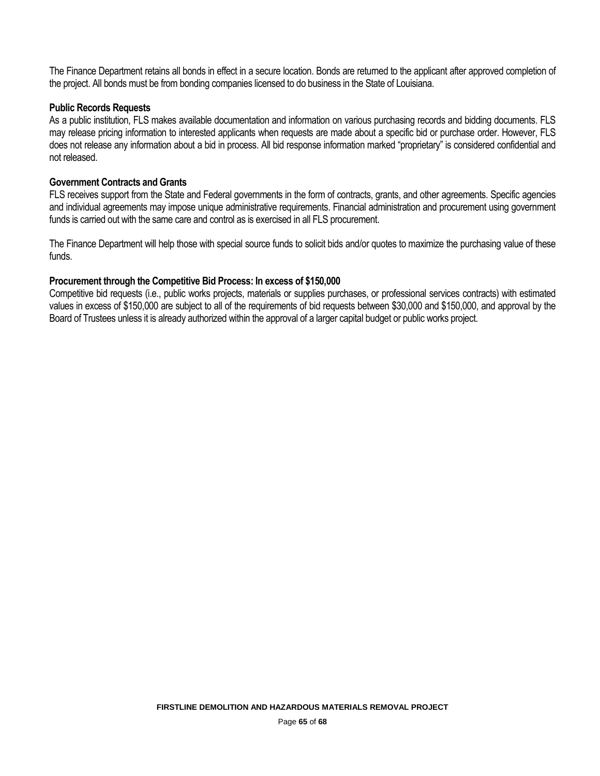The Finance Department retains all bonds in effect in a secure location. Bonds are returned to the applicant after approved completion of the project. All bonds must be from bonding companies licensed to do business in the State of Louisiana.

# **Public Records Requests**

As a public institution, FLS makes available documentation and information on various purchasing records and bidding documents. FLS may release pricing information to interested applicants when requests are made about a specific bid or purchase order. However, FLS does not release any information about a bid in process. All bid response information marked "proprietary" is considered confidential and not released.

# **Government Contracts and Grants**

FLS receives support from the State and Federal governments in the form of contracts, grants, and other agreements. Specific agencies and individual agreements may impose unique administrative requirements. Financial administration and procurement using government funds is carried out with the same care and control as is exercised in all FLS procurement.

The Finance Department will help those with special source funds to solicit bids and/or quotes to maximize the purchasing value of these funds.

# **Procurement through the Competitive Bid Process: In excess of \$150,000**

Competitive bid requests (i.e., public works projects, materials or supplies purchases, or professional services contracts) with estimated values in excess of \$150,000 are subject to all of the requirements of bid requests between \$30,000 and \$150,000, and approval by the Board of Trustees unless it is already authorized within the approval of a larger capital budget or public works project.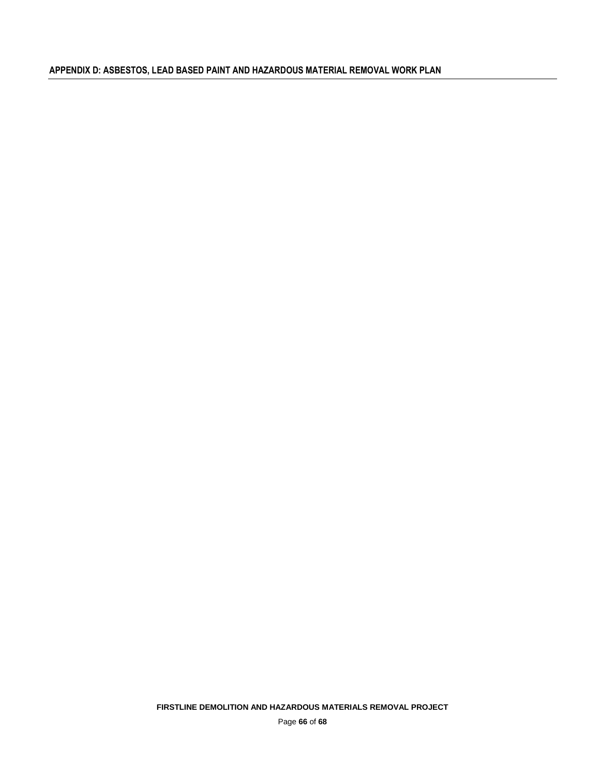**FIRSTLINE DEMOLITION AND HAZARDOUS MATERIALS REMOVAL PROJECT** 

Page **66** of **68**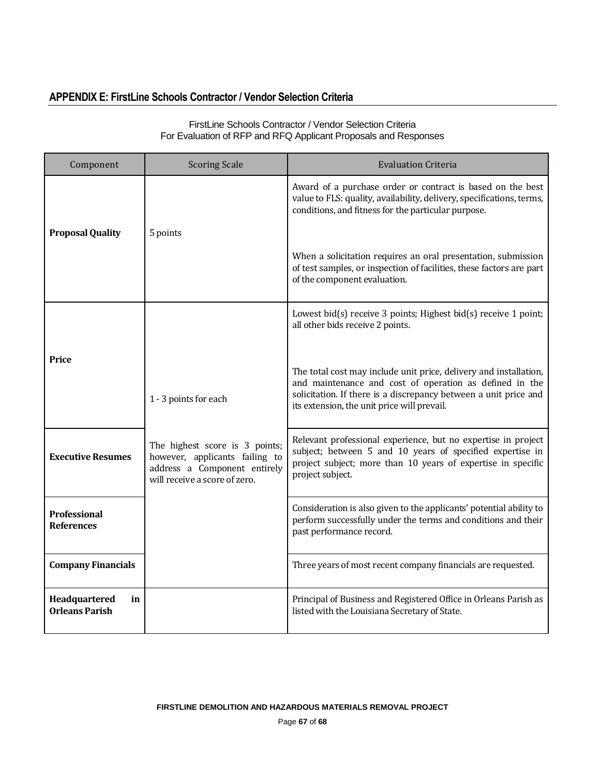# **APPENDIX E: FirstLine Schools Contractor / Vendor Selection Criteria**

| Component                                    | <b>Scoring Scale</b>                                                                                                              | <b>Evaluation Criteria</b>                                                                                                                                                                                                                      |
|----------------------------------------------|-----------------------------------------------------------------------------------------------------------------------------------|-------------------------------------------------------------------------------------------------------------------------------------------------------------------------------------------------------------------------------------------------|
| <b>Proposal Quality</b>                      | 5 points                                                                                                                          | Award of a purchase order or contract is based on the best<br>value to FLS: quality, availability, delivery, specifications, terms,<br>conditions, and fitness for the particular purpose.                                                      |
|                                              |                                                                                                                                   | When a solicitation requires an oral presentation, submission<br>of test samples, or inspection of facilities, these factors are part<br>of the component evaluation.                                                                           |
| Price                                        |                                                                                                                                   | Lowest bid $(s)$ receive 3 points; Highest bid $(s)$ receive 1 point;<br>all other bids receive 2 points.                                                                                                                                       |
|                                              | 1 - 3 points for each                                                                                                             | The total cost may include unit price, delivery and installation,<br>and maintenance and cost of operation as defined in the<br>solicitation. If there is a discrepancy between a unit price and<br>its extension, the unit price will prevail. |
| <b>Executive Resumes</b>                     | The highest score is 3 points;<br>however, applicants failing to<br>address a Component entirely<br>will receive a score of zero. | Relevant professional experience, but no expertise in project<br>subject; between 5 and 10 years of specified expertise in<br>project subject; more than 10 years of expertise in specific<br>project subject.                                  |
| <b>Professional</b><br><b>References</b>     |                                                                                                                                   | Consideration is also given to the applicants' potential ability to<br>perform successfully under the terms and conditions and their<br>past performance record.                                                                                |
| <b>Company Financials</b>                    |                                                                                                                                   | Three years of most recent company financials are requested.                                                                                                                                                                                    |
| Headquartered<br>in<br><b>Orleans Parish</b> |                                                                                                                                   | Principal of Business and Registered Office in Orleans Parish as<br>listed with the Louisiana Secretary of State.                                                                                                                               |

# FirstLine Schools Contractor / Vendor Selection Criteria For Evaluation of RFP and RFQ Applicant Proposals and Responses